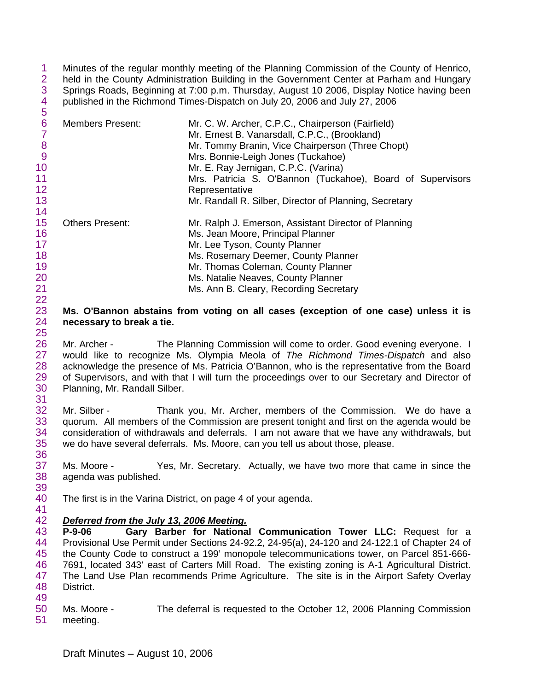1 2 3 4 5 Minutes of the regular monthly meeting of the Planning Commission of the County of Henrico, held in the County Administration Building in the Government Center at Parham and Hungary Springs Roads, Beginning at 7:00 p.m. Thursday, August 10 2006, Display Notice having been published in the Richmond Times-Dispatch on July 20, 2006 and July 27, 2006

| 6<br>8<br>9<br>10 | <b>Members Present:</b> | Mr. C. W. Archer, C.P.C., Chairperson (Fairfield)<br>Mr. Ernest B. Vanarsdall, C.P.C., (Brookland)<br>Mr. Tommy Branin, Vice Chairperson (Three Chopt)<br>Mrs. Bonnie-Leigh Jones (Tuckahoe)<br>Mr. E. Ray Jernigan, C.P.C. (Varina) |
|-------------------|-------------------------|--------------------------------------------------------------------------------------------------------------------------------------------------------------------------------------------------------------------------------------|
| 11<br>12          |                         | Mrs. Patricia S. O'Bannon (Tuckahoe), Board of Supervisors                                                                                                                                                                           |
|                   |                         | Representative                                                                                                                                                                                                                       |
| 13                |                         | Mr. Randall R. Silber, Director of Planning, Secretary                                                                                                                                                                               |
| 14                |                         |                                                                                                                                                                                                                                      |
| 15                | <b>Others Present:</b>  | Mr. Ralph J. Emerson, Assistant Director of Planning                                                                                                                                                                                 |
| 16                |                         | Ms. Jean Moore, Principal Planner                                                                                                                                                                                                    |
| 17                |                         | Mr. Lee Tyson, County Planner                                                                                                                                                                                                        |
| 18                |                         | Ms. Rosemary Deemer, County Planner                                                                                                                                                                                                  |
| 19                |                         | Mr. Thomas Coleman, County Planner                                                                                                                                                                                                   |
| 20                |                         | Ms. Natalie Neaves, County Planner                                                                                                                                                                                                   |
| 21                |                         | Ms. Ann B. Cleary, Recording Secretary                                                                                                                                                                                               |

## 23 24 25 **Ms. O'Bannon abstains from voting on all cases (exception of one case) unless it is necessary to break a tie.**

26 27 28 29 30 31 Mr. Archer - The Planning Commission will come to order. Good evening everyone. I would like to recognize Ms. Olympia Meola of *The Richmond Times-Dispatch* and also acknowledge the presence of Ms. Patricia O'Bannon, who is the representative from the Board of Supervisors, and with that I will turn the proceedings over to our Secretary and Director of Planning, Mr. Randall Silber.

32 33 34 35 Mr. Silber - Thank you, Mr. Archer, members of the Commission. We do have a quorum. All members of the Commission are present tonight and first on the agenda would be consideration of withdrawals and deferrals. I am not aware that we have any withdrawals, but we do have several deferrals. Ms. Moore, can you tell us about those, please.

37 38 39 Ms. Moore - Yes, Mr. Secretary. Actually, we have two more that came in since the agenda was published.

40 The first is in the Varina District, on page 4 of your agenda.

## 42 *Deferred from the July 13, 2006 Meeting.*

22

36

41

43 44 45 46 47 48 49 **P-9-06 Gary Barber for National Communication Tower LLC:** Request for a Provisional Use Permit under Sections 24-92.2, 24-95(a), 24-120 and 24-122.1 of Chapter 24 of the County Code to construct a 199' monopole telecommunications tower, on Parcel 851-666- 7691, located 343' east of Carters Mill Road. The existing zoning is A-1 Agricultural District. The Land Use Plan recommends Prime Agriculture. The site is in the Airport Safety Overlay District.

50 51 Ms. Moore - The deferral is requested to the October 12, 2006 Planning Commission meeting.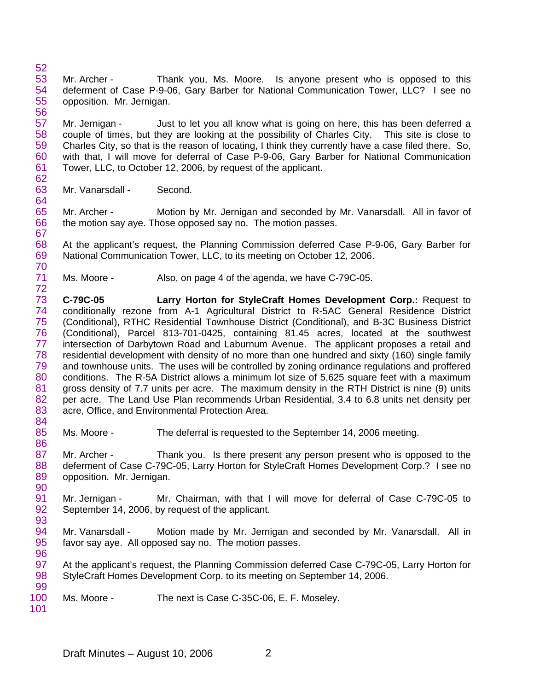52 53 54 55 56 Mr. Archer - Thank you, Ms. Moore. Is anyone present who is opposed to this deferment of Case P-9-06, Gary Barber for National Communication Tower, LLC? I see no opposition. Mr. Jernigan.

57 58 59 60 61 62 Mr. Jernigan - Just to let you all know what is going on here, this has been deferred a couple of times, but they are looking at the possibility of Charles City. This site is close to Charles City, so that is the reason of locating, I think they currently have a case filed there. So, with that, I will move for deferral of Case P-9-06, Gary Barber for National Communication Tower, LLC, to October 12, 2006, by request of the applicant.

63 Mr. Vanarsdall - Second.

64

67

65 66 Mr. Archer - Motion by Mr. Jernigan and seconded by Mr. Vanarsdall. All in favor of the motion say aye. Those opposed say no. The motion passes.

68 69 70 At the applicant's request, the Planning Commission deferred Case P-9-06, Gary Barber for National Communication Tower, LLC, to its meeting on October 12, 2006.

71 72 Ms. Moore - Also, on page 4 of the agenda, we have C-79C-05.

73 74 75 76 77 78 79 80 81 82 83 84 **C-79C-05 Larry Horton for StyleCraft Homes Development Corp.:** Request to conditionally rezone from A-1 Agricultural District to R-5AC General Residence District (Conditional), RTHC Residential Townhouse District (Conditional), and B-3C Business District (Conditional), Parcel 813-701-0425, containing 81.45 acres, located at the southwest intersection of Darbytown Road and Laburnum Avenue. The applicant proposes a retail and residential development with density of no more than one hundred and sixty (160) single family and townhouse units. The uses will be controlled by zoning ordinance regulations and proffered conditions. The R-5A District allows a minimum lot size of 5,625 square feet with a maximum gross density of 7.7 units per acre. The maximum density in the RTH District is nine (9) units per acre. The Land Use Plan recommends Urban Residential, 3.4 to 6.8 units net density per acre, Office, and Environmental Protection Area.

85 Ms. Moore - The deferral is requested to the September 14, 2006 meeting.

87 88 89 90 Mr. Archer - Thank you. Is there present any person present who is opposed to the deferment of Case C-79C-05, Larry Horton for StyleCraft Homes Development Corp.? I see no opposition. Mr. Jernigan.

91 92 Mr. Jernigan - Mr. Chairman, with that I will move for deferral of Case C-79C-05 to September 14, 2006, by request of the applicant.

94 95 Mr. Vanarsdall - Motion made by Mr. Jernigan and seconded by Mr. Vanarsdall. All in favor say aye. All opposed say no. The motion passes.

97 98 99 At the applicant's request, the Planning Commission deferred Case C-79C-05, Larry Horton for StyleCraft Homes Development Corp. to its meeting on September 14, 2006.

100 Ms. Moore - The next is Case C-35C-06, E. F. Moseley.

101

86

93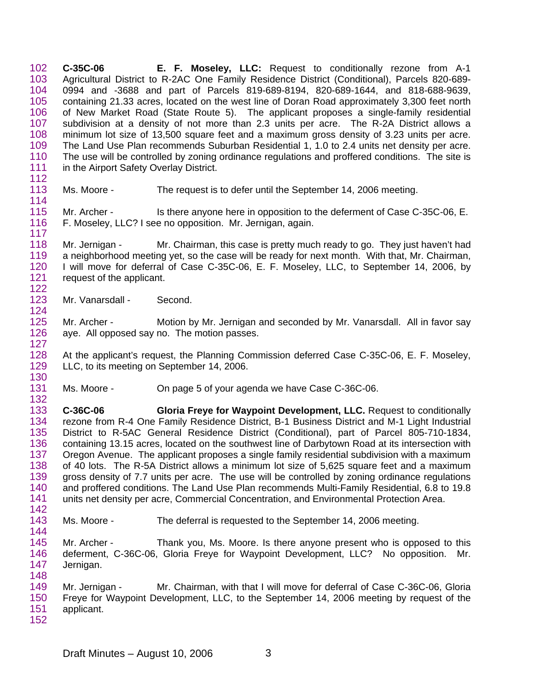102 103 104 105 106 107 108 109 110 111 112 **C-35C-06 E. F. Moseley, LLC:** Request to conditionally rezone from A-1 Agricultural District to R-2AC One Family Residence District (Conditional), Parcels 820-689- 0994 and -3688 and part of Parcels 819-689-8194, 820-689-1644, and 818-688-9639, containing 21.33 acres, located on the west line of Doran Road approximately 3,300 feet north of New Market Road (State Route 5). The applicant proposes a single-family residential subdivision at a density of not more than 2.3 units per acre. The R-2A District allows a minimum lot size of 13,500 square feet and a maximum gross density of 3.23 units per acre. The Land Use Plan recommends Suburban Residential 1, 1.0 to 2.4 units net density per acre. The use will be controlled by zoning ordinance regulations and proffered conditions. The site is in the Airport Safety Overlay District.

113 114 Ms. Moore - The request is to defer until the September 14, 2006 meeting.

115 116 117 Mr. Archer - Is there anyone here in opposition to the deferment of Case C-35C-06, E. F. Moseley, LLC? I see no opposition. Mr. Jernigan, again.

118 119 120 121 122 Mr. Jernigan - Mr. Chairman, this case is pretty much ready to go. They just haven't had a neighborhood meeting yet, so the case will be ready for next month. With that, Mr. Chairman, I will move for deferral of Case C-35C-06, E. F. Moseley, LLC, to September 14, 2006, by request of the applicant.

123 Mr. Vanarsdall - Second.

124

144

125 126 127 Mr. Archer - Motion by Mr. Jernigan and seconded by Mr. Vanarsdall. All in favor say aye. All opposed say no. The motion passes.

128 129 130 At the applicant's request, the Planning Commission deferred Case C-35C-06, E. F. Moseley, LLC, to its meeting on September 14, 2006.

131 132 Ms. Moore - On page 5 of your agenda we have Case C-36C-06.

133 134 135 136 137 138 139 140 141 142 **C-36C-06 Gloria Freye for Waypoint Development, LLC.** Request to conditionally rezone from R-4 One Family Residence District, B-1 Business District and M-1 Light Industrial District to R-5AC General Residence District (Conditional), part of Parcel 805-710-1834, containing 13.15 acres, located on the southwest line of Darbytown Road at its intersection with Oregon Avenue. The applicant proposes a single family residential subdivision with a maximum of 40 lots. The R-5A District allows a minimum lot size of 5,625 square feet and a maximum gross density of 7.7 units per acre. The use will be controlled by zoning ordinance regulations and proffered conditions. The Land Use Plan recommends Multi-Family Residential, 6.8 to 19.8 units net density per acre, Commercial Concentration, and Environmental Protection Area.

- 143 Ms. Moore - The deferral is requested to the September 14, 2006 meeting.
- 145 146 147 148 Mr. Archer - Thank you, Ms. Moore. Is there anyone present who is opposed to this deferment, C-36C-06, Gloria Freye for Waypoint Development, LLC? No opposition. Mr. Jernigan.

149 150 151 152 Mr. Jernigan - Mr. Chairman, with that I will move for deferral of Case C-36C-06, Gloria Freye for Waypoint Development, LLC, to the September 14, 2006 meeting by request of the applicant.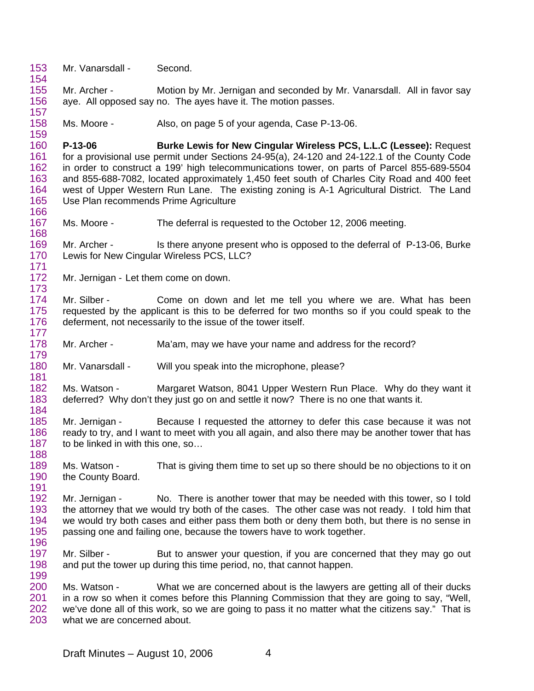153 Mr. Vanarsdall - Second.

154

157

179

181

155 156 Mr. Archer - Motion by Mr. Jernigan and seconded by Mr. Vanarsdall. All in favor say aye. All opposed say no. The ayes have it. The motion passes.

158 159 Ms. Moore - Also, on page 5 of your agenda, Case P-13-06.

160 161 162 163 164 165 166 **P-13-06 Burke Lewis for New Cingular Wireless PCS, L.L.C (Lessee):** Request for a provisional use permit under Sections 24-95(a), 24-120 and 24-122.1 of the County Code in order to construct a 199' high telecommunications tower, on parts of Parcel 855-689-5504 and 855-688-7082, located approximately 1,450 feet south of Charles City Road and 400 feet west of Upper Western Run Lane. The existing zoning is A-1 Agricultural District. The Land Use Plan recommends Prime Agriculture

167 168 Ms. Moore - The deferral is requested to the October 12, 2006 meeting.

169 170 171 Mr. Archer - Is there anyone present who is opposed to the deferral of P-13-06, Burke Lewis for New Cingular Wireless PCS, LLC?

172 173 Mr. Jernigan - Let them come on down.

174 175 176 177 Mr. Silber - Come on down and let me tell you where we are. What has been requested by the applicant is this to be deferred for two months so if you could speak to the deferment, not necessarily to the issue of the tower itself.

178 Mr. Archer - Ma'am, may we have your name and address for the record?

180 Mr. Vanarsdall - Will you speak into the microphone, please?

182 183 184 Ms. Watson - Margaret Watson, 8041 Upper Western Run Place. Why do they want it deferred? Why don't they just go on and settle it now? There is no one that wants it.

185 186 187 188 Mr. Jernigan - Because I requested the attorney to defer this case because it was not ready to try, and I want to meet with you all again, and also there may be another tower that has to be linked in with this one, so…

189 190 191 Ms. Watson - That is giving them time to set up so there should be no objections to it on the County Board.

192 193 194 195 196 Mr. Jernigan - No. There is another tower that may be needed with this tower, so I told the attorney that we would try both of the cases. The other case was not ready. I told him that we would try both cases and either pass them both or deny them both, but there is no sense in passing one and failing one, because the towers have to work together.

197 198 199 Mr. Silber - But to answer your question, if you are concerned that they may go out and put the tower up during this time period, no, that cannot happen.

200 201 202 203 Ms. Watson - What we are concerned about is the lawyers are getting all of their ducks in a row so when it comes before this Planning Commission that they are going to say, "Well, we've done all of this work, so we are going to pass it no matter what the citizens say." That is what we are concerned about.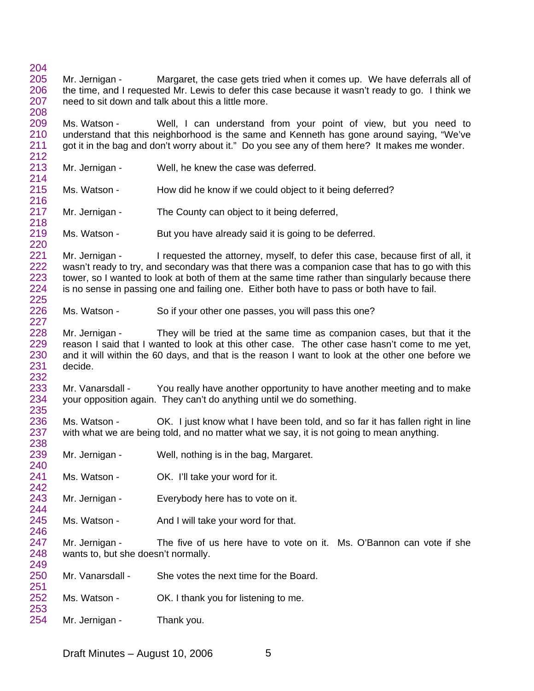Mr. Jernigan - Margaret, the case gets tried when it comes up. We have deferrals all of the time, and I requested Mr. Lewis to defer this case because it wasn't ready to go. I think we need to sit down and talk about this a little more.

 Ms. Watson - Well, I can understand from your point of view, but you need to understand that this neighborhood is the same and Kenneth has gone around saying, "We've got it in the bag and don't worry about it." Do you see any of them here? It makes me wonder.

 Mr. Jernigan - Well, he knew the case was deferred.

 

 Ms. Watson - How did he know if we could object to it being deferred?

 Mr. Jernigan - The County can object to it being deferred,

 Ms. Watson - But you have already said it is going to be deferred.

 Mr. Jernigan - I requested the attorney, myself, to defer this case, because first of all, it wasn't ready to try, and secondary was that there was a companion case that has to go with this tower, so I wanted to look at both of them at the same time rather than singularly because there is no sense in passing one and failing one. Either both have to pass or both have to fail.

 Ms. Watson - So if your other one passes, you will pass this one?

 Mr. Jernigan - They will be tried at the same time as companion cases, but that it the reason I said that I wanted to look at this other case. The other case hasn't come to me yet, and it will within the 60 days, and that is the reason I want to look at the other one before we decide.

 Mr. Vanarsdall - You really have another opportunity to have another meeting and to make your opposition again. They can't do anything until we do something.

Ms. Watson - OK. I just know what I have been told, and so far it has fallen right in line with what we are being told, and no matter what we say, it is not going to mean anything.

- Mr. Jernigan - Well, nothing is in the bag, Margaret.
- Ms. Watson - OK. I'll take your word for it.
- Mr. Jernigan - Everybody here has to vote on it.
- Ms. Watson - And I will take your word for that.

 Mr. Jernigan - The five of us here have to vote on it. Ms. O'Bannon can vote if she wants to, but she doesn't normally.

| 250 | Mr. Vanarsdall - | She votes the next time for the Board. |
|-----|------------------|----------------------------------------|
| 251 |                  |                                        |

- Ms. Watson - OK. I thank you for listening to me.
- Mr. Jernigan - Thank you.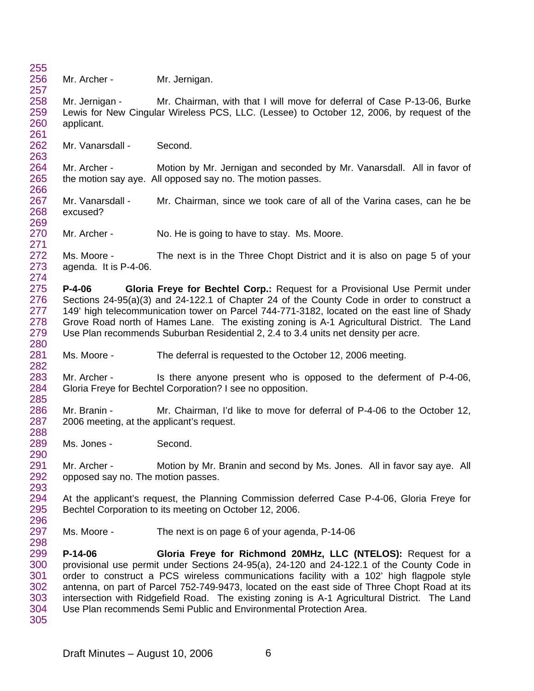255 256 257 258 259 260 261 262 263 264 265 266 267 268 269 270 271 272 273 274 275 276 277 278 279 280 281 282 283 284 285 286 287 288 289 290 291 292 293 294 295 296 297 298 299 300 301 302 303 304 305 Mr. Archer - Mr. Jernigan. Mr. Jernigan - Mr. Chairman, with that I will move for deferral of Case P-13-06, Burke Lewis for New Cingular Wireless PCS, LLC. (Lessee) to October 12, 2006, by request of the applicant. Mr. Vanarsdall - Second. Mr. Archer - Motion by Mr. Jernigan and seconded by Mr. Vanarsdall. All in favor of the motion say aye. All opposed say no. The motion passes. Mr. Vanarsdall - Mr. Chairman, since we took care of all of the Varina cases, can he be excused? Mr. Archer - No. He is going to have to stay. Ms. Moore. Ms. Moore - The next is in the Three Chopt District and it is also on page 5 of your agenda. It is P-4-06. **P-4-06 Gloria Freye for Bechtel Corp.:** Request for a Provisional Use Permit under Sections 24-95(a)(3) and 24-122.1 of Chapter 24 of the County Code in order to construct a 149' high telecommunication tower on Parcel 744-771-3182, located on the east line of Shady Grove Road north of Hames Lane. The existing zoning is A-1 Agricultural District. The Land Use Plan recommends Suburban Residential 2, 2.4 to 3.4 units net density per acre. Ms. Moore - The deferral is requested to the October 12, 2006 meeting. Mr. Archer - Is there anyone present who is opposed to the deferment of P-4-06, Gloria Freye for Bechtel Corporation? I see no opposition. Mr. Branin - Mr. Chairman, I'd like to move for deferral of P-4-06 to the October 12, 2006 meeting, at the applicant's request. Ms. Jones - Second. Mr. Archer - Motion by Mr. Branin and second by Ms. Jones. All in favor say aye. All opposed say no. The motion passes. At the applicant's request, the Planning Commission deferred Case P-4-06, Gloria Freye for Bechtel Corporation to its meeting on October 12, 2006. Ms. Moore - The next is on page 6 of your agenda, P-14-06 **P-14-06 Gloria Freye for Richmond 20MHz, LLC (NTELOS):** Request for a provisional use permit under Sections 24-95(a), 24-120 and 24-122.1 of the County Code in order to construct a PCS wireless communications facility with a 102' high flagpole style antenna, on part of Parcel 752-749-9473, located on the east side of Three Chopt Road at its intersection with Ridgefield Road. The existing zoning is A-1 Agricultural District. The Land Use Plan recommends Semi Public and Environmental Protection Area.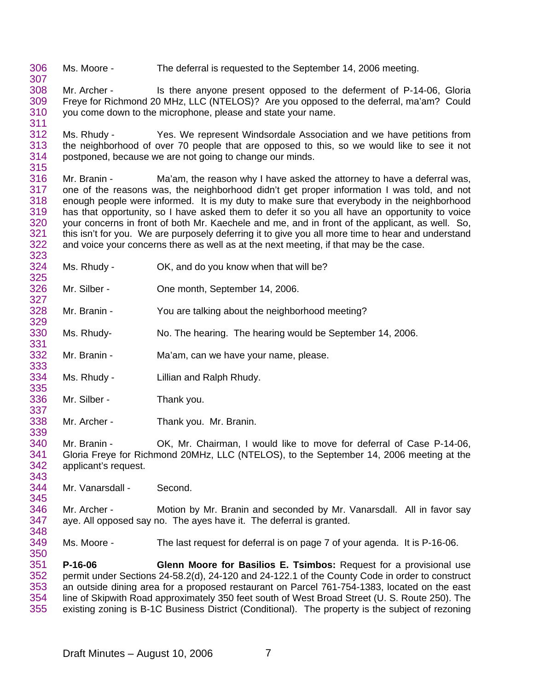306 Ms. Moore - The deferral is requested to the September 14, 2006 meeting.

308 309 310 Mr. Archer - Is there anyone present opposed to the deferment of P-14-06, Gloria Freye for Richmond 20 MHz, LLC (NTELOS)? Are you opposed to the deferral, ma'am? Could you come down to the microphone, please and state your name.

312 313 314 315 Ms. Rhudy - Yes. We represent Windsordale Association and we have petitions from the neighborhood of over 70 people that are opposed to this, so we would like to see it not postponed, because we are not going to change our minds.

316 317 318 319 320 321 322 323 Mr. Branin - Ma'am, the reason why I have asked the attorney to have a deferral was, one of the reasons was, the neighborhood didn't get proper information I was told, and not enough people were informed. It is my duty to make sure that everybody in the neighborhood has that opportunity, so I have asked them to defer it so you all have an opportunity to voice your concerns in front of both Mr. Kaechele and me, and in front of the applicant, as well. So, this isn't for you. We are purposely deferring it to give you all more time to hear and understand and voice your concerns there as well as at the next meeting, if that may be the case.

- 324 Ms. Rhudy - CK, and do you know when that will be?
- 326 Mr. Silber - One month, September 14, 2006.
- 328 329 Mr. Branin - You are talking about the neighborhood meeting?
- 330 Ms. Rhudy- No. The hearing. The hearing would be September 14, 2006.
- 332 Mr. Branin - Ma'am, can we have your name, please.
- 334 Ms. Rhudy - Lillian and Ralph Rhudy.
- 336 337 Mr. Silber - Thank you.

307

311

325

327

331

333

335

343

345

350

338 339 Mr. Archer - Thank you. Mr. Branin.

340 341 342 Mr. Branin - OK, Mr. Chairman, I would like to move for deferral of Case P-14-06, Gloria Freye for Richmond 20MHz, LLC (NTELOS), to the September 14, 2006 meeting at the applicant's request.

344 Mr. Vanarsdall - Second.

346 347 348 Mr. Archer - Motion by Mr. Branin and seconded by Mr. Vanarsdall. All in favor say aye. All opposed say no. The ayes have it. The deferral is granted.

349 Ms. Moore - The last request for deferral is on page 7 of your agenda. It is P-16-06.

351 352 353 354 355 **P-16-06 Glenn Moore for Basilios E. Tsimbos:** Request for a provisional use permit under Sections 24-58.2(d), 24-120 and 24-122.1 of the County Code in order to construct an outside dining area for a proposed restaurant on Parcel 761-754-1383, located on the east line of Skipwith Road approximately 350 feet south of West Broad Street (U. S. Route 250). The existing zoning is B-1C Business District (Conditional). The property is the subject of rezoning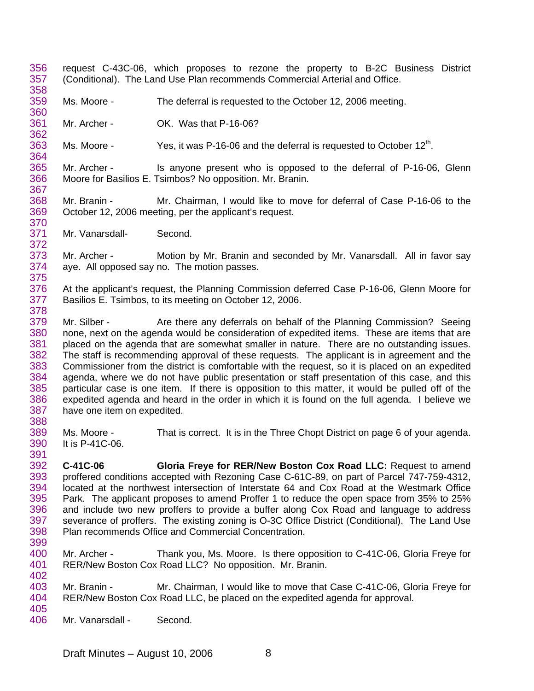- 356 357 358 request C-43C-06, which proposes to rezone the property to B-2C Business District (Conditional). The Land Use Plan recommends Commercial Arterial and Office.
- 359 Ms. Moore - The deferral is requested to the October 12, 2006 meeting.
- 361 Mr. Archer - **OK. Was that P-16-06?**
- 363 Ms. Moore -  $Y$ es, it was P-16-06 and the deferral is requested to October 12<sup>th</sup>.
- 365 366 367 Mr. Archer - Is anyone present who is opposed to the deferral of P-16-06, Glenn Moore for Basilios E. Tsimbos? No opposition. Mr. Branin.
- 368 369 370 Mr. Branin - Mr. Chairman, I would like to move for deferral of Case P-16-06 to the October 12, 2006 meeting, per the applicant's request.
- 371 Mr. Vanarsdall-<br>
Second.

360

362

364

372

388

373 374 375 Mr. Archer - Motion by Mr. Branin and seconded by Mr. Vanarsdall. All in favor say aye. All opposed say no. The motion passes.

- 376 377 378 At the applicant's request, the Planning Commission deferred Case P-16-06, Glenn Moore for Basilios E. Tsimbos, to its meeting on October 12, 2006.
- 379 380 381 382 383 384 385 386 387 Mr. Silber - Are there any deferrals on behalf of the Planning Commission? Seeing none, next on the agenda would be consideration of expedited items. These are items that are placed on the agenda that are somewhat smaller in nature. There are no outstanding issues. The staff is recommending approval of these requests. The applicant is in agreement and the Commissioner from the district is comfortable with the request, so it is placed on an expedited agenda, where we do not have public presentation or staff presentation of this case, and this particular case is one item. If there is opposition to this matter, it would be pulled off of the expedited agenda and heard in the order in which it is found on the full agenda. I believe we have one item on expedited.
- 389 390 Ms. Moore - That is correct. It is in the Three Chopt District on page 6 of your agenda. It is P-41C-06.
- 391 392 393 394 395 396 397 398 399 **C-41C-06 Gloria Freye for RER/New Boston Cox Road LLC:** Request to amend proffered conditions accepted with Rezoning Case C-61C-89, on part of Parcel 747-759-4312, located at the northwest intersection of Interstate 64 and Cox Road at the Westmark Office Park. The applicant proposes to amend Proffer 1 to reduce the open space from 35% to 25% and include two new proffers to provide a buffer along Cox Road and language to address severance of proffers. The existing zoning is O-3C Office District (Conditional). The Land Use Plan recommends Office and Commercial Concentration.
- 400 401 402 Mr. Archer - Thank you, Ms. Moore. Is there opposition to C-41C-06, Gloria Freye for RER/New Boston Cox Road LLC? No opposition. Mr. Branin.
- 403 404 405 Mr. Branin - Mr. Chairman, I would like to move that Case C-41C-06, Gloria Freye for RER/New Boston Cox Road LLC, be placed on the expedited agenda for approval.
- 406 Mr. Vanarsdall - Second.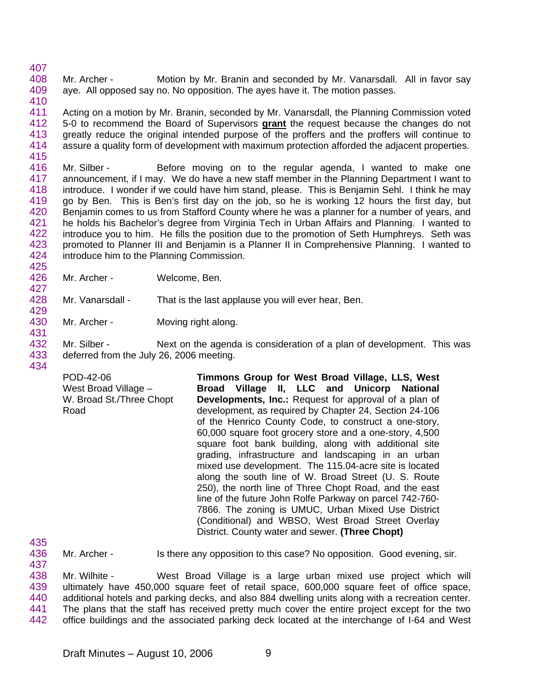407 408 409 410 Mr. Archer - Motion by Mr. Branin and seconded by Mr. Vanarsdall. All in favor say aye. All opposed say no. No opposition. The ayes have it. The motion passes.

411 Acting on a motion by Mr. Branin, seconded by Mr. Vanarsdall, the Planning Commission voted 5-0 to recommend the Board of Supervisors **grant** the request because the changes do not greatly reduce the original intended purpose of the proffers and the proffers will continue to assure a quality form of development with maximum protection afforded the adjacent properties. 412 413 414 415

416 417 418 419 420 421 422 423 424 425 Mr. Silber - Before moving on to the regular agenda, I wanted to make one announcement, if I may. We do have a new staff member in the Planning Department I want to introduce. I wonder if we could have him stand, please. This is Benjamin Sehl. I think he may go by Ben. This is Ben's first day on the job, so he is working 12 hours the first day, but Benjamin comes to us from Stafford County where he was a planner for a number of years, and he holds his Bachelor's degree from Virginia Tech in Urban Affairs and Planning. I wanted to introduce you to him. He fills the position due to the promotion of Seth Humphreys. Seth was promoted to Planner III and Benjamin is a Planner II in Comprehensive Planning. I wanted to introduce him to the Planning Commission.

426 427 Mr. Archer - Welcome, Ben.

428 Mr. Vanarsdall - That is the last applause you will ever hear, Ben.

430 431 Mr. Archer - Moving right along.

432 433 434 Mr. Silber - Next on the agenda is consideration of a plan of development. This was deferred from the July 26, 2006 meeting.

POD-42-06 West Broad Village – W. Broad St./Three Chopt Road **Timmons Group for West Broad Village, LLS, West Broad Village II, LLC and Unicorp National Developments, Inc.:** Request for approval of a plan of development, as required by Chapter 24, Section 24-106 of the Henrico County Code, to construct a one-story, 60,000 square foot grocery store and a one-story, 4,500 square foot bank building, along with additional site grading, infrastructure and landscaping in an urban mixed use development. The 115.04-acre site is located along the south line of W. Broad Street (U. S. Route 250), the north line of Three Chopt Road, and the east line of the future John Rolfe Parkway on parcel 742-760- 7866. The zoning is UMUC, Urban Mixed Use District (Conditional) and WBSO, West Broad Street Overlay District. County water and sewer. **(Three Chopt)** 

435

429

436 437 Mr. Archer - Is there any opposition to this case? No opposition. Good evening, sir.

438 439 440 441 442 Mr. Wilhite - West Broad Village is a large urban mixed use project which will ultimately have 450,000 square feet of retail space, 600,000 square feet of office space, additional hotels and parking decks, and also 884 dwelling units along with a recreation center. The plans that the staff has received pretty much cover the entire project except for the two office buildings and the associated parking deck located at the interchange of I-64 and West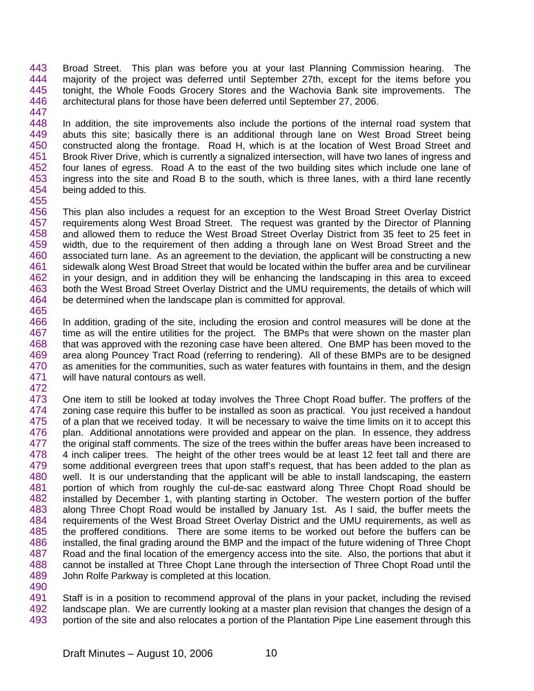443 444 445 446 447 Broad Street. This plan was before you at your last Planning Commission hearing. The majority of the project was deferred until September 27th, except for the items before you tonight, the Whole Foods Grocery Stores and the Wachovia Bank site improvements. The architectural plans for those have been deferred until September 27, 2006.

448 449 450 451 452 453 454 In addition, the site improvements also include the portions of the internal road system that abuts this site; basically there is an additional through lane on West Broad Street being constructed along the frontage. Road H, which is at the location of West Broad Street and Brook River Drive, which is currently a signalized intersection, will have two lanes of ingress and four lanes of egress. Road A to the east of the two building sites which include one lane of ingress into the site and Road B to the south, which is three lanes, with a third lane recently being added to this.

455

456 457 458 459 460 461 462 463 464 465 This plan also includes a request for an exception to the West Broad Street Overlay District requirements along West Broad Street. The request was granted by the Director of Planning and allowed them to reduce the West Broad Street Overlay District from 35 feet to 25 feet in width, due to the requirement of then adding a through lane on West Broad Street and the associated turn lane. As an agreement to the deviation, the applicant will be constructing a new sidewalk along West Broad Street that would be located within the buffer area and be curvilinear in your design, and in addition they will be enhancing the landscaping in this area to exceed both the West Broad Street Overlay District and the UMU requirements, the details of which will be determined when the landscape plan is committed for approval.

466 467 468 469 470 471 In addition, grading of the site, including the erosion and control measures will be done at the time as will the entire utilities for the project. The BMPs that were shown on the master plan that was approved with the rezoning case have been altered. One BMP has been moved to the area along Pouncey Tract Road (referring to rendering). All of these BMPs are to be designed as amenities for the communities, such as water features with fountains in them, and the design will have natural contours as well.

472

473 474 475 476 477 478 479 480 481 482 483 484 485 486 487 488 489 490 One item to still be looked at today involves the Three Chopt Road buffer. The proffers of the zoning case require this buffer to be installed as soon as practical. You just received a handout of a plan that we received today. It will be necessary to waive the time limits on it to accept this plan. Additional annotations were provided and appear on the plan. In essence, they address the original staff comments. The size of the trees within the buffer areas have been increased to 4 inch caliper trees. The height of the other trees would be at least 12 feet tall and there are some additional evergreen trees that upon staff's request, that has been added to the plan as well. It is our understanding that the applicant will be able to install landscaping, the eastern portion of which from roughly the cul-de-sac eastward along Three Chopt Road should be installed by December 1, with planting starting in October. The western portion of the buffer along Three Chopt Road would be installed by January 1st. As I said, the buffer meets the requirements of the West Broad Street Overlay District and the UMU requirements, as well as the proffered conditions. There are some items to be worked out before the buffers can be installed, the final grading around the BMP and the impact of the future widening of Three Chopt Road and the final location of the emergency access into the site. Also, the portions that abut it cannot be installed at Three Chopt Lane through the intersection of Three Chopt Road until the John Rolfe Parkway is completed at this location.

491 492 493 Staff is in a position to recommend approval of the plans in your packet, including the revised landscape plan. We are currently looking at a master plan revision that changes the design of a portion of the site and also relocates a portion of the Plantation Pipe Line easement through this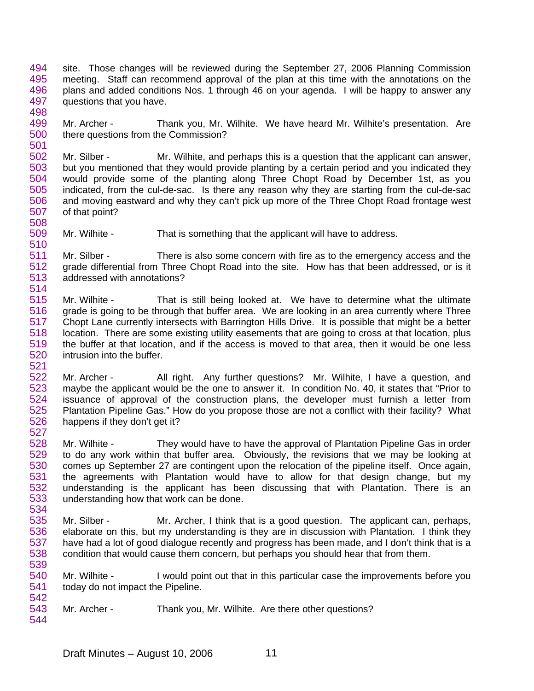- 494 495 496 497 498 site. Those changes will be reviewed during the September 27, 2006 Planning Commission meeting. Staff can recommend approval of the plan at this time with the annotations on the plans and added conditions Nos. 1 through 46 on your agenda. I will be happy to answer any questions that you have.
- 499 500 Mr. Archer - Thank you, Mr. Wilhite. We have heard Mr. Wilhite's presentation. Are there questions from the Commission?
- 502 503 504 505 506 507 508 Mr. Silber - Mr. Wilhite, and perhaps this is a question that the applicant can answer, but you mentioned that they would provide planting by a certain period and you indicated they would provide some of the planting along Three Chopt Road by December 1st, as you indicated, from the cul-de-sac. Is there any reason why they are starting from the cul-de-sac and moving eastward and why they can't pick up more of the Three Chopt Road frontage west of that point?
- 509 510 Mr. Wilhite - That is something that the applicant will have to address.

501

527

534

- 511 512 513 514 Mr. Silber - There is also some concern with fire as to the emergency access and the grade differential from Three Chopt Road into the site. How has that been addressed, or is it addressed with annotations?
- 515 516 517 518 519 520 521 Mr. Wilhite - That is still being looked at. We have to determine what the ultimate grade is going to be through that buffer area. We are looking in an area currently where Three Chopt Lane currently intersects with Barrington Hills Drive. It is possible that might be a better location. There are some existing utility easements that are going to cross at that location, plus the buffer at that location, and if the access is moved to that area, then it would be one less intrusion into the buffer.
- 522 523 524 525 526 Mr. Archer - All right. Any further questions? Mr. Wilhite, I have a question, and maybe the applicant would be the one to answer it. In condition No. 40, it states that "Prior to issuance of approval of the construction plans, the developer must furnish a letter from Plantation Pipeline Gas." How do you propose those are not a conflict with their facility? What happens if they don't get it?
- 528 529 530 531 532 533 Mr. Wilhite - They would have to have the approval of Plantation Pipeline Gas in order to do any work within that buffer area. Obviously, the revisions that we may be looking at comes up September 27 are contingent upon the relocation of the pipeline itself. Once again, the agreements with Plantation would have to allow for that design change, but my understanding is the applicant has been discussing that with Plantation. There is an understanding how that work can be done.
- 535 536 537 538 Mr. Silber - Mr. Archer, I think that is a good question. The applicant can, perhaps, elaborate on this, but my understanding is they are in discussion with Plantation. I think they have had a lot of good dialogue recently and progress has been made, and I don't think that is a condition that would cause them concern, but perhaps you should hear that from them.
- 540 541 542 Mr. Wilhite - I would point out that in this particular case the improvements before you today do not impact the Pipeline.
- 543 544 Mr. Archer - Thank you, Mr. Wilhite. Are there other questions?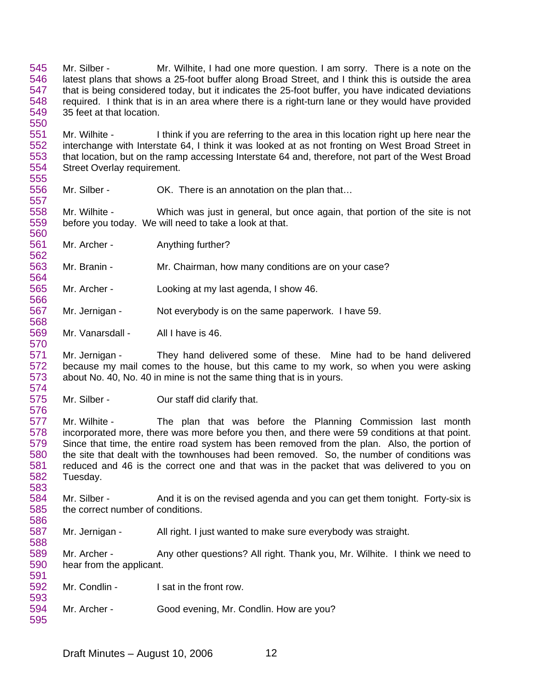545 546 547 548 549 Mr. Silber - Mr. Wilhite, I had one more question. I am sorry. There is a note on the latest plans that shows a 25-foot buffer along Broad Street, and I think this is outside the area that is being considered today, but it indicates the 25-foot buffer, you have indicated deviations required. I think that is in an area where there is a right-turn lane or they would have provided 35 feet at that location.

551 552 553 554 555 Mr. Wilhite - I think if you are referring to the area in this location right up here near the interchange with Interstate 64, I think it was looked at as not fronting on West Broad Street in that location, but on the ramp accessing Interstate 64 and, therefore, not part of the West Broad Street Overlay requirement.

556 Mr. Silber - OK. There is an annotation on the plan that...

558 559 560 Mr. Wilhite - Which was just in general, but once again, that portion of the site is not before you today. We will need to take a look at that.

561 562 Mr. Archer - **Anything further?** 

550

557

566

570

576

586

593

563 564 Mr. Branin - Mr. Chairman, how many conditions are on your case?

565 Mr. Archer - Looking at my last agenda, I show 46.

567 568 Mr. Jernigan - Not everybody is on the same paperwork. I have 59.

569 Mr. Vanarsdall - All I have is 46.

571 572 573 574 Mr. Jernigan - They hand delivered some of these. Mine had to be hand delivered because my mail comes to the house, but this came to my work, so when you were asking about No. 40, No. 40 in mine is not the same thing that is in yours.

575 Mr. Silber - **Our staff did clarify that.** 

577 578 579 580 581 582 583 Mr. Wilhite - The plan that was before the Planning Commission last month incorporated more, there was more before you then, and there were 59 conditions at that point. Since that time, the entire road system has been removed from the plan. Also, the portion of the site that dealt with the townhouses had been removed. So, the number of conditions was reduced and 46 is the correct one and that was in the packet that was delivered to you on Tuesday.

584 585 Mr. Silber - And it is on the revised agenda and you can get them tonight. Forty-six is the correct number of conditions.

587 588 Mr. Jernigan - All right. I just wanted to make sure everybody was straight.

589 590 591 Mr. Archer - Any other questions? All right. Thank you, Mr. Wilhite. I think we need to hear from the applicant.

592 Mr. Condlin - I sat in the front row.

594 595 Mr. Archer - Good evening, Mr. Condlin. How are you?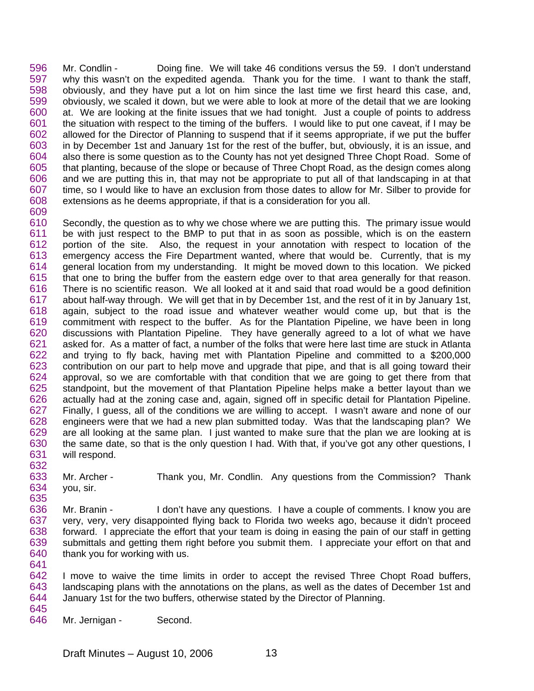596 597 598 599 600 601 602 603 604 605 606 607 608 609 Mr. Condlin - Doing fine. We will take 46 conditions versus the 59. I don't understand why this wasn't on the expedited agenda. Thank you for the time. I want to thank the staff, obviously, and they have put a lot on him since the last time we first heard this case, and, obviously, we scaled it down, but we were able to look at more of the detail that we are looking at. We are looking at the finite issues that we had tonight. Just a couple of points to address the situation with respect to the timing of the buffers. I would like to put one caveat, if I may be allowed for the Director of Planning to suspend that if it seems appropriate, if we put the buffer in by December 1st and January 1st for the rest of the buffer, but, obviously, it is an issue, and also there is some question as to the County has not yet designed Three Chopt Road. Some of that planting, because of the slope or because of Three Chopt Road, as the design comes along and we are putting this in, that may not be appropriate to put all of that landscaping in at that time, so I would like to have an exclusion from those dates to allow for Mr. Silber to provide for extensions as he deems appropriate, if that is a consideration for you all.

610 611 612 613 614 615 616 617 618 619 620 621 622 623 624 625 626 627 628 629 630 631 632 Secondly, the question as to why we chose where we are putting this. The primary issue would be with just respect to the BMP to put that in as soon as possible, which is on the eastern portion of the site. Also, the request in your annotation with respect to location of the emergency access the Fire Department wanted, where that would be. Currently, that is my general location from my understanding. It might be moved down to this location. We picked that one to bring the buffer from the eastern edge over to that area generally for that reason. There is no scientific reason. We all looked at it and said that road would be a good definition about half-way through. We will get that in by December 1st, and the rest of it in by January 1st, again, subject to the road issue and whatever weather would come up, but that is the commitment with respect to the buffer. As for the Plantation Pipeline, we have been in long discussions with Plantation Pipeline. They have generally agreed to a lot of what we have asked for. As a matter of fact, a number of the folks that were here last time are stuck in Atlanta and trying to fly back, having met with Plantation Pipeline and committed to a \$200,000 contribution on our part to help move and upgrade that pipe, and that is all going toward their approval, so we are comfortable with that condition that we are going to get there from that standpoint, but the movement of that Plantation Pipeline helps make a better layout than we actually had at the zoning case and, again, signed off in specific detail for Plantation Pipeline. Finally, I guess, all of the conditions we are willing to accept. I wasn't aware and none of our engineers were that we had a new plan submitted today. Was that the landscaping plan? We are all looking at the same plan. I just wanted to make sure that the plan we are looking at is the same date, so that is the only question I had. With that, if you've got any other questions, I will respond.

633 634 Mr. Archer - Thank you, Mr. Condlin. Any questions from the Commission? Thank you, sir.

636 637 638 639 640 641 Mr. Branin - I don't have any questions. I have a couple of comments. I know you are very, very, very disappointed flying back to Florida two weeks ago, because it didn't proceed forward. I appreciate the effort that your team is doing in easing the pain of our staff in getting submittals and getting them right before you submit them. I appreciate your effort on that and thank you for working with us.

642 643 644 645 I move to waive the time limits in order to accept the revised Three Chopt Road buffers, landscaping plans with the annotations on the plans, as well as the dates of December 1st and January 1st for the two buffers, otherwise stated by the Director of Planning.

646 Mr. Jernigan - Second.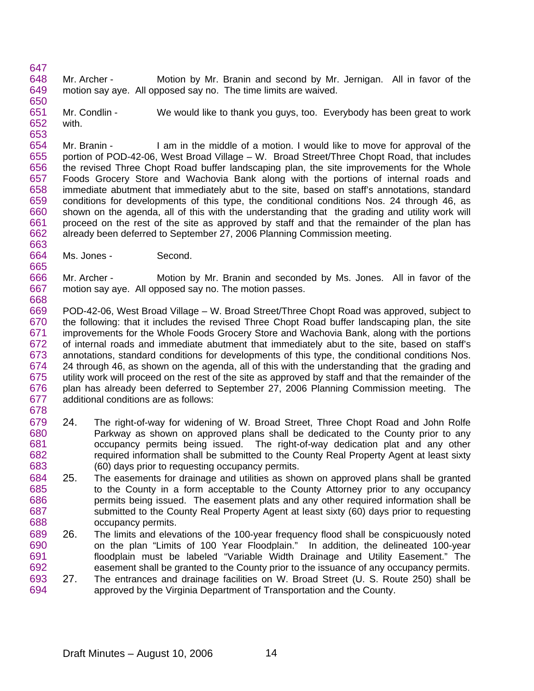647 648 649 650 Mr. Archer - Motion by Mr. Branin and second by Mr. Jernigan. All in favor of the motion say aye. All opposed say no. The time limits are waived.

651 652 653 Mr. Condlin - We would like to thank you guys, too. Everybody has been great to work with.

654 655 656 657 658 659 660 661 662 663 Mr. Branin - I am in the middle of a motion. I would like to move for approval of the portion of POD-42-06, West Broad Village – W. Broad Street/Three Chopt Road, that includes the revised Three Chopt Road buffer landscaping plan, the site improvements for the Whole Foods Grocery Store and Wachovia Bank along with the portions of internal roads and immediate abutment that immediately abut to the site, based on staff's annotations, standard conditions for developments of this type, the conditional conditions Nos. 24 through 46, as shown on the agenda, all of this with the understanding that the grading and utility work will proceed on the rest of the site as approved by staff and that the remainder of the plan has already been deferred to September 27, 2006 Planning Commission meeting.

664 665 Ms. Jones - Second.

668

666 667 Mr. Archer - Motion by Mr. Branin and seconded by Ms. Jones. All in favor of the motion say aye. All opposed say no. The motion passes.

669 670 671 672 673 674 675 676 677 678 POD-42-06, West Broad Village – W. Broad Street/Three Chopt Road was approved, subject to the following: that it includes the revised Three Chopt Road buffer landscaping plan, the site improvements for the Whole Foods Grocery Store and Wachovia Bank, along with the portions of internal roads and immediate abutment that immediately abut to the site, based on staff's annotations, standard conditions for developments of this type, the conditional conditions Nos. 24 through 46, as shown on the agenda, all of this with the understanding that the grading and utility work will proceed on the rest of the site as approved by staff and that the remainder of the plan has already been deferred to September 27, 2006 Planning Commission meeting. The additional conditions are as follows:

- 679 680 681 682 683 24. The right-of-way for widening of W. Broad Street, Three Chopt Road and John Rolfe Parkway as shown on approved plans shall be dedicated to the County prior to any occupancy permits being issued. The right-of-way dedication plat and any other required information shall be submitted to the County Real Property Agent at least sixty (60) days prior to requesting occupancy permits.
- 684 685 686 687 688 25. The easements for drainage and utilities as shown on approved plans shall be granted to the County in a form acceptable to the County Attorney prior to any occupancy permits being issued. The easement plats and any other required information shall be submitted to the County Real Property Agent at least sixty (60) days prior to requesting occupancy permits.
- 689 690 691 692 26. The limits and elevations of the 100-year frequency flood shall be conspicuously noted on the plan "Limits of 100 Year Floodplain." In addition, the delineated 100-year floodplain must be labeled "Variable Width Drainage and Utility Easement." The easement shall be granted to the County prior to the issuance of any occupancy permits.
- 693 694 27. The entrances and drainage facilities on W. Broad Street (U. S. Route 250) shall be approved by the Virginia Department of Transportation and the County.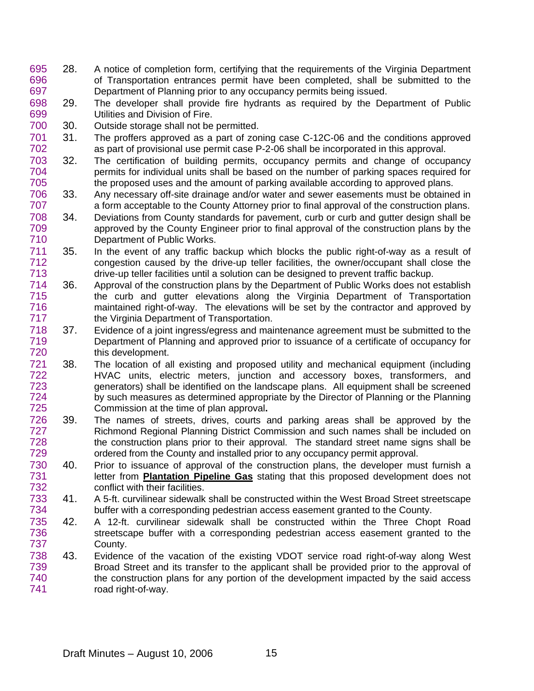- 695 696 697 28. A notice of completion form, certifying that the requirements of the Virginia Department of Transportation entrances permit have been completed, shall be submitted to the Department of Planning prior to any occupancy permits being issued.
- 698 699 29. The developer shall provide fire hydrants as required by the Department of Public Utilities and Division of Fire.
- 700 30. Outside storage shall not be permitted.
- 701 702 31. The proffers approved as a part of zoning case C-12C-06 and the conditions approved as part of provisional use permit case P-2-06 shall be incorporated in this approval.
- 703 704 705 32. The certification of building permits, occupancy permits and change of occupancy permits for individual units shall be based on the number of parking spaces required for the proposed uses and the amount of parking available according to approved plans.
- 706 707 33. Any necessary off-site drainage and/or water and sewer easements must be obtained in a form acceptable to the County Attorney prior to final approval of the construction plans.
- 708 709 710 34. Deviations from County standards for pavement, curb or curb and gutter design shall be approved by the County Engineer prior to final approval of the construction plans by the Department of Public Works.
- 711 712 713 35. In the event of any traffic backup which blocks the public right-of-way as a result of congestion caused by the drive-up teller facilities, the owner/occupant shall close the drive-up teller facilities until a solution can be designed to prevent traffic backup.
- 714 715 716 717 36. Approval of the construction plans by the Department of Public Works does not establish the curb and gutter elevations along the Virginia Department of Transportation maintained right-of-way. The elevations will be set by the contractor and approved by the Virginia Department of Transportation.
- 718 719 720 37. Evidence of a joint ingress/egress and maintenance agreement must be submitted to the Department of Planning and approved prior to issuance of a certificate of occupancy for this development.
- 721 722 723 724 725 38. The location of all existing and proposed utility and mechanical equipment (including HVAC units, electric meters, junction and accessory boxes, transformers, and generators) shall be identified on the landscape plans. All equipment shall be screened by such measures as determined appropriate by the Director of Planning or the Planning Commission at the time of plan approval**.**
- 726 727 728 729 39. The names of streets, drives, courts and parking areas shall be approved by the Richmond Regional Planning District Commission and such names shall be included on the construction plans prior to their approval. The standard street name signs shall be ordered from the County and installed prior to any occupancy permit approval.
- 730 40. Prior to issuance of approval of the construction plans, the developer must furnish a letter from **Plantation Pipeline Gas** stating that this proposed development does not conflict with their facilities. 731 732
- 733 734 41. A 5-ft. curvilinear sidewalk shall be constructed within the West Broad Street streetscape buffer with a corresponding pedestrian access easement granted to the County.
- 735 736 737 42. A 12-ft. curvilinear sidewalk shall be constructed within the Three Chopt Road streetscape buffer with a corresponding pedestrian access easement granted to the County.
- 738 739 740 741 43. Evidence of the vacation of the existing VDOT service road right-of-way along West Broad Street and its transfer to the applicant shall be provided prior to the approval of the construction plans for any portion of the development impacted by the said access road right-of-way.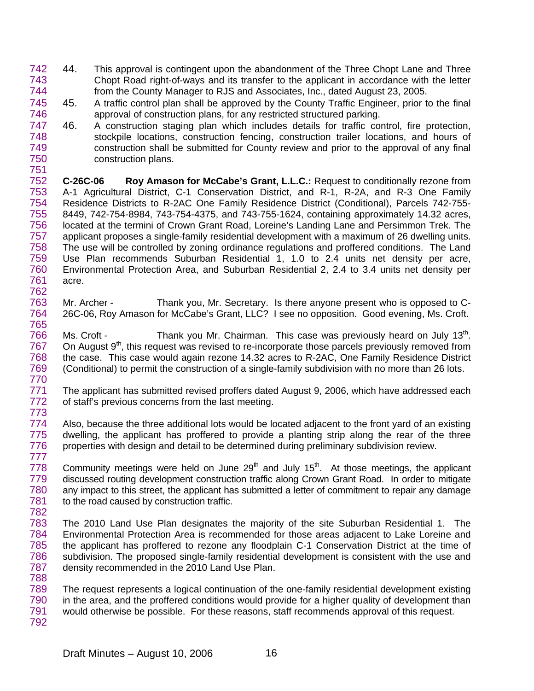- 742 743 744 44. This approval is contingent upon the abandonment of the Three Chopt Lane and Three Chopt Road right-of-ways and its transfer to the applicant in accordance with the letter from the County Manager to RJS and Associates, Inc., dated August 23, 2005.
- 745 746 45. A traffic control plan shall be approved by the County Traffic Engineer, prior to the final approval of construction plans, for any restricted structured parking.
- 747 748 749 750 751 46. A construction staging plan which includes details for traffic control, fire protection, stockpile locations, construction fencing, construction trailer locations, and hours of construction shall be submitted for County review and prior to the approval of any final construction plans.

752 753 754 755 756 757 758 759 760 761 762 **C-26C-06 Roy Amason for McCabe's Grant, L.L.C.:** Request to conditionally rezone from A-1 Agricultural District, C-1 Conservation District, and R-1, R-2A, and R-3 One Family Residence Districts to R-2AC One Family Residence District (Conditional), Parcels 742-755- 8449, 742-754-8984, 743-754-4375, and 743-755-1624, containing approximately 14.32 acres, located at the termini of Crown Grant Road, Loreine's Landing Lane and Persimmon Trek. The applicant proposes a single-family residential development with a maximum of 26 dwelling units. The use will be controlled by zoning ordinance regulations and proffered conditions. The Land Use Plan recommends Suburban Residential 1, 1.0 to 2.4 units net density per acre, Environmental Protection Area, and Suburban Residential 2, 2.4 to 3.4 units net density per acre.

763 764 765 Mr. Archer - Thank you, Mr. Secretary. Is there anyone present who is opposed to C-26C-06, Roy Amason for McCabe's Grant, LLC? I see no opposition. Good evening, Ms. Croft.

766 767 768 769 770 Ms. Croft - **Thank you Mr. Chairman.** This case was previously heard on July 13<sup>th</sup>. On August 9<sup>th</sup>, this request was revised to re-incorporate those parcels previously removed from the case. This case would again rezone 14.32 acres to R-2AC, One Family Residence District (Conditional) to permit the construction of a single-family subdivision with no more than 26 lots.

- 771 772 The applicant has submitted revised proffers dated August 9, 2006, which have addressed each of staff's previous concerns from the last meeting.
- 774 775 776 Also, because the three additional lots would be located adjacent to the front yard of an existing dwelling, the applicant has proffered to provide a planting strip along the rear of the three properties with design and detail to be determined during preliminary subdivision review.
- 778 779 780 781 782 Community meetings were held on June  $29<sup>th</sup>$  and July 15<sup>th</sup>. At those meetings, the applicant discussed routing development construction traffic along Crown Grant Road. In order to mitigate any impact to this street, the applicant has submitted a letter of commitment to repair any damage to the road caused by construction traffic.
- 783 784 785 786 787 788 The 2010 Land Use Plan designates the majority of the site Suburban Residential 1. The Environmental Protection Area is recommended for those areas adjacent to Lake Loreine and the applicant has proffered to rezone any floodplain C-1 Conservation District at the time of subdivision. The proposed single-family residential development is consistent with the use and density recommended in the 2010 Land Use Plan.
- 789 790 791 792 The request represents a logical continuation of the one-family residential development existing in the area, and the proffered conditions would provide for a higher quality of development than would otherwise be possible. For these reasons, staff recommends approval of this request.

773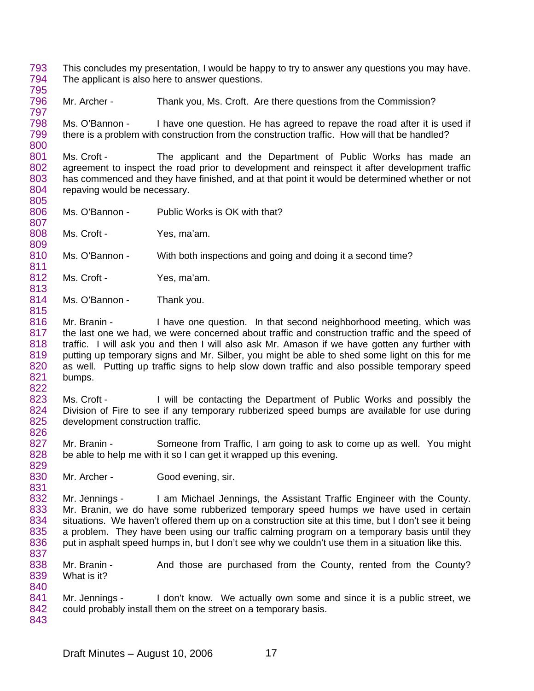- 793 794 795 This concludes my presentation, I would be happy to try to answer any questions you may have. The applicant is also here to answer questions.
- 796 797 Mr. Archer - Thank you, Ms. Croft. Are there questions from the Commission?

798 799 800 Ms. O'Bannon - I have one question. He has agreed to repave the road after it is used if there is a problem with construction from the construction traffic. How will that be handled?

801 802 803 804 Ms. Croft - The applicant and the Department of Public Works has made an agreement to inspect the road prior to development and reinspect it after development traffic has commenced and they have finished, and at that point it would be determined whether or not repaving would be necessary.

- 806 807 Ms. O'Bannon - Public Works is OK with that?
- 808 809 Ms. Croft - Yes, ma'am.

805

815

822

810 811 Ms. O'Bannon - With both inspections and going and doing it a second time?

- 812 813 Ms. Croft - Yes, ma'am.
- 814 Ms. O'Bannon - Thank you.
- 816 817 818 819 820 821 Mr. Branin - I have one question. In that second neighborhood meeting, which was the last one we had, we were concerned about traffic and construction traffic and the speed of traffic. I will ask you and then I will also ask Mr. Amason if we have gotten any further with putting up temporary signs and Mr. Silber, you might be able to shed some light on this for me as well. Putting up traffic signs to help slow down traffic and also possible temporary speed bumps.
- 823 824 825 826 Ms. Croft - I will be contacting the Department of Public Works and possibly the Division of Fire to see if any temporary rubberized speed bumps are available for use during development construction traffic.
- 827 828 829 Mr. Branin - Someone from Traffic, I am going to ask to come up as well. You might be able to help me with it so I can get it wrapped up this evening.
- 830 831 Mr. Archer - Good evening, sir.

832 833 834 835 836 837 Mr. Jennings - I am Michael Jennings, the Assistant Traffic Engineer with the County. Mr. Branin, we do have some rubberized temporary speed humps we have used in certain situations. We haven't offered them up on a construction site at this time, but I don't see it being a problem. They have been using our traffic calming program on a temporary basis until they put in asphalt speed humps in, but I don't see why we couldn't use them in a situation like this.

- 838 839 840 Mr. Branin - And those are purchased from the County, rented from the County? What is it?
- 841 842 843 Mr. Jennings - I don't know. We actually own some and since it is a public street, we could probably install them on the street on a temporary basis.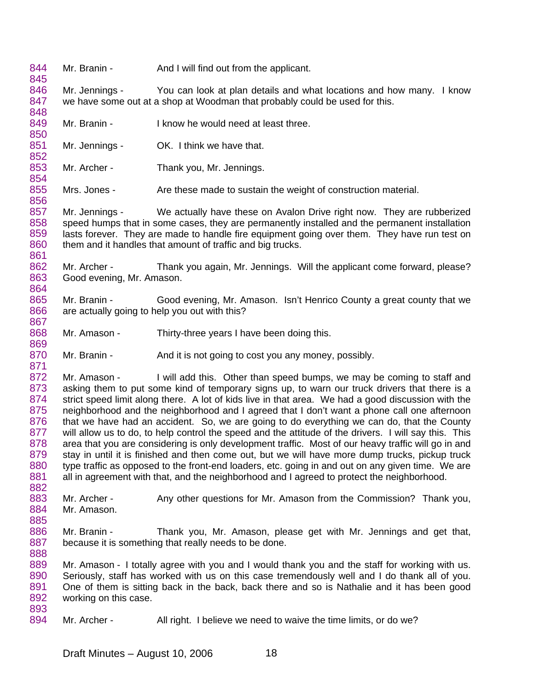844 845 846 847 848 849 850 851 852 853 854 855 856 857 858 859 860 861 862 863 864 865 866 867 868 869 870 871 872 873 874 875 876 877 878 879 880 881 882 883 884 885 886 887 888 889 890 891 892 893 894 Mr. Branin - And I will find out from the applicant. Mr. Jennings - You can look at plan details and what locations and how many. I know we have some out at a shop at Woodman that probably could be used for this. Mr. Branin - I know he would need at least three. Mr. Jennings - OK. I think we have that. Mr. Archer - Thank you, Mr. Jennings. Mrs. Jones - Are these made to sustain the weight of construction material. Mr. Jennings - We actually have these on Avalon Drive right now. They are rubberized speed humps that in some cases, they are permanently installed and the permanent installation lasts forever. They are made to handle fire equipment going over them. They have run test on them and it handles that amount of traffic and big trucks. Mr. Archer - Thank you again, Mr. Jennings. Will the applicant come forward, please? Good evening, Mr. Amason. Mr. Branin - Good evening, Mr. Amason. Isn't Henrico County a great county that we are actually going to help you out with this? Mr. Amason - Thirty-three years I have been doing this. Mr. Branin - And it is not going to cost you any money, possibly. Mr. Amason - I will add this. Other than speed bumps, we may be coming to staff and asking them to put some kind of temporary signs up, to warn our truck drivers that there is a strict speed limit along there. A lot of kids live in that area. We had a good discussion with the neighborhood and the neighborhood and I agreed that I don't want a phone call one afternoon that we have had an accident. So, we are going to do everything we can do, that the County will allow us to do, to help control the speed and the attitude of the drivers. I will say this. This area that you are considering is only development traffic. Most of our heavy traffic will go in and stay in until it is finished and then come out, but we will have more dump trucks, pickup truck type traffic as opposed to the front-end loaders, etc. going in and out on any given time. We are all in agreement with that, and the neighborhood and I agreed to protect the neighborhood. Mr. Archer - Any other questions for Mr. Amason from the Commission? Thank you, Mr. Amason. Mr. Branin - Thank you, Mr. Amason, please get with Mr. Jennings and get that, because it is something that really needs to be done. Mr. Amason - I totally agree with you and I would thank you and the staff for working with us. Seriously, staff has worked with us on this case tremendously well and I do thank all of you. One of them is sitting back in the back, back there and so is Nathalie and it has been good working on this case. Mr. Archer - All right. I believe we need to waive the time limits, or do we?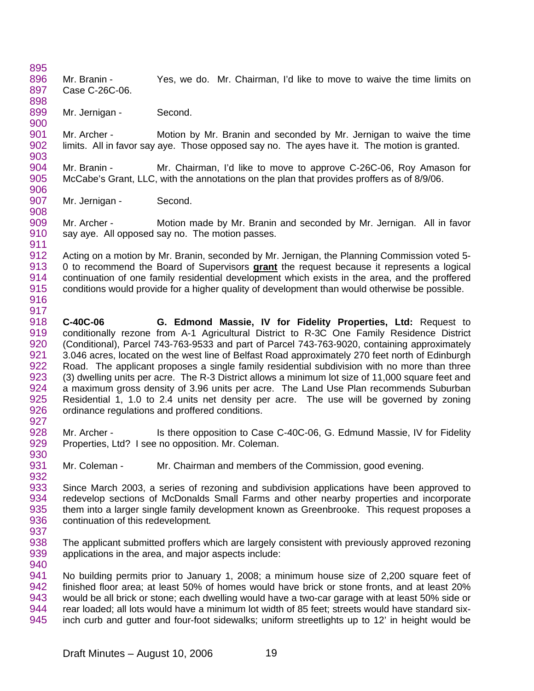895 896 897 Mr. Branin - Yes, we do. Mr. Chairman, I'd like to move to waive the time limits on Case C-26C-06.

899 Mr. Jernigan - Second.

898

900

917

927

930

940

901 902 903 Mr. Archer - Motion by Mr. Branin and seconded by Mr. Jernigan to waive the time limits. All in favor say aye. Those opposed say no. The ayes have it. The motion is granted.

- 904 905 906 Mr. Branin - Mr. Chairman, I'd like to move to approve C-26C-06, Roy Amason for McCabe's Grant, LLC, with the annotations on the plan that provides proffers as of 8/9/06.
- 907 908 Mr. Jernigan - Second.

909 910 911 Mr. Archer - Motion made by Mr. Branin and seconded by Mr. Jernigan. All in favor say aye. All opposed say no. The motion passes.

912 Acting on a motion by Mr. Branin, seconded by Mr. Jernigan, the Planning Commission voted 5- 0 to recommend the Board of Supervisors **grant** the request because it represents a logical continuation of one family residential development which exists in the area, and the proffered conditions would provide for a higher quality of development than would otherwise be possible. 913 914 915 916

- 918 919 920 921 922 923 924 925 926 **C-40C-06 G. Edmond Massie, IV for Fidelity Properties, Ltd:** Request to conditionally rezone from A-1 Agricultural District to R-3C One Family Residence District (Conditional), Parcel 743-763-9533 and part of Parcel 743-763-9020, containing approximately 3.046 acres, located on the west line of Belfast Road approximately 270 feet north of Edinburgh Road. The applicant proposes a single family residential subdivision with no more than three (3) dwelling units per acre. The R-3 District allows a minimum lot size of 11,000 square feet and a maximum gross density of 3.96 units per acre. The Land Use Plan recommends Suburban Residential 1, 1.0 to 2.4 units net density per acre. The use will be governed by zoning ordinance regulations and proffered conditions.
- 928 929 Mr. Archer - Is there opposition to Case C-40C-06, G. Edmund Massie, IV for Fidelity Properties, Ltd? I see no opposition. Mr. Coleman.

931 932 Mr. Coleman - Mr. Chairman and members of the Commission, good evening.

933 934 935 936 937 Since March 2003, a series of rezoning and subdivision applications have been approved to redevelop sections of McDonalds Small Farms and other nearby properties and incorporate them into a larger single family development known as Greenbrooke. This request proposes a continuation of this redevelopment*.* 

938 939 The applicant submitted proffers which are largely consistent with previously approved rezoning applications in the area, and major aspects include:

941 942 943 944 945 No building permits prior to January 1, 2008; a minimum house size of 2,200 square feet of finished floor area; at least 50% of homes would have brick or stone fronts, and at least 20% would be all brick or stone; each dwelling would have a two-car garage with at least 50% side or rear loaded; all lots would have a minimum lot width of 85 feet; streets would have standard sixinch curb and gutter and four-foot sidewalks; uniform streetlights up to 12' in height would be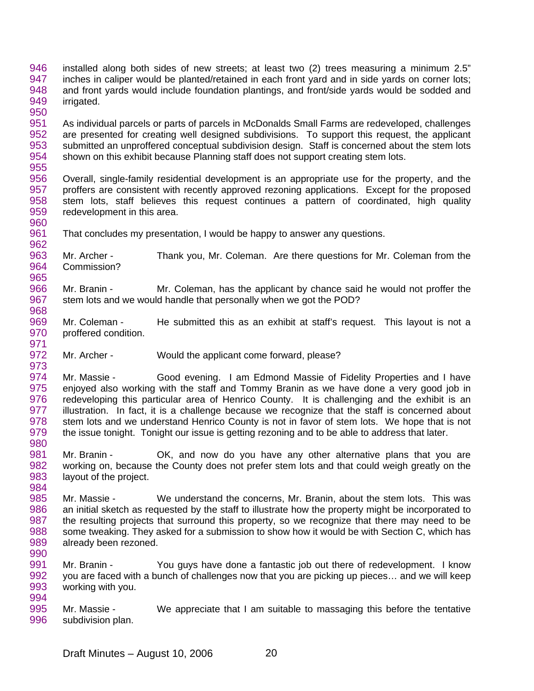- 946 947 948 949 950 installed along both sides of new streets; at least two (2) trees measuring a minimum 2.5" inches in caliper would be planted/retained in each front yard and in side yards on corner lots; and front yards would include foundation plantings, and front/side yards would be sodded and irrigated.
- 951 952 953 954 955 As individual parcels or parts of parcels in McDonalds Small Farms are redeveloped, challenges are presented for creating well designed subdivisions. To support this request, the applicant submitted an unproffered conceptual subdivision design. Staff is concerned about the stem lots shown on this exhibit because Planning staff does not support creating stem lots.
- 956 957 958 959 960 Overall, single-family residential development is an appropriate use for the property, and the proffers are consistent with recently approved rezoning applications. Except for the proposed stem lots, staff believes this request continues a pattern of coordinated, high quality redevelopment in this area.
- 961 962 That concludes my presentation, I would be happy to answer any questions.
- 963 964 965 Mr. Archer - Thank you, Mr. Coleman. Are there questions for Mr. Coleman from the Commission?
- 966 967 968 Mr. Branin - Mr. Coleman, has the applicant by chance said he would not proffer the stem lots and we would handle that personally when we got the POD?
- 969 970 Mr. Coleman - He submitted this as an exhibit at staff's request. This layout is not a proffered condition.
- 972 973 Mr. Archer - Would the applicant come forward, please?

- 974 975 976 977 978 979 980 Mr. Massie - Good evening. I am Edmond Massie of Fidelity Properties and I have enjoyed also working with the staff and Tommy Branin as we have done a very good job in redeveloping this particular area of Henrico County. It is challenging and the exhibit is an illustration. In fact, it is a challenge because we recognize that the staff is concerned about stem lots and we understand Henrico County is not in favor of stem lots. We hope that is not the issue tonight. Tonight our issue is getting rezoning and to be able to address that later.
- 981 982 983 984 Mr. Branin - OK, and now do you have any other alternative plans that you are working on, because the County does not prefer stem lots and that could weigh greatly on the layout of the project.
- 985 986 987 988 989 990 Mr. Massie - We understand the concerns, Mr. Branin, about the stem lots. This was an initial sketch as requested by the staff to illustrate how the property might be incorporated to the resulting projects that surround this property, so we recognize that there may need to be some tweaking. They asked for a submission to show how it would be with Section C, which has already been rezoned.
- 991 992 993 994 Mr. Branin - You guys have done a fantastic job out there of redevelopment. I know you are faced with a bunch of challenges now that you are picking up pieces… and we will keep working with you.
- 995 996 Mr. Massie - We appreciate that I am suitable to massaging this before the tentative subdivision plan.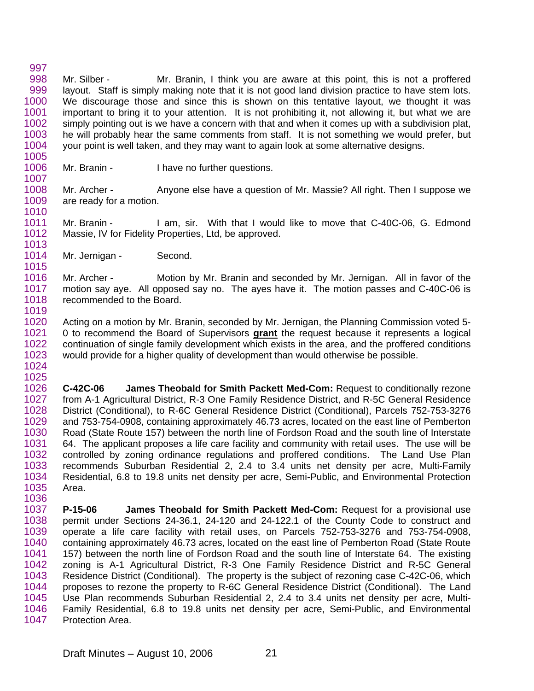997 998 999 1000 1001 1002 1003 1004 1005 Mr. Silber - Mr. Branin, I think you are aware at this point, this is not a proffered layout. Staff is simply making note that it is not good land division practice to have stem lots. We discourage those and since this is shown on this tentative layout, we thought it was important to bring it to your attention. It is not prohibiting it, not allowing it, but what we are simply pointing out is we have a concern with that and when it comes up with a subdivision plat, he will probably hear the same comments from staff. It is not something we would prefer, but your point is well taken, and they may want to again look at some alternative designs.

1006 1007 Mr. Branin - I have no further questions.

1008 1009 1010 Mr. Archer - Anyone else have a question of Mr. Massie? All right. Then I suppose we are ready for a motion.

1011 1012 1013 Mr. Branin - I am, sir. With that I would like to move that C-40C-06, G. Edmond Massie, IV for Fidelity Properties, Ltd, be approved.

1014 1015 Mr. Jernigan - Second.

1036

1016 1017 1018 1019 Mr. Archer - Motion by Mr. Branin and seconded by Mr. Jernigan. All in favor of the motion say aye. All opposed say no. The ayes have it. The motion passes and C-40C-06 is recommended to the Board.

1020 Acting on a motion by Mr. Branin, seconded by Mr. Jernigan, the Planning Commission voted 5- 0 to recommend the Board of Supervisors **grant** the request because it represents a logical continuation of single family development which exists in the area, and the proffered conditions would provide for a higher quality of development than would otherwise be possible. 1021 1022 1023 1024

1025 1026 1027 1028 1029 1030 1031 1032 1033 1034 1035 **C-42C-06 James Theobald for Smith Packett Med-Com:** Request to conditionally rezone from A-1 Agricultural District, R-3 One Family Residence District, and R-5C General Residence District (Conditional), to R-6C General Residence District (Conditional), Parcels 752-753-3276 and 753-754-0908, containing approximately 46.73 acres, located on the east line of Pemberton Road (State Route 157) between the north line of Fordson Road and the south line of Interstate 64. The applicant proposes a life care facility and community with retail uses. The use will be controlled by zoning ordinance regulations and proffered conditions. The Land Use Plan recommends Suburban Residential 2, 2.4 to 3.4 units net density per acre, Multi-Family Residential, 6.8 to 19.8 units net density per acre, Semi-Public, and Environmental Protection Area.

1037 1038 1039 1040 1041 1042 1043 1044 1045 1046 1047 **P-15-06 James Theobald for Smith Packett Med-Com:** Request for a provisional use permit under Sections 24-36.1, 24-120 and 24-122.1 of the County Code to construct and operate a life care facility with retail uses, on Parcels 752-753-3276 and 753-754-0908, containing approximately 46.73 acres, located on the east line of Pemberton Road (State Route 157) between the north line of Fordson Road and the south line of Interstate 64. The existing zoning is A-1 Agricultural District, R-3 One Family Residence District and R-5C General Residence District (Conditional). The property is the subject of rezoning case C-42C-06, which proposes to rezone the property to R-6C General Residence District (Conditional). The Land Use Plan recommends Suburban Residential 2, 2.4 to 3.4 units net density per acre, Multi-Family Residential, 6.8 to 19.8 units net density per acre, Semi-Public, and Environmental Protection Area.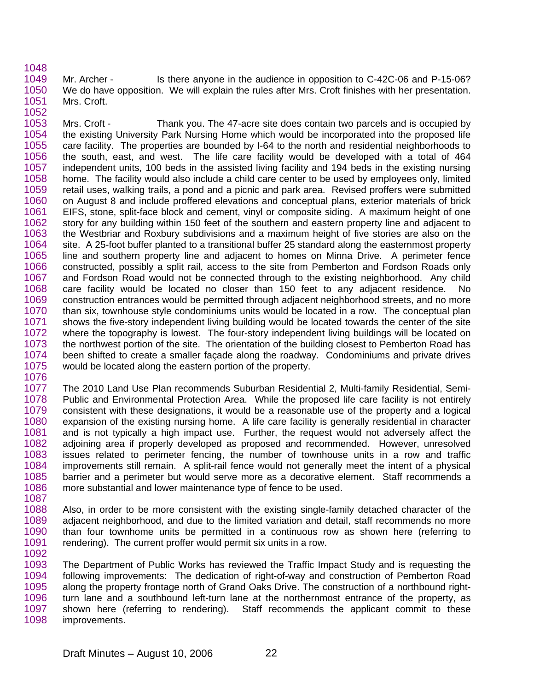1048

1049 1050 1051 1052 Mr. Archer - Is there anyone in the audience in opposition to C-42C-06 and P-15-06? We do have opposition. We will explain the rules after Mrs. Croft finishes with her presentation. Mrs. Croft.

1053 1054 1055 1056 1057 1058 1059 1060 1061 1062 1063 1064 1065 1066 1067 1068 1069 1070 1071 1072 1073 1074 1075 Mrs. Croft - Thank you. The 47-acre site does contain two parcels and is occupied by the existing University Park Nursing Home which would be incorporated into the proposed life care facility. The properties are bounded by I-64 to the north and residential neighborhoods to the south, east, and west. The life care facility would be developed with a total of 464 independent units, 100 beds in the assisted living facility and 194 beds in the existing nursing home. The facility would also include a child care center to be used by employees only, limited retail uses, walking trails, a pond and a picnic and park area. Revised proffers were submitted on August 8 and include proffered elevations and conceptual plans, exterior materials of brick EIFS, stone, split-face block and cement, vinyl or composite siding. A maximum height of one story for any building within 150 feet of the southern and eastern property line and adjacent to the Westbriar and Roxbury subdivisions and a maximum height of five stories are also on the site. A 25-foot buffer planted to a transitional buffer 25 standard along the easternmost property line and southern property line and adjacent to homes on Minna Drive. A perimeter fence constructed, possibly a split rail, access to the site from Pemberton and Fordson Roads only and Fordson Road would not be connected through to the existing neighborhood. Any child care facility would be located no closer than 150 feet to any adjacent residence. No construction entrances would be permitted through adjacent neighborhood streets, and no more than six, townhouse style condominiums units would be located in a row. The conceptual plan shows the five-story independent living building would be located towards the center of the site where the topography is lowest. The four-story independent living buildings will be located on the northwest portion of the site. The orientation of the building closest to Pemberton Road has been shifted to create a smaller façade along the roadway. Condominiums and private drives would be located along the eastern portion of the property.

1076

1077 1078 1079 1080 1081 1082 1083 1084 1085 1086 1087 The 2010 Land Use Plan recommends Suburban Residential 2, Multi-family Residential, Semi-Public and Environmental Protection Area. While the proposed life care facility is not entirely consistent with these designations, it would be a reasonable use of the property and a logical expansion of the existing nursing home. A life care facility is generally residential in character and is not typically a high impact use. Further, the request would not adversely affect the adjoining area if properly developed as proposed and recommended. However, unresolved issues related to perimeter fencing, the number of townhouse units in a row and traffic improvements still remain. A split-rail fence would not generally meet the intent of a physical barrier and a perimeter but would serve more as a decorative element. Staff recommends a more substantial and lower maintenance type of fence to be used.

1088 1089 1090 1091 1092 Also, in order to be more consistent with the existing single-family detached character of the adjacent neighborhood, and due to the limited variation and detail, staff recommends no more than four townhome units be permitted in a continuous row as shown here (referring to rendering). The current proffer would permit six units in a row.

1093 1094 1095 1096 1097 1098 The Department of Public Works has reviewed the Traffic Impact Study and is requesting the following improvements: The dedication of right-of-way and construction of Pemberton Road along the property frontage north of Grand Oaks Drive. The construction of a northbound rightturn lane and a southbound left-turn lane at the northernmost entrance of the property, as shown here (referring to rendering). Staff recommends the applicant commit to these improvements.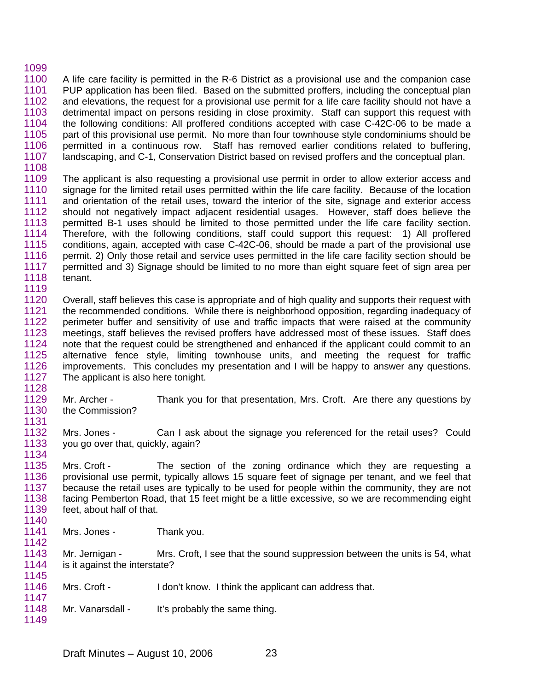## 1099

- 1100 1101 1102 1103 1104 1105 1106 1107 A life care facility is permitted in the R-6 District as a provisional use and the companion case PUP application has been filed. Based on the submitted proffers, including the conceptual plan and elevations, the request for a provisional use permit for a life care facility should not have a detrimental impact on persons residing in close proximity. Staff can support this request with the following conditions: All proffered conditions accepted with case C-42C-06 to be made a part of this provisional use permit. No more than four townhouse style condominiums should be permitted in a continuous row. Staff has removed earlier conditions related to buffering, landscaping, and C-1, Conservation District based on revised proffers and the conceptual plan.
- 1108
- 1109 1110 1111 1112 1113 1114 1115 1116 1117 1118 The applicant is also requesting a provisional use permit in order to allow exterior access and signage for the limited retail uses permitted within the life care facility. Because of the location and orientation of the retail uses, toward the interior of the site, signage and exterior access should not negatively impact adjacent residential usages. However, staff does believe the permitted B-1 uses should be limited to those permitted under the life care facility section. Therefore, with the following conditions, staff could support this request: 1) All proffered conditions, again, accepted with case C-42C-06, should be made a part of the provisional use permit. 2) Only those retail and service uses permitted in the life care facility section should be permitted and 3) Signage should be limited to no more than eight square feet of sign area per tenant.
- 1119

1134

- 1120 1121 1122 1123 1124 1125 1126 1127 1128 Overall, staff believes this case is appropriate and of high quality and supports their request with the recommended conditions. While there is neighborhood opposition, regarding inadequacy of perimeter buffer and sensitivity of use and traffic impacts that were raised at the community meetings, staff believes the revised proffers have addressed most of these issues. Staff does note that the request could be strengthened and enhanced if the applicant could commit to an alternative fence style, limiting townhouse units, and meeting the request for traffic improvements. This concludes my presentation and I will be happy to answer any questions. The applicant is also here tonight.
- 1129 1130 1131 Mr. Archer - Thank you for that presentation, Mrs. Croft. Are there any questions by the Commission?
- 1132 1133 Mrs. Jones - Can I ask about the signage you referenced for the retail uses? Could you go over that, quickly, again?
- 1135 1136 1137 1138 1139 Mrs. Croft - The section of the zoning ordinance which they are requesting a provisional use permit, typically allows 15 square feet of signage per tenant, and we feel that because the retail uses are typically to be used for people within the community, they are not facing Pemberton Road, that 15 feet might be a little excessive, so we are recommending eight feet, about half of that.
- 1141 1142 Mrs. Jones - Thank you.
- 1143 1144 1145 Mr. Jernigan - Mrs. Croft, I see that the sound suppression between the units is 54, what is it against the interstate?
- 1146 1147 Mrs. Croft - I don't know. I think the applicant can address that.
- 1148 1149 Mr. Vanarsdall - It's probably the same thing.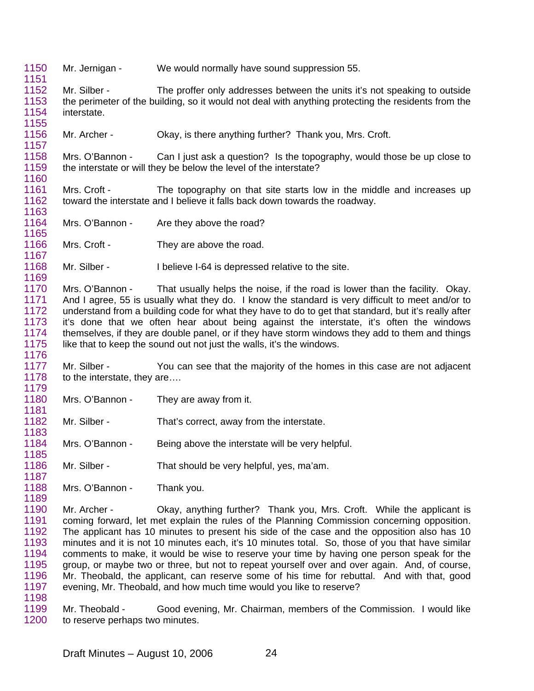- 1150 1151 Mr. Jernigan - We would normally have sound suppression 55.
- 1152 1153 1154 Mr. Silber - The proffer only addresses between the units it's not speaking to outside the perimeter of the building, so it would not deal with anything protecting the residents from the interstate.
- 1156 Mr. Archer - Okay, is there anything further? Thank you, Mrs. Croft.

1158 1159 1160 Mrs. O'Bannon - Can I just ask a question? Is the topography, would those be up close to the interstate or will they be below the level of the interstate?

1161 1162 1163 Mrs. Croft - The topography on that site starts low in the middle and increases up toward the interstate and I believe it falls back down towards the roadway.

1164 Mrs. O'Bannon - Are they above the road?

1155

1157

1165

1169

1176

1185

1187

1166 1167 Mrs. Croft - They are above the road.

1168 Mr. Silber - I believe I-64 is depressed relative to the site.

1170 1171 1172 1173 1174 1175 Mrs. O'Bannon - That usually helps the noise, if the road is lower than the facility. Okay. And I agree, 55 is usually what they do. I know the standard is very difficult to meet and/or to understand from a building code for what they have to do to get that standard, but it's really after it's done that we often hear about being against the interstate, it's often the windows themselves, if they are double panel, or if they have storm windows they add to them and things like that to keep the sound out not just the walls, it's the windows.

1177 1178 1179 Mr. Silber - You can see that the majority of the homes in this case are not adjacent to the interstate, they are….

1180 1181 Mrs. O'Bannon - They are away from it.

1182 1183 Mr. Silber - That's correct, away from the interstate.

1184 Mrs. O'Bannon - Being above the interstate will be very helpful.

1186 Mr. Silber - That should be very helpful, yes, ma'am.

1188 1189 Mrs. O'Bannon - Thank you.

1190 1191 1192 1193 1194 1195 1196 1197 1198 Mr. Archer - Okay, anything further? Thank you, Mrs. Croft. While the applicant is coming forward, let met explain the rules of the Planning Commission concerning opposition. The applicant has 10 minutes to present his side of the case and the opposition also has 10 minutes and it is not 10 minutes each, it's 10 minutes total. So, those of you that have similar comments to make, it would be wise to reserve your time by having one person speak for the group, or maybe two or three, but not to repeat yourself over and over again. And, of course, Mr. Theobald, the applicant, can reserve some of his time for rebuttal. And with that, good evening, Mr. Theobald, and how much time would you like to reserve?

1199 1200 Mr. Theobald - Good evening, Mr. Chairman, members of the Commission. I would like to reserve perhaps two minutes.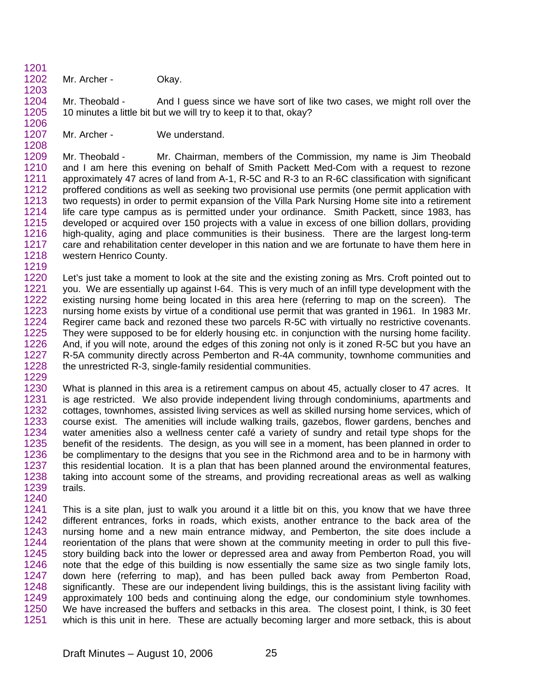1201 1202 Mr. Archer - Okay.

1203

1206

1208

1204 1205 Mr. Theobald - And I guess since we have sort of like two cases, we might roll over the 10 minutes a little bit but we will try to keep it to that, okay?

1207 Mr. Archer - We understand.

1209 1210 1211 1212 1213 1214 1215 1216 1217 1218 1219 Mr. Theobald - Mr. Chairman, members of the Commission, my name is Jim Theobald and I am here this evening on behalf of Smith Packett Med-Com with a request to rezone approximately 47 acres of land from A-1, R-5C and R-3 to an R-6C classification with significant proffered conditions as well as seeking two provisional use permits (one permit application with two requests) in order to permit expansion of the Villa Park Nursing Home site into a retirement life care type campus as is permitted under your ordinance. Smith Packett, since 1983, has developed or acquired over 150 projects with a value in excess of one billion dollars, providing high-quality, aging and place communities is their business. There are the largest long-term care and rehabilitation center developer in this nation and we are fortunate to have them here in western Henrico County.

1220 1221 1222 1223 1224 1225 1226 1227 1228 1229 Let's just take a moment to look at the site and the existing zoning as Mrs. Croft pointed out to you. We are essentially up against I-64. This is very much of an infill type development with the existing nursing home being located in this area here (referring to map on the screen). The nursing home exists by virtue of a conditional use permit that was granted in 1961. In 1983 Mr. Regirer came back and rezoned these two parcels R-5C with virtually no restrictive covenants. They were supposed to be for elderly housing etc. in conjunction with the nursing home facility. And, if you will note, around the edges of this zoning not only is it zoned R-5C but you have an R-5A community directly across Pemberton and R-4A community, townhome communities and the unrestricted R-3, single-family residential communities.

1230 1231 1232 1233 1234 1235 1236 1237 1238 1239 1240 What is planned in this area is a retirement campus on about 45, actually closer to 47 acres. It is age restricted. We also provide independent living through condominiums, apartments and cottages, townhomes, assisted living services as well as skilled nursing home services, which of course exist. The amenities will include walking trails, gazebos, flower gardens, benches and water amenities also a wellness center café a variety of sundry and retail type shops for the benefit of the residents. The design, as you will see in a moment, has been planned in order to be complimentary to the designs that you see in the Richmond area and to be in harmony with this residential location. It is a plan that has been planned around the environmental features, taking into account some of the streams, and providing recreational areas as well as walking trails.

1241 1242 1243 1244 1245 1246 1247 1248 1249 1250 1251 This is a site plan, just to walk you around it a little bit on this, you know that we have three different entrances, forks in roads, which exists, another entrance to the back area of the nursing home and a new main entrance midway, and Pemberton, the site does include a reorientation of the plans that were shown at the community meeting in order to pull this fivestory building back into the lower or depressed area and away from Pemberton Road, you will note that the edge of this building is now essentially the same size as two single family lots, down here (referring to map), and has been pulled back away from Pemberton Road, significantly. These are our independent living buildings, this is the assistant living facility with approximately 100 beds and continuing along the edge, our condominium style townhomes. We have increased the buffers and setbacks in this area. The closest point, I think, is 30 feet which is this unit in here. These are actually becoming larger and more setback, this is about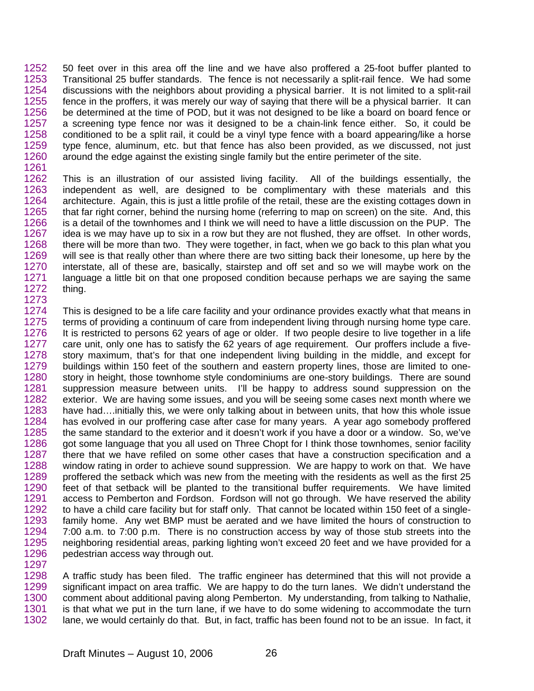1252 1253 1254 1255 1256 1257 1258 1259 1260 1261 50 feet over in this area off the line and we have also proffered a 25-foot buffer planted to Transitional 25 buffer standards. The fence is not necessarily a split-rail fence. We had some discussions with the neighbors about providing a physical barrier. It is not limited to a split-rail fence in the proffers, it was merely our way of saying that there will be a physical barrier. It can be determined at the time of POD, but it was not designed to be like a board on board fence or a screening type fence nor was it designed to be a chain-link fence either. So, it could be conditioned to be a split rail, it could be a vinyl type fence with a board appearing/like a horse type fence, aluminum, etc. but that fence has also been provided, as we discussed, not just around the edge against the existing single family but the entire perimeter of the site.

1262 1263 1264 1265 1266 1267 1268 1269 1270 1271 1272 1273 This is an illustration of our assisted living facility. All of the buildings essentially, the independent as well, are designed to be complimentary with these materials and this architecture. Again, this is just a little profile of the retail, these are the existing cottages down in that far right corner, behind the nursing home (referring to map on screen) on the site. And, this is a detail of the townhomes and I think we will need to have a little discussion on the PUP. The idea is we may have up to six in a row but they are not flushed, they are offset. In other words, there will be more than two. They were together, in fact, when we go back to this plan what you will see is that really other than where there are two sitting back their lonesome, up here by the interstate, all of these are, basically, stairstep and off set and so we will maybe work on the language a little bit on that one proposed condition because perhaps we are saying the same thing.

1274 1275 1276 1277 1278 1279 1280 1281 1282 1283 1284 1285 1286 1287 1288 1289 1290 1291 1292 1293 1294 1295 1296 This is designed to be a life care facility and your ordinance provides exactly what that means in terms of providing a continuum of care from independent living through nursing home type care. It is restricted to persons 62 years of age or older. If two people desire to live together in a life care unit, only one has to satisfy the 62 years of age requirement. Our proffers include a fivestory maximum, that's for that one independent living building in the middle, and except for buildings within 150 feet of the southern and eastern property lines, those are limited to onestory in height, those townhome style condominiums are one-story buildings. There are sound suppression measure between units. I'll be happy to address sound suppression on the exterior. We are having some issues, and you will be seeing some cases next month where we have had....initially this, we were only talking about in between units, that how this whole issue has evolved in our proffering case after case for many years. A year ago somebody proffered the same standard to the exterior and it doesn't work if you have a door or a window. So, we've got some language that you all used on Three Chopt for I think those townhomes, senior facility there that we have refiled on some other cases that have a construction specification and a window rating in order to achieve sound suppression. We are happy to work on that. We have proffered the setback which was new from the meeting with the residents as well as the first 25 feet of that setback will be planted to the transitional buffer requirements. We have limited access to Pemberton and Fordson. Fordson will not go through. We have reserved the ability to have a child care facility but for staff only. That cannot be located within 150 feet of a singlefamily home. Any wet BMP must be aerated and we have limited the hours of construction to 7:00 a.m. to 7:00 p.m. There is no construction access by way of those stub streets into the neighboring residential areas, parking lighting won't exceed 20 feet and we have provided for a pedestrian access way through out.

1298 1299 1300 1301 1302 A traffic study has been filed. The traffic engineer has determined that this will not provide a significant impact on area traffic. We are happy to do the turn lanes. We didn't understand the comment about additional paving along Pemberton. My understanding, from talking to Nathalie, is that what we put in the turn lane, if we have to do some widening to accommodate the turn lane, we would certainly do that. But, in fact, traffic has been found not to be an issue. In fact, it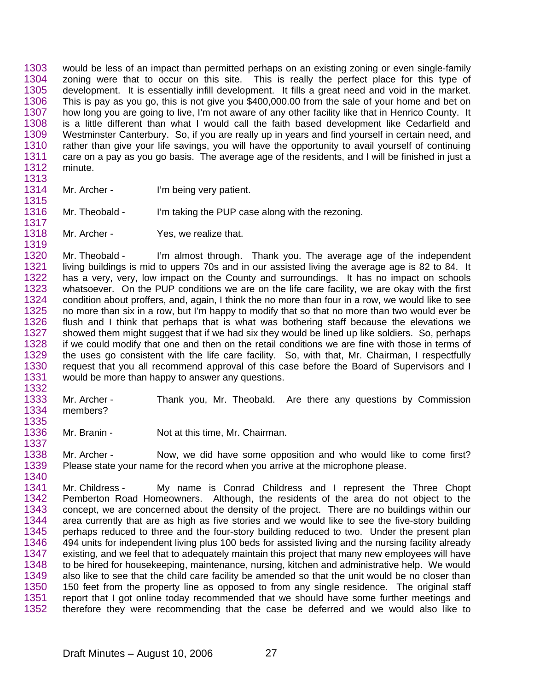1303 1304 1305 1306 1307 1308 1309 1310 1311 1312 1313 would be less of an impact than permitted perhaps on an existing zoning or even single-family zoning were that to occur on this site. This is really the perfect place for this type of development. It is essentially infill development. It fills a great need and void in the market. This is pay as you go, this is not give you \$400,000.00 from the sale of your home and bet on how long you are going to live, I'm not aware of any other facility like that in Henrico County. It is a little different than what I would call the faith based development like Cedarfield and Westminster Canterbury. So, if you are really up in years and find yourself in certain need, and rather than give your life savings, you will have the opportunity to avail yourself of continuing care on a pay as you go basis. The average age of the residents, and I will be finished in just a minute.

1314 Mr. Archer - I'm being very patient.

1315

1316 1317 Mr. Theobald - I'm taking the PUP case along with the rezoning.

1318 1319 Mr. Archer - Yes, we realize that.

1320 1321 1322 1323 1324 1325 1326 1327 1328 1329 1330 1331 1332 Mr. Theobald - I'm almost through. Thank you. The average age of the independent living buildings is mid to uppers 70s and in our assisted living the average age is 82 to 84. It has a very, very, low impact on the County and surroundings. It has no impact on schools whatsoever. On the PUP conditions we are on the life care facility, we are okay with the first condition about proffers, and, again, I think the no more than four in a row, we would like to see no more than six in a row, but I'm happy to modify that so that no more than two would ever be flush and I think that perhaps that is what was bothering staff because the elevations we showed them might suggest that if we had six they would be lined up like soldiers. So, perhaps if we could modify that one and then on the retail conditions we are fine with those in terms of the uses go consistent with the life care facility. So, with that, Mr. Chairman, I respectfully request that you all recommend approval of this case before the Board of Supervisors and I would be more than happy to answer any questions.

1333 1334 1335 Mr. Archer - Thank you, Mr. Theobald. Are there any questions by Commission members?

1336 1337 Mr. Branin - Not at this time, Mr. Chairman.

1338 1339 1340 Mr. Archer - Now, we did have some opposition and who would like to come first? Please state your name for the record when you arrive at the microphone please.

1341 1342 1343 1344 1345 1346 1347 1348 1349 1350 1351 1352 Mr. Childress - My name is Conrad Childress and I represent the Three Chopt Pemberton Road Homeowners. Although, the residents of the area do not object to the concept, we are concerned about the density of the project. There are no buildings within our area currently that are as high as five stories and we would like to see the five-story building perhaps reduced to three and the four-story building reduced to two. Under the present plan 494 units for independent living plus 100 beds for assisted living and the nursing facility already existing, and we feel that to adequately maintain this project that many new employees will have to be hired for housekeeping, maintenance, nursing, kitchen and administrative help. We would also like to see that the child care facility be amended so that the unit would be no closer than 150 feet from the property line as opposed to from any single residence. The original staff report that I got online today recommended that we should have some further meetings and therefore they were recommending that the case be deferred and we would also like to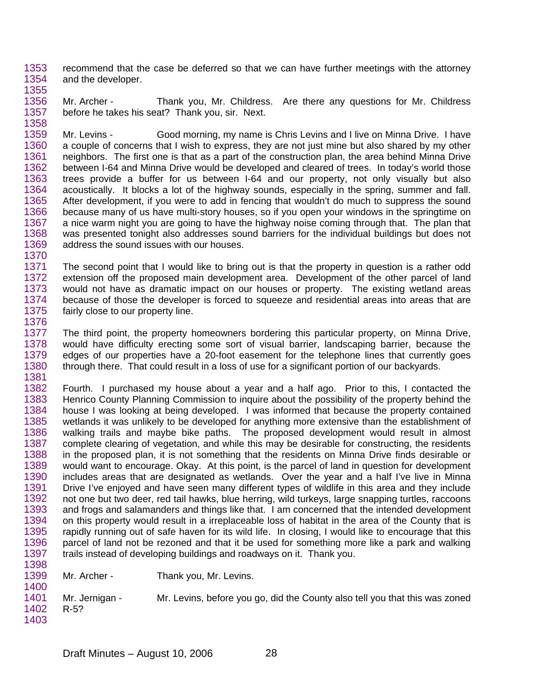1353 1354 1355 recommend that the case be deferred so that we can have further meetings with the attorney and the developer.

1356 1357 1358 Mr. Archer - Thank you, Mr. Childress. Are there any questions for Mr. Childress before he takes his seat? Thank you, sir. Next.

1359 1360 1361 1362 1363 1364 1365 1366 1367 1368 1369 1370 Mr. Levins - Good morning, my name is Chris Levins and I live on Minna Drive. I have a couple of concerns that I wish to express, they are not just mine but also shared by my other neighbors. The first one is that as a part of the construction plan, the area behind Minna Drive between I-64 and Minna Drive would be developed and cleared of trees. In today's world those trees provide a buffer for us between I-64 and our property, not only visually but also acoustically. It blocks a lot of the highway sounds, especially in the spring, summer and fall. After development, if you were to add in fencing that wouldn't do much to suppress the sound because many of us have multi-story houses, so if you open your windows in the springtime on a nice warm night you are going to have the highway noise coming through that. The plan that was presented tonight also addresses sound barriers for the individual buildings but does not address the sound issues with our houses.

1371 1372 1373 1374 1375 1376 The second point that I would like to bring out is that the property in question is a rather odd extension off the proposed main development area. Development of the other parcel of land would not have as dramatic impact on our houses or property. The existing wetland areas because of those the developer is forced to squeeze and residential areas into areas that are fairly close to our property line.

1377 1378 1379 1380 1381 The third point, the property homeowners bordering this particular property, on Minna Drive, would have difficulty erecting some sort of visual barrier, landscaping barrier, because the edges of our properties have a 20-foot easement for the telephone lines that currently goes through there. That could result in a loss of use for a significant portion of our backyards.

1382 1383 1384 1385 1386 1387 1388 1389 1390 1391 1392 1393 1394 1395 1396 1397 1398 Fourth. I purchased my house about a year and a half ago. Prior to this, I contacted the Henrico County Planning Commission to inquire about the possibility of the property behind the house I was looking at being developed. I was informed that because the property contained wetlands it was unlikely to be developed for anything more extensive than the establishment of walking trails and maybe bike paths. The proposed development would result in almost complete clearing of vegetation, and while this may be desirable for constructing, the residents in the proposed plan, it is not something that the residents on Minna Drive finds desirable or would want to encourage. Okay. At this point, is the parcel of land in question for development includes areas that are designated as wetlands. Over the year and a half I've live in Minna Drive I've enjoyed and have seen many different types of wildlife in this area and they include not one but two deer, red tail hawks, blue herring, wild turkeys, large snapping turtles, raccoons and frogs and salamanders and things like that. I am concerned that the intended development on this property would result in a irreplaceable loss of habitat in the area of the County that is rapidly running out of safe haven for its wild life. In closing, I would like to encourage that this parcel of land not be rezoned and that it be used for something more like a park and walking trails instead of developing buildings and roadways on it. Thank you.

1399 1400 1401 1402 1403 Mr. Archer - Thank you, Mr. Levins. Mr. Jernigan - Mr. Levins, before you go, did the County also tell you that this was zoned R-5?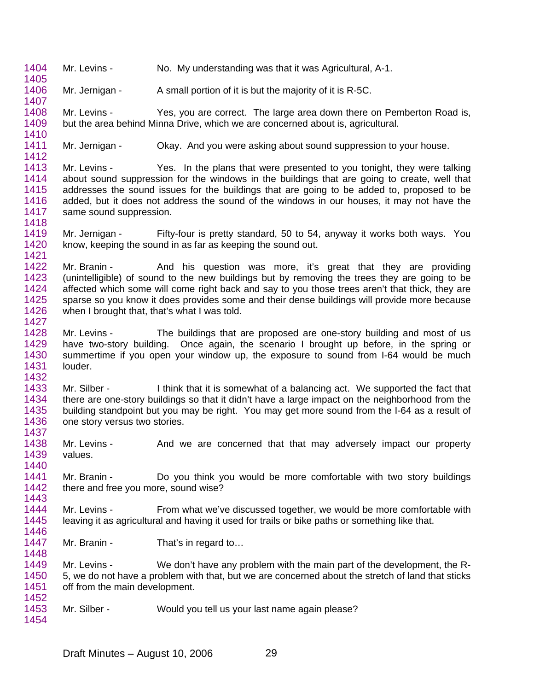1404 1405 Mr. Levins - No. My understanding was that it was Agricultural, A-1.

1406 1407 Mr. Jernigan - A small portion of it is but the majority of it is R-5C.

1408 1409 1410 Mr. Levins - Yes, you are correct. The large area down there on Pemberton Road is, but the area behind Minna Drive, which we are concerned about is, agricultural.

1411 1412 Mr. Jernigan - Okay. And you were asking about sound suppression to your house.

1413 1414 1415 1416 1417 1418 Mr. Levins - Yes. In the plans that were presented to you tonight, they were talking about sound suppression for the windows in the buildings that are going to create, well that addresses the sound issues for the buildings that are going to be added to, proposed to be added, but it does not address the sound of the windows in our houses, it may not have the same sound suppression.

1419 1420 1421 Mr. Jernigan - Fifty-four is pretty standard, 50 to 54, anyway it works both ways. You know, keeping the sound in as far as keeping the sound out.

1422 1423 1424 1425 1426 1427 Mr. Branin - And his question was more, it's great that they are providing (unintelligible) of sound to the new buildings but by removing the trees they are going to be affected which some will come right back and say to you those trees aren't that thick, they are sparse so you know it does provides some and their dense buildings will provide more because when I brought that, that's what I was told.

1428 1429 1430 1431 1432 Mr. Levins - The buildings that are proposed are one-story building and most of us have two-story building. Once again, the scenario I brought up before, in the spring or summertime if you open your window up, the exposure to sound from I-64 would be much louder.

1433 1434 1435 1436 Mr. Silber - I think that it is somewhat of a balancing act. We supported the fact that there are one-story buildings so that it didn't have a large impact on the neighborhood from the building standpoint but you may be right. You may get more sound from the I-64 as a result of one story versus two stories.

1438 1439 Mr. Levins - And we are concerned that that may adversely impact our property values.

1441 1442 Mr. Branin - Do you think you would be more comfortable with two story buildings there and free you more, sound wise?

1444 1445 1446 Mr. Levins - From what we've discussed together, we would be more comfortable with leaving it as agricultural and having it used for trails or bike paths or something like that.

1447 1448 Mr. Branin - That's in regard to...

1437

1440

1443

1449 1450 1451 1452 Mr. Levins - We don't have any problem with the main part of the development, the R-5, we do not have a problem with that, but we are concerned about the stretch of land that sticks off from the main development.

1453 1454 Mr. Silber - Would you tell us your last name again please?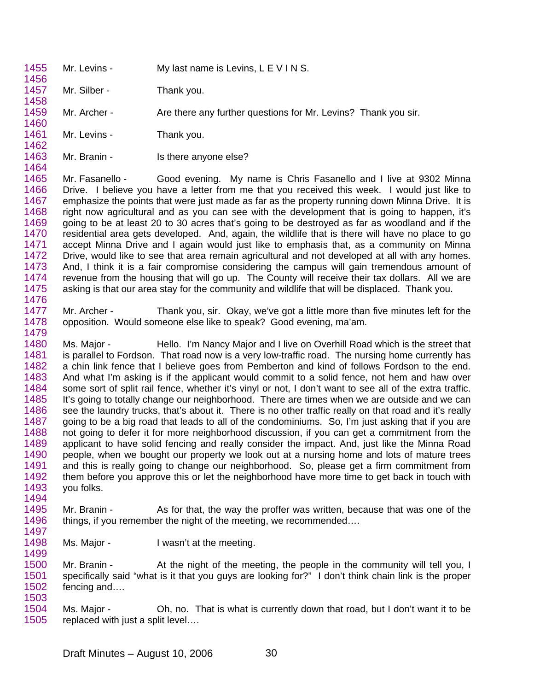1455 1456 1457 1458 1459 1460 1461 1462 1463 1464 1465 1466 Mr. Levins - My last name is Levins, L E V I N S. Mr. Silber - Thank you. Mr. Archer - Are there any further questions for Mr. Levins? Thank you sir. Mr. Levins - Thank you. Mr. Branin - Is there anyone else? Mr. Fasanello - Good evening. My name is Chris Fasanello and I live at 9302 Minna

1467 1468 1469 1470 1471 1472 1473 1474 1475 1476 Drive. I believe you have a letter from me that you received this week. I would just like to emphasize the points that were just made as far as the property running down Minna Drive. It is right now agricultural and as you can see with the development that is going to happen, it's going to be at least 20 to 30 acres that's going to be destroyed as far as woodland and if the residential area gets developed. And, again, the wildlife that is there will have no place to go accept Minna Drive and I again would just like to emphasis that, as a community on Minna Drive, would like to see that area remain agricultural and not developed at all with any homes. And, I think it is a fair compromise considering the campus will gain tremendous amount of revenue from the housing that will go up. The County will receive their tax dollars. All we are asking is that our area stay for the community and wildlife that will be displaced. Thank you.

1477 1478 1479 Mr. Archer - Thank you, sir. Okay, we've got a little more than five minutes left for the opposition. Would someone else like to speak? Good evening, ma'am.

1480 1481 1482 1483 1484 1485 1486 1487 1488 1489 1490 1491 1492 1493 1494 Ms. Major - Hello. I'm Nancy Major and I live on Overhill Road which is the street that is parallel to Fordson. That road now is a very low-traffic road. The nursing home currently has a chin link fence that I believe goes from Pemberton and kind of follows Fordson to the end. And what I'm asking is if the applicant would commit to a solid fence, not hem and haw over some sort of split rail fence, whether it's vinyl or not, I don't want to see all of the extra traffic. It's going to totally change our neighborhood. There are times when we are outside and we can see the laundry trucks, that's about it. There is no other traffic really on that road and it's really going to be a big road that leads to all of the condominiums. So, I'm just asking that if you are not going to defer it for more neighborhood discussion, if you can get a commitment from the applicant to have solid fencing and really consider the impact. And, just like the Minna Road people, when we bought our property we look out at a nursing home and lots of mature trees and this is really going to change our neighborhood. So, please get a firm commitment from them before you approve this or let the neighborhood have more time to get back in touch with you folks.

- 1495 1496 Mr. Branin - As for that, the way the proffer was written, because that was one of the things, if you remember the night of the meeting, we recommended….
- 1498 1499 Ms. Major - I wasn't at the meeting.

1497

1500 1501 1502 1503 Mr. Branin - At the night of the meeting, the people in the community will tell you, I specifically said "what is it that you guys are looking for?" I don't think chain link is the proper fencing and….

1504 1505 Ms. Major - Oh, no. That is what is currently down that road, but I don't want it to be replaced with just a split level….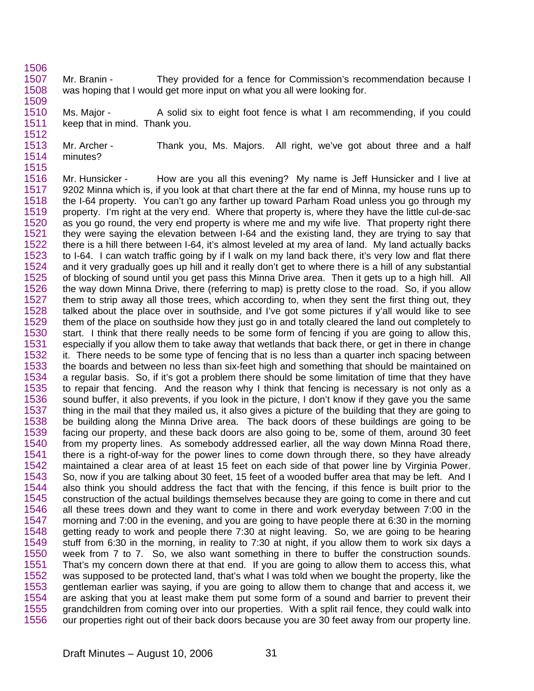1506 1507 1508 1509 Mr. Branin - They provided for a fence for Commission's recommendation because I was hoping that I would get more input on what you all were looking for.

1510 1511 1512 Ms. Major - A solid six to eight foot fence is what I am recommending, if you could keep that in mind. Thank you.

1513 1514 1515 Mr. Archer - Thank you, Ms. Majors. All right, we've got about three and a half minutes?

1516 1517 1518 1519 1520 1521 1522 1523 1524 1525 1526 1527 1528 1529 1530 1531 1532 1533 1534 1535 1536 1537 1538 1539 1540 1541 1542 1543 1544 1545 1546 1547 1548 1549 1550 1551 1552 1553 1554 1555 1556 Mr. Hunsicker - How are you all this evening? My name is Jeff Hunsicker and I live at 9202 Minna which is, if you look at that chart there at the far end of Minna, my house runs up to the I-64 property. You can't go any farther up toward Parham Road unless you go through my property. I'm right at the very end. Where that property is, where they have the little cul-de-sac as you go round, the very end property is where me and my wife live. That property right there they were saying the elevation between I-64 and the existing land, they are trying to say that there is a hill there between I-64, it's almost leveled at my area of land. My land actually backs to I-64. I can watch traffic going by if I walk on my land back there, it's very low and flat there and it very gradually goes up hill and it really don't get to where there is a hill of any substantial of blocking of sound until you get pass this Minna Drive area. Then it gets up to a high hill. All the way down Minna Drive, there (referring to map) is pretty close to the road. So, if you allow them to strip away all those trees, which according to, when they sent the first thing out, they talked about the place over in southside, and I've got some pictures if y'all would like to see them of the place on southside how they just go in and totally cleared the land out completely to start. I think that there really needs to be some form of fencing if you are going to allow this, especially if you allow them to take away that wetlands that back there, or get in there in change it. There needs to be some type of fencing that is no less than a quarter inch spacing between the boards and between no less than six-feet high and something that should be maintained on a regular basis. So, if it's got a problem there should be some limitation of time that they have to repair that fencing. And the reason why I think that fencing is necessary is not only as a sound buffer, it also prevents, if you look in the picture, I don't know if they gave you the same thing in the mail that they mailed us, it also gives a picture of the building that they are going to be building along the Minna Drive area. The back doors of these buildings are going to be facing our property, and these back doors are also going to be, some of them, around 30 feet from my property lines. As somebody addressed earlier, all the way down Minna Road there, there is a right-of-way for the power lines to come down through there, so they have already maintained a clear area of at least 15 feet on each side of that power line by Virginia Power. So, now if you are talking about 30 feet, 15 feet of a wooded buffer area that may be left. And I also think you should address the fact that with the fencing, if this fence is built prior to the construction of the actual buildings themselves because they are going to come in there and cut all these trees down and they want to come in there and work everyday between 7:00 in the morning and 7:00 in the evening, and you are going to have people there at 6:30 in the morning getting ready to work and people there 7:30 at night leaving. So, we are going to be hearing stuff from 6:30 in the morning, in reality to 7:30 at night, if you allow them to work six days a week from 7 to 7. So, we also want something in there to buffer the construction sounds. That's my concern down there at that end. If you are going to allow them to access this, what was supposed to be protected land, that's what I was told when we bought the property, like the gentleman earlier was saying, if you are going to allow them to change that and access it, we are asking that you at least make them put some form of a sound and barrier to prevent their grandchildren from coming over into our properties. With a split rail fence, they could walk into our properties right out of their back doors because you are 30 feet away from our property line.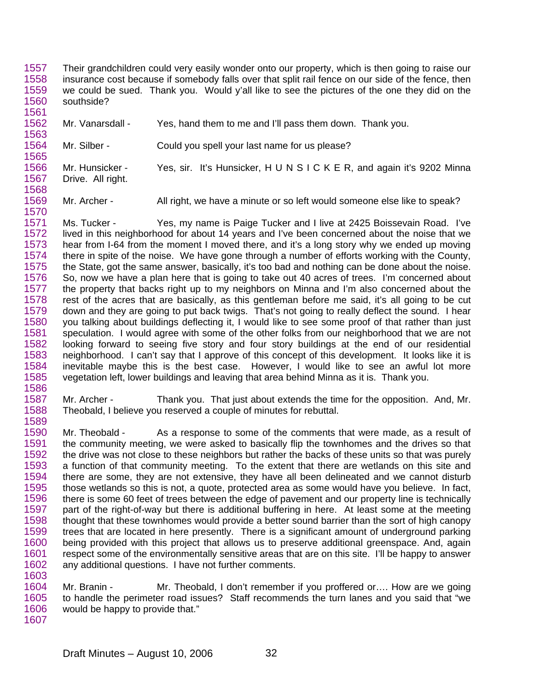1557 1558 1559 1560 1561 Their grandchildren could very easily wonder onto our property, which is then going to raise our insurance cost because if somebody falls over that split rail fence on our side of the fence, then we could be sued. Thank you. Would y'all like to see the pictures of the one they did on the southside?

1562 1563 Mr. Vanarsdall - Yes, hand them to me and I'll pass them down. Thank you.

1564 1565 Mr. Silber - Could you spell your last name for us please?

1568

1589

1566 1567 Mr. Hunsicker - Yes, sir. It's Hunsicker, H U N S I C K E R, and again it's 9202 Minna Drive. All right.

1569 1570 Mr. Archer - All right, we have a minute or so left would someone else like to speak?

1571 1572 1573 1574 1575 1576 1577 1578 1579 1580 1581 1582 1583 1584 1585 1586 Ms. Tucker - Yes, my name is Paige Tucker and I live at 2425 Boissevain Road. I've lived in this neighborhood for about 14 years and I've been concerned about the noise that we hear from I-64 from the moment I moved there, and it's a long story why we ended up moving there in spite of the noise. We have gone through a number of efforts working with the County, the State, got the same answer, basically, it's too bad and nothing can be done about the noise. So, now we have a plan here that is going to take out 40 acres of trees. I'm concerned about the property that backs right up to my neighbors on Minna and I'm also concerned about the rest of the acres that are basically, as this gentleman before me said, it's all going to be cut down and they are going to put back twigs. That's not going to really deflect the sound. I hear you talking about buildings deflecting it, I would like to see some proof of that rather than just speculation. I would agree with some of the other folks from our neighborhood that we are not looking forward to seeing five story and four story buildings at the end of our residential neighborhood. I can't say that I approve of this concept of this development. It looks like it is inevitable maybe this is the best case. However, I would like to see an awful lot more vegetation left, lower buildings and leaving that area behind Minna as it is. Thank you.

1587 1588 Mr. Archer - Thank you. That just about extends the time for the opposition. And, Mr. Theobald, I believe you reserved a couple of minutes for rebuttal.

1590 1591 1592 1593 1594 1595 1596 1597 1598 1599 1600 1601 1602 1603 Mr. Theobald - As a response to some of the comments that were made, as a result of the community meeting, we were asked to basically flip the townhomes and the drives so that the drive was not close to these neighbors but rather the backs of these units so that was purely a function of that community meeting. To the extent that there are wetlands on this site and there are some, they are not extensive, they have all been delineated and we cannot disturb those wetlands so this is not, a quote, protected area as some would have you believe. In fact, there is some 60 feet of trees between the edge of pavement and our property line is technically part of the right-of-way but there is additional buffering in here. At least some at the meeting thought that these townhomes would provide a better sound barrier than the sort of high canopy trees that are located in here presently. There is a significant amount of underground parking being provided with this project that allows us to preserve additional greenspace. And, again respect some of the environmentally sensitive areas that are on this site. I'll be happy to answer any additional questions. I have not further comments.

1604 1605 1606 1607 Mr. Branin - Mr. Theobald, I don't remember if you proffered or.... How are we going to handle the perimeter road issues? Staff recommends the turn lanes and you said that "we would be happy to provide that."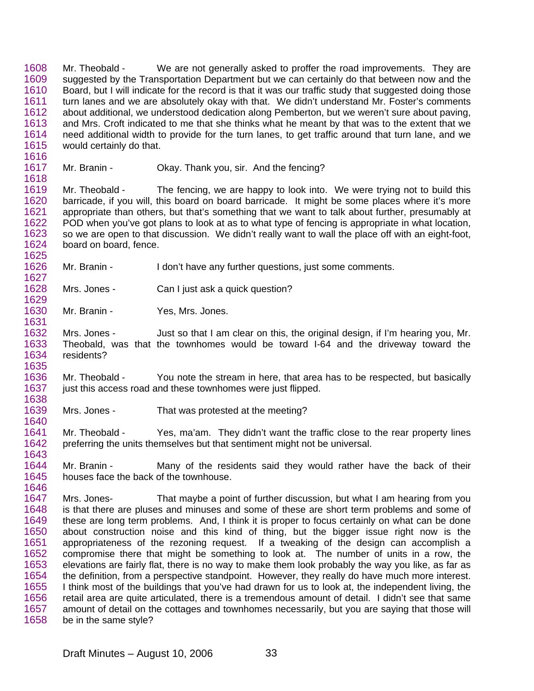1608 1609 1610 1611 1612 1613 1614 1615 Mr. Theobald - We are not generally asked to proffer the road improvements. They are suggested by the Transportation Department but we can certainly do that between now and the Board, but I will indicate for the record is that it was our traffic study that suggested doing those turn lanes and we are absolutely okay with that. We didn't understand Mr. Foster's comments about additional, we understood dedication along Pemberton, but we weren't sure about paving, and Mrs. Croft indicated to me that she thinks what he meant by that was to the extent that we need additional width to provide for the turn lanes, to get traffic around that turn lane, and we would certainly do that.

1617 1618 Mr. Branin - Okay. Thank you, sir. And the fencing?

1619 1620 1621 1622 1623 1624 1625 Mr. Theobald - The fencing, we are happy to look into. We were trying not to build this barricade, if you will, this board on board barricade. It might be some places where it's more appropriate than others, but that's something that we want to talk about further, presumably at POD when you've got plans to look at as to what type of fencing is appropriate in what location, so we are open to that discussion. We didn't really want to wall the place off with an eight-foot, board on board, fence.

- 1626 Mr. Branin - I don't have any further questions, just some comments.
- 1628 1629 Mrs. Jones - Can I just ask a quick question?
- 1630 1631 Mr. Branin - Yes, Mrs. Jones.

1616

1627

1640

1632 1633 1634 1635 Mrs. Jones - Just so that I am clear on this, the original design, if I'm hearing you, Mr. Theobald, was that the townhomes would be toward I-64 and the driveway toward the residents?

1636 1637 1638 Mr. Theobald - You note the stream in here, that area has to be respected, but basically just this access road and these townhomes were just flipped.

1639 Mrs. Jones - That was protested at the meeting?

1641 1642 1643 Mr. Theobald - Yes, ma'am. They didn't want the traffic close to the rear property lines preferring the units themselves but that sentiment might not be universal.

1644 1645 1646 Mr. Branin - Many of the residents said they would rather have the back of their houses face the back of the townhouse.

1647 1648 1649 1650 1651 1652 1653 1654 1655 1656 1657 1658 Mrs. Jones- That maybe a point of further discussion, but what I am hearing from you is that there are pluses and minuses and some of these are short term problems and some of these are long term problems. And, I think it is proper to focus certainly on what can be done about construction noise and this kind of thing, but the bigger issue right now is the appropriateness of the rezoning request. If a tweaking of the design can accomplish a compromise there that might be something to look at. The number of units in a row, the elevations are fairly flat, there is no way to make them look probably the way you like, as far as the definition, from a perspective standpoint. However, they really do have much more interest. I think most of the buildings that you've had drawn for us to look at, the independent living, the retail area are quite articulated, there is a tremendous amount of detail. I didn't see that same amount of detail on the cottages and townhomes necessarily, but you are saying that those will be in the same style?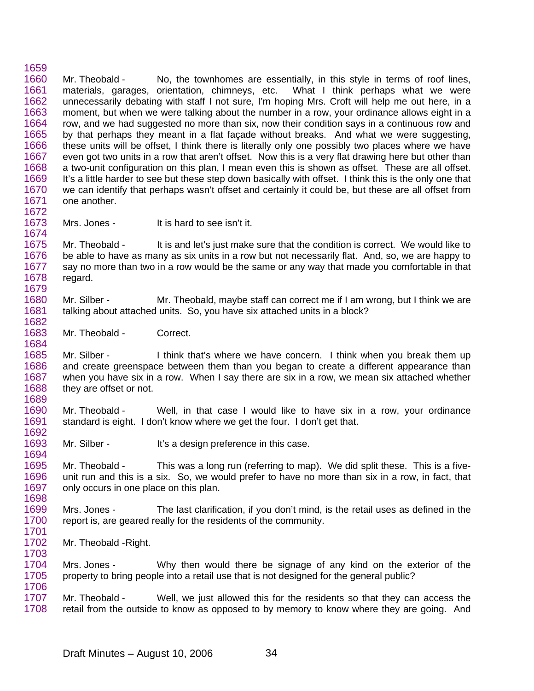1659 1660 1661 1662 1663 1664 1665 1666 1667 1668 1669 1670 1671 1672 Mr. Theobald - No, the townhomes are essentially, in this style in terms of roof lines, materials, garages, orientation, chimneys, etc. What I think perhaps what we were unnecessarily debating with staff I not sure, I'm hoping Mrs. Croft will help me out here, in a moment, but when we were talking about the number in a row, your ordinance allows eight in a row, and we had suggested no more than six, now their condition says in a continuous row and by that perhaps they meant in a flat façade without breaks. And what we were suggesting, these units will be offset, I think there is literally only one possibly two places where we have even got two units in a row that aren't offset. Now this is a very flat drawing here but other than a two-unit configuration on this plan, I mean even this is shown as offset. These are all offset. It's a little harder to see but these step down basically with offset. I think this is the only one that we can identify that perhaps wasn't offset and certainly it could be, but these are all offset from one another.

1673 1674 Mrs. Jones - It is hard to see isn't it.

1675 1676 1677 1678 1679 Mr. Theobald - It is and let's just make sure that the condition is correct. We would like to be able to have as many as six units in a row but not necessarily flat. And, so, we are happy to say no more than two in a row would be the same or any way that made you comfortable in that regard.

1680 1681 1682 Mr. Silber - Mr. Theobald, maybe staff can correct me if I am wrong, but I think we are talking about attached units. So, you have six attached units in a block?

1683 Mr. Theobald - Correct.

1684

1703

1685 1686 1687 1688 1689 Mr. Silber - I think that's where we have concern. I think when you break them up and create greenspace between them than you began to create a different appearance than when you have six in a row. When I say there are six in a row, we mean six attached whether they are offset or not.

1690 1691 1692 Mr. Theobald - Well, in that case I would like to have six in a row, your ordinance standard is eight. I don't know where we get the four. I don't get that.

1693 1694 Mr. Silber - It's a design preference in this case.

1695 1696 1697 1698 Mr. Theobald - This was a long run (referring to map). We did split these. This is a fiveunit run and this is a six. So, we would prefer to have no more than six in a row, in fact, that only occurs in one place on this plan.

1699 1700 1701 Mrs. Jones - The last clarification, if you don't mind, is the retail uses as defined in the report is, are geared really for the residents of the community.

1702 Mr. Theobald - Right.

1704 1705 1706 Mrs. Jones - Why then would there be signage of any kind on the exterior of the property to bring people into a retail use that is not designed for the general public?

1707 1708 Mr. Theobald - Well, we just allowed this for the residents so that they can access the retail from the outside to know as opposed to by memory to know where they are going. And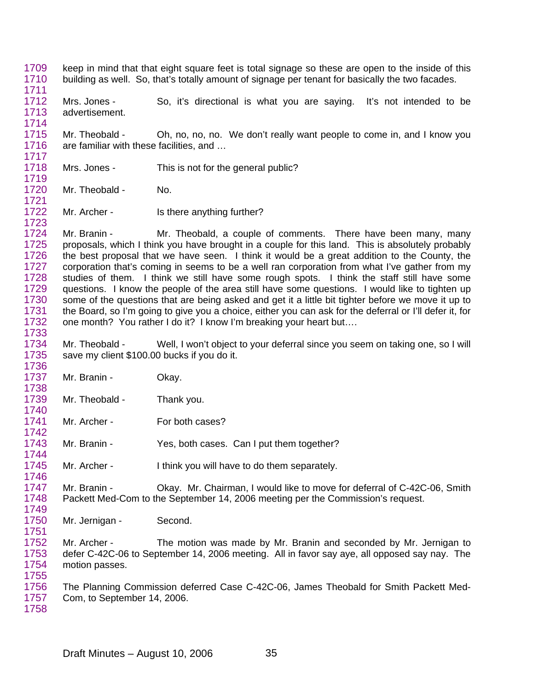- 1709 1710 keep in mind that that eight square feet is total signage so these are open to the inside of this building as well. So, that's totally amount of signage per tenant for basically the two facades.
- 1712 1713 Mrs. Jones - So, it's directional is what you are saying. It's not intended to be advertisement.
- 1715 1716 1717 Mr. Theobald - Oh, no, no, no. We don't really want people to come in, and I know you are familiar with these facilities, and …
- 1718 Mrs. Jones - This is not for the general public?
- 1720 Mr. Theobald - No.

1711

1714

1719

1721

1723

1738

1740

1742

1744

1751

1722 Mr. Archer - Is there anything further?

1724 1725 1726 1727 1728 1729 1730 1731 1732 1733 Mr. Branin - Mr. Theobald, a couple of comments. There have been many, many proposals, which I think you have brought in a couple for this land. This is absolutely probably the best proposal that we have seen. I think it would be a great addition to the County, the corporation that's coming in seems to be a well ran corporation from what I've gather from my studies of them. I think we still have some rough spots. I think the staff still have some questions. I know the people of the area still have some questions. I would like to tighten up some of the questions that are being asked and get it a little bit tighter before we move it up to the Board, so I'm going to give you a choice, either you can ask for the deferral or I'll defer it, for one month? You rather I do it? I know I'm breaking your heart but….

1734 1735 1736 Mr. Theobald - Well, I won't object to your deferral since you seem on taking one, so I will save my client \$100.00 bucks if you do it.

- 1737 Mr. Branin - Okay.
- 1739 Mr. Theobald - Thank you.
- 1741 Mr. Archer - For both cases?
- 1743 Mr. Branin - Yes, both cases. Can I put them together?
- 1745 1746 Mr. Archer - I think you will have to do them separately.
- 1747 1748 1749 Mr. Branin - Okay. Mr. Chairman, I would like to move for deferral of C-42C-06, Smith Packett Med-Com to the September 14, 2006 meeting per the Commission's request.
- 1750 Mr. Jernigan - Second.
- 1752 1753 1754 1755 Mr. Archer - The motion was made by Mr. Branin and seconded by Mr. Jernigan to defer C-42C-06 to September 14, 2006 meeting. All in favor say aye, all opposed say nay. The motion passes.
- 1756 1757 The Planning Commission deferred Case C-42C-06, James Theobald for Smith Packett Med-Com, to September 14, 2006.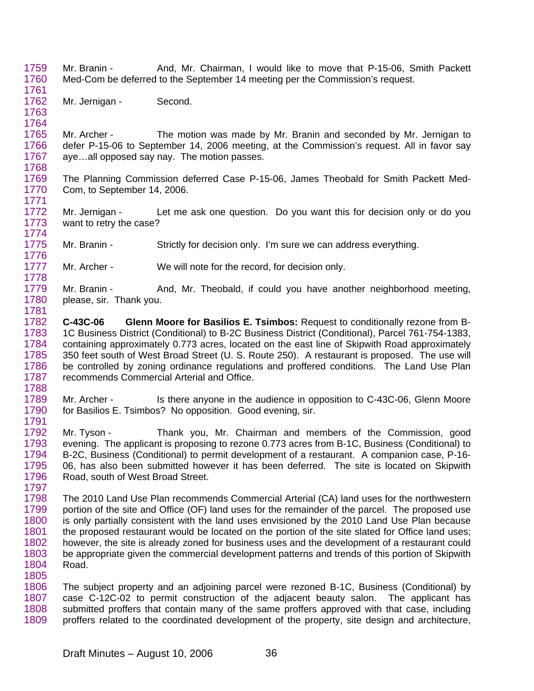- 1759 1760 1761 Mr. Branin - And, Mr. Chairman, I would like to move that P-15-06, Smith Packett Med-Com be deferred to the September 14 meeting per the Commission's request.
- 1762 1763 Mr. Jernigan - Second.

1764

1778

1765 1766 1767 1768 Mr. Archer - The motion was made by Mr. Branin and seconded by Mr. Jernigan to defer P-15-06 to September 14, 2006 meeting, at the Commission's request. All in favor say aye…all opposed say nay. The motion passes.

1769 1770 1771 The Planning Commission deferred Case P-15-06, James Theobald for Smith Packett Med-Com, to September 14, 2006.

1772 1773 1774 Mr. Jernigan - Let me ask one question. Do you want this for decision only or do you want to retry the case?

1775 1776 Mr. Branin - Strictly for decision only. I'm sure we can address everything.

1777 Mr. Archer - We will note for the record, for decision only.

1779 1780 1781 Mr. Branin - And, Mr. Theobald, if could you have another neighborhood meeting, please, sir. Thank you.

1782 1783 1784 1785 1786 1787 1788 **C-43C-06 Glenn Moore for Basilios E. Tsimbos:** Request to conditionally rezone from B-1C Business District (Conditional) to B-2C Business District (Conditional), Parcel 761-754-1383, containing approximately 0.773 acres, located on the east line of Skipwith Road approximately 350 feet south of West Broad Street (U. S. Route 250). A restaurant is proposed. The use will be controlled by zoning ordinance regulations and proffered conditions. The Land Use Plan recommends Commercial Arterial and Office.

1789 1790 1791 Mr. Archer - Is there anyone in the audience in opposition to C-43C-06, Glenn Moore for Basilios E. Tsimbos? No opposition. Good evening, sir.

1792 1793 1794 1795 1796 1797 Mr. Tyson - Thank you, Mr. Chairman and members of the Commission, good evening. The applicant is proposing to rezone 0.773 acres from B-1C, Business (Conditional) to B-2C, Business (Conditional) to permit development of a restaurant. A companion case, P-16- 06, has also been submitted however it has been deferred. The site is located on Skipwith Road, south of West Broad Street.

1798 1799 1800 1801 1802 1803 1804 1805 The 2010 Land Use Plan recommends Commercial Arterial (CA) land uses for the northwestern portion of the site and Office (OF) land uses for the remainder of the parcel. The proposed use is only partially consistent with the land uses envisioned by the 2010 Land Use Plan because the proposed restaurant would be located on the portion of the site slated for Office land uses; however, the site is already zoned for business uses and the development of a restaurant could be appropriate given the commercial development patterns and trends of this portion of Skipwith Road.

1806 1807 1808 1809 The subject property and an adjoining parcel were rezoned B-1C, Business (Conditional) by case C-12C-02 to permit construction of the adjacent beauty salon. The applicant has submitted proffers that contain many of the same proffers approved with that case, including proffers related to the coordinated development of the property, site design and architecture,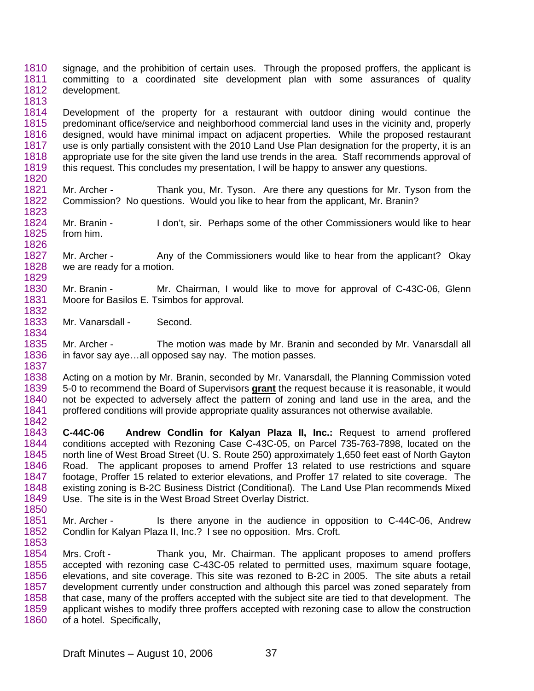1810 1811 1812 1813 signage, and the prohibition of certain uses. Through the proposed proffers, the applicant is committing to a coordinated site development plan with some assurances of quality development.

1814 1815 1816 1817 1818 1819 Development of the property for a restaurant with outdoor dining would continue the predominant office/service and neighborhood commercial land uses in the vicinity and, properly designed, would have minimal impact on adjacent properties. While the proposed restaurant use is only partially consistent with the 2010 Land Use Plan designation for the property, it is an appropriate use for the site given the land use trends in the area. Staff recommends approval of this request. This concludes my presentation, I will be happy to answer any questions.

- 1821 1822 1823 Mr. Archer - Thank you, Mr. Tyson. Are there any questions for Mr. Tyson from the Commission? No questions. Would you like to hear from the applicant, Mr. Branin?
- 1824 1825 1826 Mr. Branin - I don't, sir. Perhaps some of the other Commissioners would like to hear from him.
- 1827 1828 Mr. Archer - Any of the Commissioners would like to hear from the applicant? Okay we are ready for a motion.
- 1830 1831 Mr. Branin - Mr. Chairman, I would like to move for approval of C-43C-06, Glenn Moore for Basilos E. Tsimbos for approval.
- 1833 1834 Mr. Vanarsdall - Second.

1820

1829

1832

1835 1836 1837 Mr. Archer - The motion was made by Mr. Branin and seconded by Mr. Vanarsdall all in favor say aye…all opposed say nay. The motion passes.

1838 Acting on a motion by Mr. Branin, seconded by Mr. Vanarsdall, the Planning Commission voted 5-0 to recommend the Board of Supervisors **grant** the request because it is reasonable, it would not be expected to adversely affect the pattern of zoning and land use in the area, and the proffered conditions will provide appropriate quality assurances not otherwise available. 1839 1840 1841 1842

- 1843 1844 1845 1846 1847 1848 1849 1850 **C-44C-06 Andrew Condlin for Kalyan Plaza II, Inc.:** Request to amend proffered conditions accepted with Rezoning Case C-43C-05, on Parcel 735-763-7898, located on the north line of West Broad Street (U. S. Route 250) approximately 1,650 feet east of North Gayton Road. The applicant proposes to amend Proffer 13 related to use restrictions and square footage, Proffer 15 related to exterior elevations, and Proffer 17 related to site coverage. The existing zoning is B-2C Business District (Conditional). The Land Use Plan recommends Mixed Use. The site is in the West Broad Street Overlay District.
- 1851 1852 1853 Mr. Archer - Is there anyone in the audience in opposition to C-44C-06, Andrew Condlin for Kalyan Plaza II, Inc.? I see no opposition. Mrs. Croft.
- 1854 1855 1856 1857 1858 1859 1860 Mrs. Croft - Thank you, Mr. Chairman. The applicant proposes to amend proffers accepted with rezoning case C-43C-05 related to permitted uses, maximum square footage, elevations, and site coverage. This site was rezoned to B-2C in 2005. The site abuts a retail development currently under construction and although this parcel was zoned separately from that case, many of the proffers accepted with the subject site are tied to that development. The applicant wishes to modify three proffers accepted with rezoning case to allow the construction of a hotel. Specifically,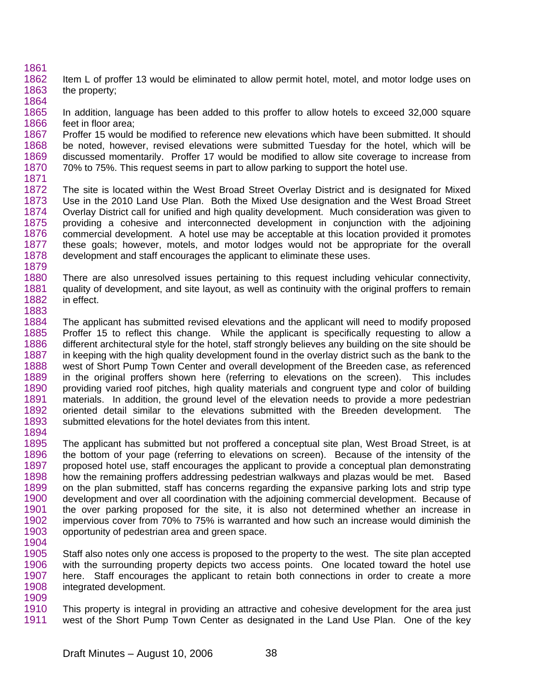- 1861 1862 1863 1864 Item L of proffer 13 would be eliminated to allow permit hotel, motel, and motor lodge uses on the property;
- 1865 1866 In addition, language has been added to this proffer to allow hotels to exceed 32,000 square feet in floor area;
- 1867 1868 1869 1870 1871 Proffer 15 would be modified to reference new elevations which have been submitted. It should be noted, however, revised elevations were submitted Tuesday for the hotel, which will be discussed momentarily. Proffer 17 would be modified to allow site coverage to increase from 70% to 75%. This request seems in part to allow parking to support the hotel use.
- 1872 1873 1874 1875 1876 1877 1878 1879 The site is located within the West Broad Street Overlay District and is designated for Mixed Use in the 2010 Land Use Plan. Both the Mixed Use designation and the West Broad Street Overlay District call for unified and high quality development. Much consideration was given to providing a cohesive and interconnected development in conjunction with the adjoining commercial development. A hotel use may be acceptable at this location provided it promotes these goals; however, motels, and motor lodges would not be appropriate for the overall development and staff encourages the applicant to eliminate these uses.
- 1880 1881 1882 1883 There are also unresolved issues pertaining to this request including vehicular connectivity, quality of development, and site layout, as well as continuity with the original proffers to remain in effect.
- 1884 1885 1886 1887 1888 1889 1890 1891 1892 1893 1894 The applicant has submitted revised elevations and the applicant will need to modify proposed Proffer 15 to reflect this change. While the applicant is specifically requesting to allow a different architectural style for the hotel, staff strongly believes any building on the site should be in keeping with the high quality development found in the overlay district such as the bank to the west of Short Pump Town Center and overall development of the Breeden case, as referenced in the original proffers shown here (referring to elevations on the screen). This includes providing varied roof pitches, high quality materials and congruent type and color of building materials. In addition, the ground level of the elevation needs to provide a more pedestrian oriented detail similar to the elevations submitted with the Breeden development. The submitted elevations for the hotel deviates from this intent.
- 1895 1896 1897 1898 1899 1900 1901 1902 1903 The applicant has submitted but not proffered a conceptual site plan, West Broad Street, is at the bottom of your page (referring to elevations on screen). Because of the intensity of the proposed hotel use, staff encourages the applicant to provide a conceptual plan demonstrating how the remaining proffers addressing pedestrian walkways and plazas would be met. Based on the plan submitted, staff has concerns regarding the expansive parking lots and strip type development and over all coordination with the adjoining commercial development. Because of the over parking proposed for the site, it is also not determined whether an increase in impervious cover from 70% to 75% is warranted and how such an increase would diminish the opportunity of pedestrian area and green space.
- 1904
- 1905 1906 1907 1908 Staff also notes only one access is proposed to the property to the west. The site plan accepted with the surrounding property depicts two access points. One located toward the hotel use here. Staff encourages the applicant to retain both connections in order to create a more integrated development.
- 1909
- 1910 1911 This property is integral in providing an attractive and cohesive development for the area just west of the Short Pump Town Center as designated in the Land Use Plan. One of the key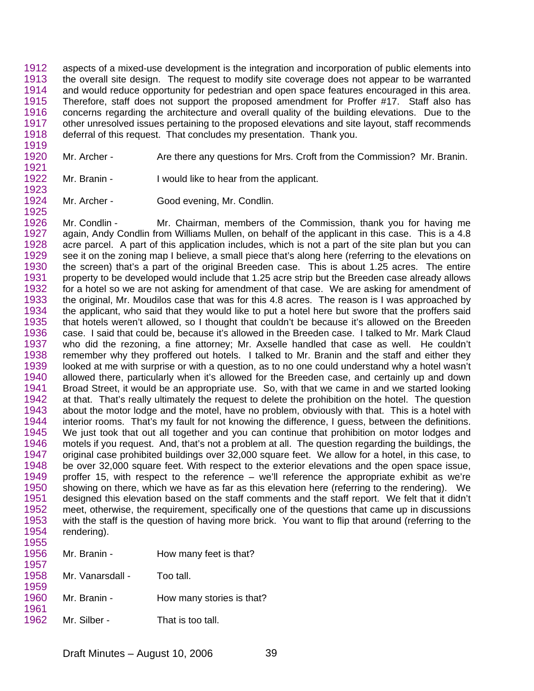1912 1913 1914 1915 1916 1917 1918 aspects of a mixed-use development is the integration and incorporation of public elements into the overall site design. The request to modify site coverage does not appear to be warranted and would reduce opportunity for pedestrian and open space features encouraged in this area. Therefore, staff does not support the proposed amendment for Proffer #17. Staff also has concerns regarding the architecture and overall quality of the building elevations. Due to the other unresolved issues pertaining to the proposed elevations and site layout, staff recommends deferral of this request. That concludes my presentation. Thank you.

- 1920 1921 Mr. Archer - Are there any questions for Mrs. Croft from the Commission? Mr. Branin.
- 1922 Mr. Branin - I would like to hear from the applicant.
- 1924 1925 Mr. Archer - Good evening, Mr. Condlin.

1919

1923

1926 1927 1928 1929 1930 1931 1932 1933 1934 1935 1936 1937 1938 1939 1940 1941 1942 1943 1944 1945 1946 1947 1948 1949 1950 1951 1952 1953 1954 1955 Mr. Condlin - Mr. Chairman, members of the Commission, thank you for having me again, Andy Condlin from Williams Mullen, on behalf of the applicant in this case. This is a 4.8 acre parcel. A part of this application includes, which is not a part of the site plan but you can see it on the zoning map I believe, a small piece that's along here (referring to the elevations on the screen) that's a part of the original Breeden case. This is about 1.25 acres. The entire property to be developed would include that 1.25 acre strip but the Breeden case already allows for a hotel so we are not asking for amendment of that case. We are asking for amendment of the original, Mr. Moudilos case that was for this 4.8 acres. The reason is I was approached by the applicant, who said that they would like to put a hotel here but swore that the proffers said that hotels weren't allowed, so I thought that couldn't be because it's allowed on the Breeden case. I said that could be, because it's allowed in the Breeden case. I talked to Mr. Mark Claud who did the rezoning, a fine attorney; Mr. Axselle handled that case as well. He couldn't remember why they proffered out hotels. I talked to Mr. Branin and the staff and either they looked at me with surprise or with a question, as to no one could understand why a hotel wasn't allowed there, particularly when it's allowed for the Breeden case, and certainly up and down Broad Street, it would be an appropriate use. So, with that we came in and we started looking at that. That's really ultimately the request to delete the prohibition on the hotel. The question about the motor lodge and the motel, have no problem, obviously with that. This is a hotel with interior rooms. That's my fault for not knowing the difference, I guess, between the definitions. We just took that out all together and you can continue that prohibition on motor lodges and motels if you request. And, that's not a problem at all. The question regarding the buildings, the original case prohibited buildings over 32,000 square feet. We allow for a hotel, in this case, to be over 32,000 square feet. With respect to the exterior elevations and the open space issue, proffer 15, with respect to the reference – we'll reference the appropriate exhibit as we're showing on there, which we have as far as this elevation here (referring to the rendering). We designed this elevation based on the staff comments and the staff report. We felt that it didn't meet, otherwise, the requirement, specifically one of the questions that came up in discussions with the staff is the question of having more brick. You want to flip that around (referring to the rendering).

| .<br>1956    | Mr. Branin -     | How many feet is that?    |
|--------------|------------------|---------------------------|
| 1957<br>1958 | Mr. Vanarsdall - | Too tall.                 |
| 1959         |                  |                           |
| 1960<br>1961 | Mr. Branin -     | How many stories is that? |
| 1962         | Mr. Silber -     | That is too tall.         |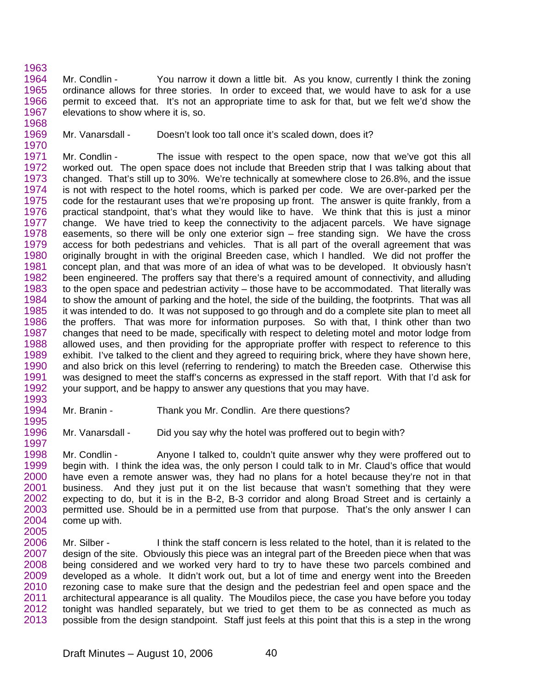1963 1964 1965 1966 1967 1968 Mr. Condlin - You narrow it down a little bit. As you know, currently I think the zoning ordinance allows for three stories. In order to exceed that, we would have to ask for a use permit to exceed that. It's not an appropriate time to ask for that, but we felt we'd show the elevations to show where it is, so.

1969 1970 Mr. Vanarsdall - Doesn't look too tall once it's scaled down, does it?

1971 1972 1973 1974 1975 1976 1977 1978 1979 1980 1981 1982 1983 1984 1985 1986 1987 1988 1989 1990 1991 1992 1993 Mr. Condlin - The issue with respect to the open space, now that we've got this all worked out. The open space does not include that Breeden strip that I was talking about that changed. That's still up to 30%. We're technically at somewhere close to 26.8%, and the issue is not with respect to the hotel rooms, which is parked per code. We are over-parked per the code for the restaurant uses that we're proposing up front. The answer is quite frankly, from a practical standpoint, that's what they would like to have. We think that this is just a minor change. We have tried to keep the connectivity to the adjacent parcels. We have signage easements, so there will be only one exterior sign – free standing sign. We have the cross access for both pedestrians and vehicles. That is all part of the overall agreement that was originally brought in with the original Breeden case, which I handled. We did not proffer the concept plan, and that was more of an idea of what was to be developed. It obviously hasn't been engineered. The proffers say that there's a required amount of connectivity, and alluding to the open space and pedestrian activity – those have to be accommodated. That literally was to show the amount of parking and the hotel, the side of the building, the footprints. That was all it was intended to do. It was not supposed to go through and do a complete site plan to meet all the proffers. That was more for information purposes. So with that, I think other than two changes that need to be made, specifically with respect to deleting motel and motor lodge from allowed uses, and then providing for the appropriate proffer with respect to reference to this exhibit. I've talked to the client and they agreed to requiring brick, where they have shown here, and also brick on this level (referring to rendering) to match the Breeden case. Otherwise this was designed to meet the staff's concerns as expressed in the staff report. With that I'd ask for your support, and be happy to answer any questions that you may have.

- 1994 1995 Mr. Branin - Thank you Mr. Condlin. Are there questions?
- 1996 1997 Mr. Vanarsdall - Did you say why the hotel was proffered out to begin with?

1998 1999 2000 2001 2002 2003 2004 2005 Mr. Condlin - Anyone I talked to, couldn't quite answer why they were proffered out to begin with. I think the idea was, the only person I could talk to in Mr. Claud's office that would have even a remote answer was, they had no plans for a hotel because they're not in that business. And they just put it on the list because that wasn't something that they were expecting to do, but it is in the B-2, B-3 corridor and along Broad Street and is certainly a permitted use. Should be in a permitted use from that purpose. That's the only answer I can come up with.

2006 2007 2008 2009 2010 2011 2012 2013 Mr. Silber - I think the staff concern is less related to the hotel, than it is related to the design of the site. Obviously this piece was an integral part of the Breeden piece when that was being considered and we worked very hard to try to have these two parcels combined and developed as a whole. It didn't work out, but a lot of time and energy went into the Breeden rezoning case to make sure that the design and the pedestrian feel and open space and the architectural appearance is all quality. The Moudilos piece, the case you have before you today tonight was handled separately, but we tried to get them to be as connected as much as possible from the design standpoint. Staff just feels at this point that this is a step in the wrong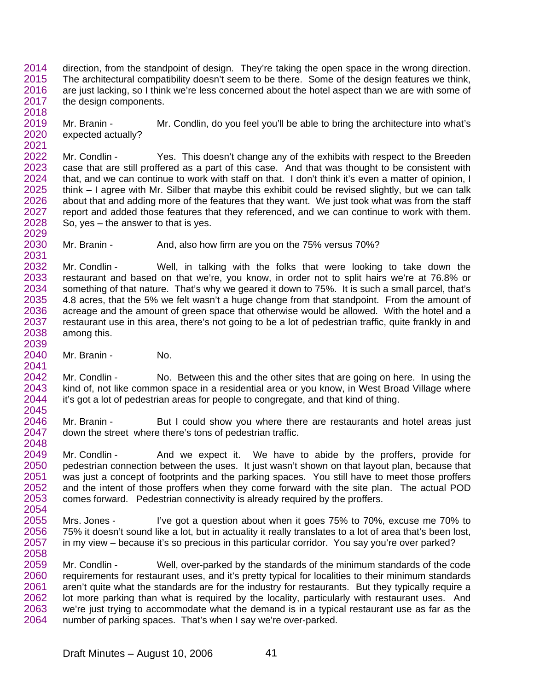2014 2015 2016 2017 2018 direction, from the standpoint of design. They're taking the open space in the wrong direction. The architectural compatibility doesn't seem to be there. Some of the design features we think, are just lacking, so I think we're less concerned about the hotel aspect than we are with some of the design components.

2019 2020 2021 Mr. Branin - Mr. Condlin, do you feel you'll be able to bring the architecture into what's expected actually?

2022 2023 2024 2025 2026 2027 2028 2029 Mr. Condlin - Yes. This doesn't change any of the exhibits with respect to the Breeden case that are still proffered as a part of this case. And that was thought to be consistent with that, and we can continue to work with staff on that. I don't think it's even a matter of opinion, I think – I agree with Mr. Silber that maybe this exhibit could be revised slightly, but we can talk about that and adding more of the features that they want. We just took what was from the staff report and added those features that they referenced, and we can continue to work with them. So, yes – the answer to that is yes.

2030 2031 Mr. Branin - And, also how firm are you on the 75% versus 70%?

2032 2033 2034 2035 2036 2037 2038 2039 Mr. Condlin - Well, in talking with the folks that were looking to take down the restaurant and based on that we're, you know, in order not to split hairs we're at 76.8% or something of that nature. That's why we geared it down to 75%. It is such a small parcel, that's 4.8 acres, that the 5% we felt wasn't a huge change from that standpoint. From the amount of acreage and the amount of green space that otherwise would be allowed. With the hotel and a restaurant use in this area, there's not going to be a lot of pedestrian traffic, quite frankly in and among this.

2040 2041 Mr. Branin - No.

2042 2043 2044 2045 Mr. Condlin - No. Between this and the other sites that are going on here. In using the kind of, not like common space in a residential area or you know, in West Broad Village where it's got a lot of pedestrian areas for people to congregate, and that kind of thing.

2046 2047 2048 Mr. Branin - But I could show you where there are restaurants and hotel areas just down the street where there's tons of pedestrian traffic.

2049 2050 2051 2052 2053 2054 Mr. Condlin - And we expect it. We have to abide by the proffers, provide for pedestrian connection between the uses. It just wasn't shown on that layout plan, because that was just a concept of footprints and the parking spaces. You still have to meet those proffers and the intent of those proffers when they come forward with the site plan. The actual POD comes forward. Pedestrian connectivity is already required by the proffers.

2055 2056 2057 2058 Mrs. Jones - I've got a question about when it goes 75% to 70%, excuse me 70% to 75% it doesn't sound like a lot, but in actuality it really translates to a lot of area that's been lost, in my view – because it's so precious in this particular corridor. You say you're over parked?

2059 2060 2061 2062 2063 2064 Mr. Condlin - Well, over-parked by the standards of the minimum standards of the code requirements for restaurant uses, and it's pretty typical for localities to their minimum standards aren't quite what the standards are for the industry for restaurants. But they typically require a lot more parking than what is required by the locality, particularly with restaurant uses. And we're just trying to accommodate what the demand is in a typical restaurant use as far as the number of parking spaces. That's when I say we're over-parked.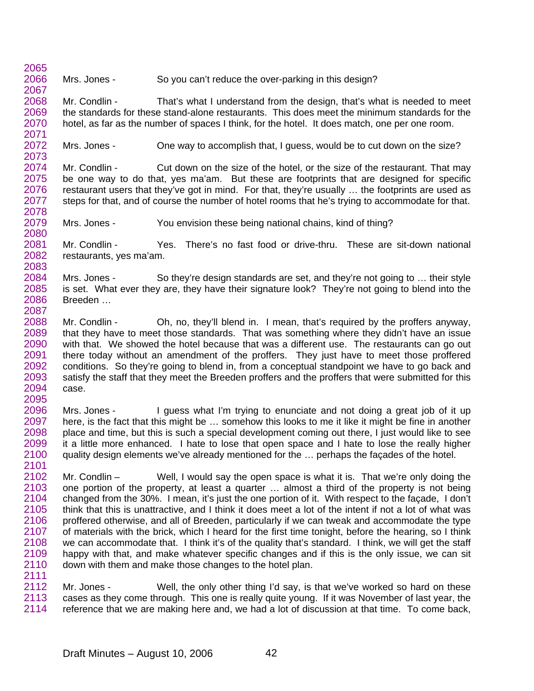2065 2066 2067 Mrs. Jones - So you can't reduce the over-parking in this design?

2068 2069 2070 2071 Mr. Condlin - That's what I understand from the design, that's what is needed to meet the standards for these stand-alone restaurants. This does meet the minimum standards for the hotel, as far as the number of spaces I think, for the hotel. It does match, one per one room.

2072 2073 Mrs. Jones - One way to accomplish that, I guess, would be to cut down on the size?

2074 2075 2076 2077 2078 Mr. Condlin - Cut down on the size of the hotel, or the size of the restaurant. That may be one way to do that, yes ma'am. But these are footprints that are designed for specific restaurant users that they've got in mind. For that, they're usually … the footprints are used as steps for that, and of course the number of hotel rooms that he's trying to accommodate for that.

2079 2080 Mrs. Jones - You envision these being national chains, kind of thing?

2081 2082 2083 Mr. Condlin - Yes. There's no fast food or drive-thru. These are sit-down national restaurants, yes ma'am.

2084 2085 2086 2087 Mrs. Jones - So they're design standards are set, and they're not going to ... their style is set. What ever they are, they have their signature look? They're not going to blend into the Breeden …

- 2088 2089 2090 2091 2092 2093 2094 2095 Mr. Condlin - Oh, no, they'll blend in. I mean, that's required by the proffers anyway, that they have to meet those standards. That was something where they didn't have an issue with that. We showed the hotel because that was a different use. The restaurants can go out there today without an amendment of the proffers. They just have to meet those proffered conditions. So they're going to blend in, from a conceptual standpoint we have to go back and satisfy the staff that they meet the Breeden proffers and the proffers that were submitted for this case.
- 2096 2097 2098 2099 2100 2101 Mrs. Jones - I guess what I'm trying to enunciate and not doing a great job of it up here, is the fact that this might be … somehow this looks to me it like it might be fine in another place and time, but this is such a special development coming out there, I just would like to see it a little more enhanced. I hate to lose that open space and I hate to lose the really higher quality design elements we've already mentioned for the … perhaps the façades of the hotel.
- 2102 2103 2104 2105 2106 2107 2108 2109 2110 2111 Mr. Condlin – Well, I would say the open space is what it is. That we're only doing the one portion of the property, at least a quarter … almost a third of the property is not being changed from the 30%. I mean, it's just the one portion of it. With respect to the façade, I don't think that this is unattractive, and I think it does meet a lot of the intent if not a lot of what was proffered otherwise, and all of Breeden, particularly if we can tweak and accommodate the type of materials with the brick, which I heard for the first time tonight, before the hearing, so I think we can accommodate that. I think it's of the quality that's standard. I think, we will get the staff happy with that, and make whatever specific changes and if this is the only issue, we can sit down with them and make those changes to the hotel plan.
- 2112 2113 2114 Mr. Jones - Well, the only other thing I'd say, is that we've worked so hard on these cases as they come through. This one is really quite young. If it was November of last year, the reference that we are making here and, we had a lot of discussion at that time. To come back,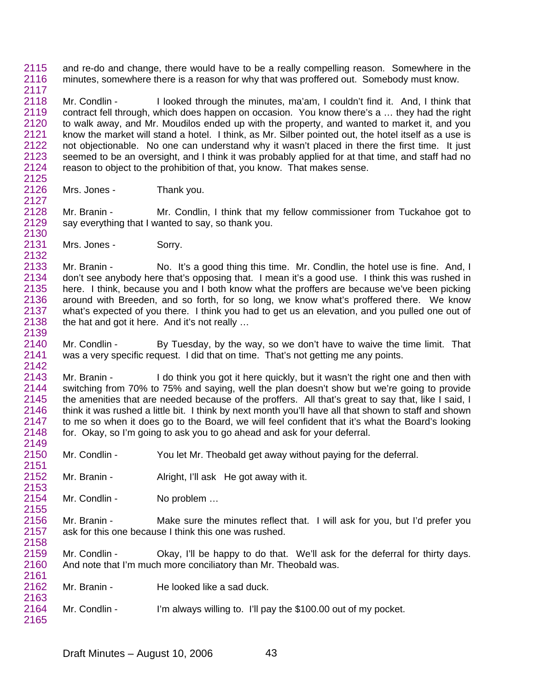2115 2116 2117 and re-do and change, there would have to be a really compelling reason. Somewhere in the minutes, somewhere there is a reason for why that was proffered out. Somebody must know.

2118 2119 2120 2121 2122 2123 2124 2125 Mr. Condlin - I looked through the minutes, ma'am, I couldn't find it. And, I think that contract fell through, which does happen on occasion. You know there's a … they had the right to walk away, and Mr. Moudilos ended up with the property, and wanted to market it, and you know the market will stand a hotel. I think, as Mr. Silber pointed out, the hotel itself as a use is not objectionable. No one can understand why it wasn't placed in there the first time. It just seemed to be an oversight, and I think it was probably applied for at that time, and staff had no reason to object to the prohibition of that, you know. That makes sense.

2126 Mrs. Jones - Thank you.

2128 2129 2130 Mr. Branin - Mr. Condlin, I think that my fellow commissioner from Tuckahoe got to say everything that I wanted to say, so thank you.

2131 Mrs. Jones - Sorry.

2127

2132

2163

2133 2134 2135 2136 2137 2138 2139 Mr. Branin - No. It's a good thing this time. Mr. Condlin, the hotel use is fine. And, I don't see anybody here that's opposing that. I mean it's a good use. I think this was rushed in here. I think, because you and I both know what the proffers are because we've been picking around with Breeden, and so forth, for so long, we know what's proffered there. We know what's expected of you there. I think you had to get us an elevation, and you pulled one out of the hat and got it here. And it's not really …

2140 2141 2142 Mr. Condlin - By Tuesday, by the way, so we don't have to waive the time limit. That was a very specific request. I did that on time. That's not getting me any points.

2143 2144 2145 2146 2147 2148 2149 Mr. Branin - I do think you got it here quickly, but it wasn't the right one and then with switching from 70% to 75% and saying, well the plan doesn't show but we're going to provide the amenities that are needed because of the proffers. All that's great to say that, like I said, I think it was rushed a little bit. I think by next month you'll have all that shown to staff and shown to me so when it does go to the Board, we will feel confident that it's what the Board's looking for. Okay, so I'm going to ask you to go ahead and ask for your deferral.

- 2150 2151 Mr. Condlin - You let Mr. Theobald get away without paying for the deferral.
- 2152 2153 Mr. Branin - Alright, I'll ask He got away with it.

2154 2155 Mr. Condlin - No problem ...

2156 2157 2158 Mr. Branin - Make sure the minutes reflect that. I will ask for you, but I'd prefer you ask for this one because I think this one was rushed.

2159 2160 2161 Mr. Condlin - Okay, I'll be happy to do that. We'll ask for the deferral for thirty days. And note that I'm much more conciliatory than Mr. Theobald was.

- 2162 Mr. Branin - He looked like a sad duck.
- 2164 2165 Mr. Condlin - I'm always willing to. I'll pay the \$100.00 out of my pocket.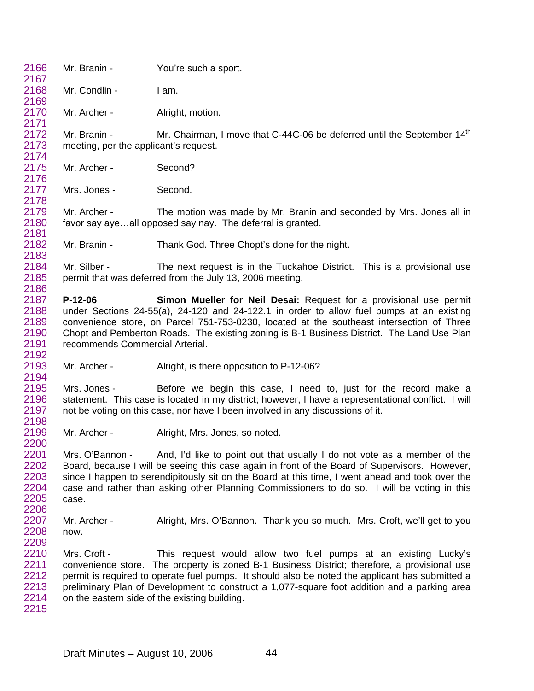2167 2168 2169 2170 2171 2172 2173 2174 2175 2176 2177 2178 2179 2180 2181 2182 2183 2184 2185 2186 2187 2188 2189 2190 2191 2192 2193 2194 2195 2196 2197 2198 2199 2200 2201 2202 2203 2204 2205 2206 2207 2208 2209 2210 2211 2212 2213 2214 2215 Mr. Branin - You're such a sport. Mr. Condlin - I am. Mr. Archer - Alright, motion. Mr. Branin - Mr. Chairman, I move that C-44C-06 be deferred until the September 14<sup>th</sup> meeting, per the applicant's request. Mr. Archer - Second? Mrs. Jones - Second. Mr. Archer - The motion was made by Mr. Branin and seconded by Mrs. Jones all in favor say aye…all opposed say nay. The deferral is granted. Mr. Branin - Thank God. Three Chopt's done for the night. Mr. Silber - The next request is in the Tuckahoe District. This is a provisional use permit that was deferred from the July 13, 2006 meeting. **P-12-06 Simon Mueller for Neil Desai:** Request for a provisional use permit under Sections 24-55(a), 24-120 and 24-122.1 in order to allow fuel pumps at an existing convenience store, on Parcel 751-753-0230, located at the southeast intersection of Three Chopt and Pemberton Roads. The existing zoning is B-1 Business District. The Land Use Plan recommends Commercial Arterial. Mr. Archer - Alright, is there opposition to P-12-06? Mrs. Jones - Before we begin this case, I need to, just for the record make a statement. This case is located in my district; however, I have a representational conflict. I will not be voting on this case, nor have I been involved in any discussions of it. Mr. Archer - Alright, Mrs. Jones, so noted. Mrs. O'Bannon - And, I'd like to point out that usually I do not vote as a member of the Board, because I will be seeing this case again in front of the Board of Supervisors. However, since I happen to serendipitously sit on the Board at this time, I went ahead and took over the case and rather than asking other Planning Commissioners to do so. I will be voting in this case. Mr. Archer - Alright, Mrs. O'Bannon. Thank you so much. Mrs. Croft, we'll get to you now. Mrs. Croft - This request would allow two fuel pumps at an existing Lucky's convenience store. The property is zoned B-1 Business District; therefore, a provisional use permit is required to operate fuel pumps. It should also be noted the applicant has submitted a preliminary Plan of Development to construct a 1,077-square foot addition and a parking area on the eastern side of the existing building.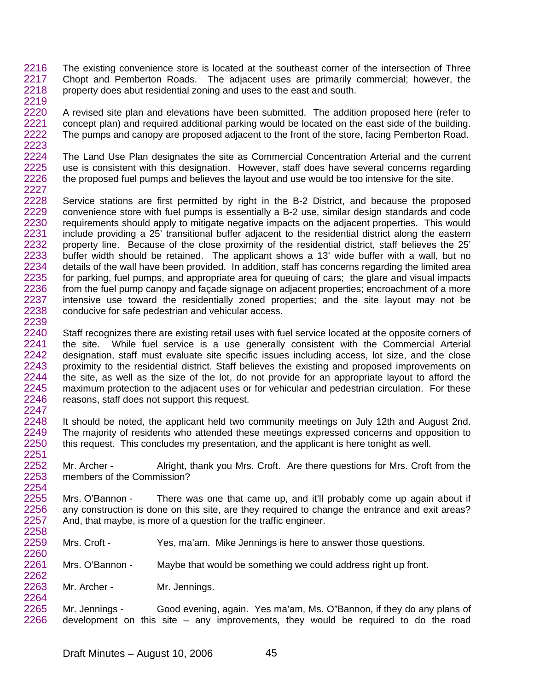2216 2217 2218 2219 The existing convenience store is located at the southeast corner of the intersection of Three Chopt and Pemberton Roads. The adjacent uses are primarily commercial; however, the property does abut residential zoning and uses to the east and south.

2220 2221 2222 2223 A revised site plan and elevations have been submitted. The addition proposed here (refer to concept plan) and required additional parking would be located on the east side of the building. The pumps and canopy are proposed adjacent to the front of the store, facing Pemberton Road.

2224 2225 2226 2227 The Land Use Plan designates the site as Commercial Concentration Arterial and the current use is consistent with this designation. However, staff does have several concerns regarding the proposed fuel pumps and believes the layout and use would be too intensive for the site.

2228 2229 2230 2231 2232 2233 2234 2235 2236 2237 2238 2239 Service stations are first permitted by right in the B-2 District, and because the proposed convenience store with fuel pumps is essentially a B-2 use, similar design standards and code requirements should apply to mitigate negative impacts on the adjacent properties. This would include providing a 25' transitional buffer adjacent to the residential district along the eastern property line. Because of the close proximity of the residential district, staff believes the 25' buffer width should be retained. The applicant shows a 13' wide buffer with a wall, but no details of the wall have been provided. In addition, staff has concerns regarding the limited area for parking, fuel pumps, and appropriate area for queuing of cars; the glare and visual impacts from the fuel pump canopy and façade signage on adjacent properties; encroachment of a more intensive use toward the residentially zoned properties; and the site layout may not be conducive for safe pedestrian and vehicular access.

2240 2241 2242 2243 2244 2245 2246 2247 Staff recognizes there are existing retail uses with fuel service located at the opposite corners of the site. While fuel service is a use generally consistent with the Commercial Arterial designation, staff must evaluate site specific issues including access, lot size, and the close proximity to the residential district. Staff believes the existing and proposed improvements on the site, as well as the size of the lot, do not provide for an appropriate layout to afford the maximum protection to the adjacent uses or for vehicular and pedestrian circulation. For these reasons, staff does not support this request.

2248 2249 2250 2251 It should be noted, the applicant held two community meetings on July 12th and August 2nd. The majority of residents who attended these meetings expressed concerns and opposition to this request. This concludes my presentation, and the applicant is here tonight as well.

2252 2253 2254 Mr. Archer - Alright, thank you Mrs. Croft. Are there questions for Mrs. Croft from the members of the Commission?

2255 2256 2257 2258 Mrs. O'Bannon - There was one that came up, and it'll probably come up again about if any construction is done on this site, are they required to change the entrance and exit areas? And, that maybe, is more of a question for the traffic engineer.

2259 Mrs. Croft - Yes, ma'am. Mike Jennings is here to answer those questions.

2261 2262 Mrs. O'Bannon - Maybe that would be something we could address right up front.

2263 2264 Mr. Archer - Mr. Jennings.

2260

2265 2266 Mr. Jennings - Good evening, again. Yes ma'am, Ms. O"Bannon, if they do any plans of development on this site – any improvements, they would be required to do the road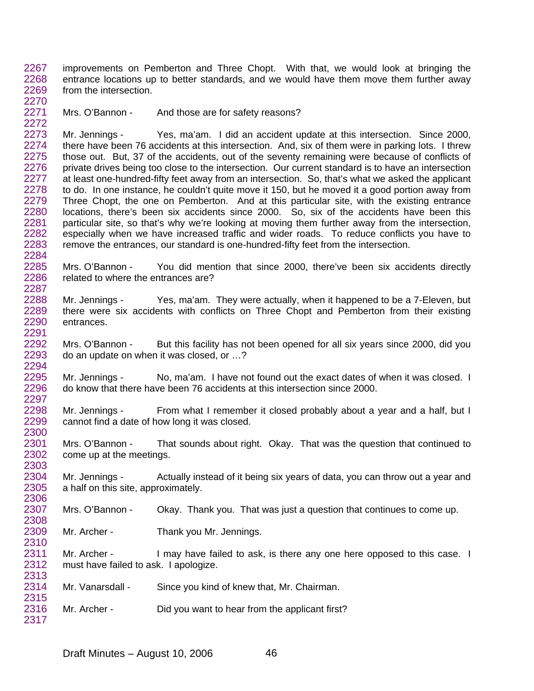2267 2268 2269 2270 improvements on Pemberton and Three Chopt. With that, we would look at bringing the entrance locations up to better standards, and we would have them move them further away from the intersection.

2271

2272

2308

2315

Mrs. O'Bannon - And those are for safety reasons?

2273 2274 2275 2276 2277 2278 2279 2280 2281 2282 2283 2284 Mr. Jennings - Yes, ma'am. I did an accident update at this intersection. Since 2000, there have been 76 accidents at this intersection. And, six of them were in parking lots. I threw those out. But, 37 of the accidents, out of the seventy remaining were because of conflicts of private drives being too close to the intersection. Our current standard is to have an intersection at least one-hundred-fifty feet away from an intersection. So, that's what we asked the applicant to do. In one instance, he couldn't quite move it 150, but he moved it a good portion away from Three Chopt, the one on Pemberton. And at this particular site, with the existing entrance locations, there's been six accidents since 2000. So, six of the accidents have been this particular site, so that's why we're looking at moving them further away from the intersection, especially when we have increased traffic and wider roads. To reduce conflicts you have to remove the entrances, our standard is one-hundred-fifty feet from the intersection.

2285 2286 2287 Mrs. O'Bannon - You did mention that since 2000, there've been six accidents directly related to where the entrances are?

2288 2289 2290 2291 Mr. Jennings - Yes, ma'am. They were actually, when it happened to be a 7-Eleven, but there were six accidents with conflicts on Three Chopt and Pemberton from their existing entrances.

2292 2293 2294 Mrs. O'Bannon - But this facility has not been opened for all six years since 2000, did you do an update on when it was closed, or …?

2295 2296 2297 Mr. Jennings - No, ma'am. I have not found out the exact dates of when it was closed. I do know that there have been 76 accidents at this intersection since 2000.

2298 2299 2300 Mr. Jennings - From what I remember it closed probably about a year and a half, but I cannot find a date of how long it was closed.

2301 2302 2303 Mrs. O'Bannon - That sounds about right. Okay. That was the question that continued to come up at the meetings.

2304 2305 2306 Mr. Jennings - Actually instead of it being six years of data, you can throw out a year and a half on this site, approximately.

2307 Mrs. O'Bannon - Okay. Thank you. That was just a question that continues to come up.

2309 2310 Mr. Archer - Thank you Mr. Jennings.

2311 2312 2313 Mr. Archer - I may have failed to ask, is there any one here opposed to this case. I must have failed to ask. I apologize.

2314 Mr. Vanarsdall - Since you kind of knew that, Mr. Chairman.

2316 2317 Mr. Archer - Did you want to hear from the applicant first?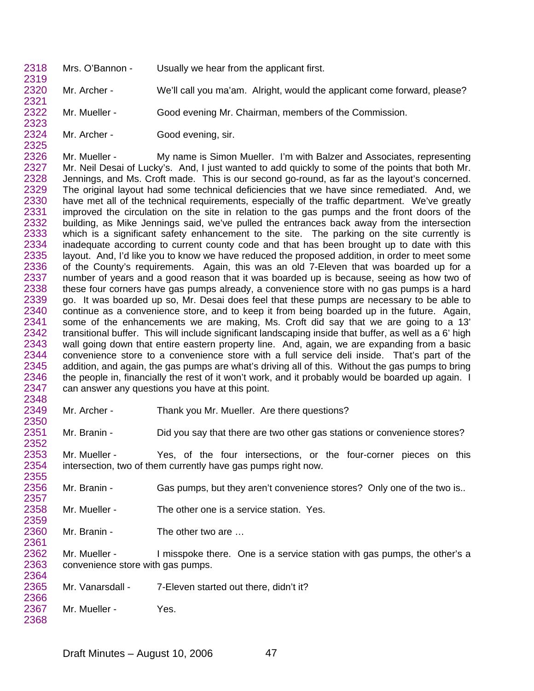2318 Mrs. O'Bannon - Usually we hear from the applicant first.

2320 2321 Mr. Archer - We'll call you ma'am. Alright, would the applicant come forward, please?

Mr. Mueller - Good evening Mr. Chairman, members of the Commission.

2322 2323

2324 2325

2350

2357

2359

2319

Mr. Archer - Good evening, sir.

2326 2327 2328 2329 2330 2331 2332 2333 2334 2335 2336 2337 2338 2339 2340 2341 2342 2343 2344 2345 2346 2347 2348 Mr. Mueller - My name is Simon Mueller. I'm with Balzer and Associates, representing Mr. Neil Desai of Lucky's. And, I just wanted to add quickly to some of the points that both Mr. Jennings, and Ms. Croft made. This is our second go-round, as far as the layout's concerned. The original layout had some technical deficiencies that we have since remediated. And, we have met all of the technical requirements, especially of the traffic department. We've greatly improved the circulation on the site in relation to the gas pumps and the front doors of the building, as Mike Jennings said, we've pulled the entrances back away from the intersection which is a significant safety enhancement to the site. The parking on the site currently is inadequate according to current county code and that has been brought up to date with this layout. And, I'd like you to know we have reduced the proposed addition, in order to meet some of the County's requirements. Again, this was an old 7-Eleven that was boarded up for a number of years and a good reason that it was boarded up is because, seeing as how two of these four corners have gas pumps already, a convenience store with no gas pumps is a hard go. It was boarded up so, Mr. Desai does feel that these pumps are necessary to be able to continue as a convenience store, and to keep it from being boarded up in the future. Again, some of the enhancements we are making, Ms. Croft did say that we are going to a 13' transitional buffer. This will include significant landscaping inside that buffer, as well as a 6' high wall going down that entire eastern property line. And, again, we are expanding from a basic convenience store to a convenience store with a full service deli inside. That's part of the addition, and again, the gas pumps are what's driving all of this. Without the gas pumps to bring the people in, financially the rest of it won't work, and it probably would be boarded up again. I can answer any questions you have at this point.

2349 Mr. Archer - Thank you Mr. Mueller. Are there questions?

2351 2352 Mr. Branin - Did you say that there are two other gas stations or convenience stores?

2353 2354 2355 Mr. Mueller - Yes, of the four intersections, or the four-corner pieces on this intersection, two of them currently have gas pumps right now.

2356 Mr. Branin - Gas pumps, but they aren't convenience stores? Only one of the two is..

2358 Mr. Mueller - The other one is a service station. Yes.

2360 2361 Mr. Branin - The other two are ...

2362 2363 2364 Mr. Mueller - I misspoke there. One is a service station with gas pumps, the other's a convenience store with gas pumps.

2365 2366 Mr. Vanarsdall - 7-Eleven started out there, didn't it?

2367 2368 Mr. Mueller - Yes.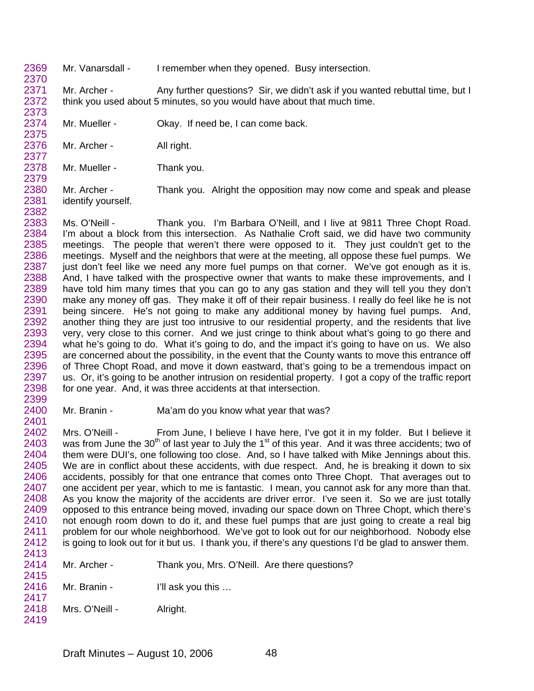2369 2370 Mr. Vanarsdall - I remember when they opened. Busy intersection.

2371 2372 2373 Mr. Archer - Any further questions? Sir, we didn't ask if you wanted rebuttal time, but I think you used about 5 minutes, so you would have about that much time.

2374 2375 Mr. Mueller - Ckay. If need be, I can come back.

2376 2377 Mr. Archer - All right.

2378 2379 Mr. Mueller - Thank you.

2380 2381 2382 Mr. Archer - Thank you. Alright the opposition may now come and speak and please identify yourself.

- 2383 2384 2385 2386 2387 2388 2389 2390 2391 2392 2393 2394 2395 2396 2397 2398 2399 Ms. O'Neill - Thank you. I'm Barbara O'Neill, and I live at 9811 Three Chopt Road. I'm about a block from this intersection. As Nathalie Croft said, we did have two community meetings. The people that weren't there were opposed to it. They just couldn't get to the meetings. Myself and the neighbors that were at the meeting, all oppose these fuel pumps. We just don't feel like we need any more fuel pumps on that corner. We've got enough as it is. And, I have talked with the prospective owner that wants to make these improvements, and I have told him many times that you can go to any gas station and they will tell you they don't make any money off gas. They make it off of their repair business. I really do feel like he is not being sincere. He's not going to make any additional money by having fuel pumps. And, another thing they are just too intrusive to our residential property, and the residents that live very, very close to this corner. And we just cringe to think about what's going to go there and what he's going to do. What it's going to do, and the impact it's going to have on us. We also are concerned about the possibility, in the event that the County wants to move this entrance off of Three Chopt Road, and move it down eastward, that's going to be a tremendous impact on us. Or, it's going to be another intrusion on residential property. I got a copy of the traffic report for one year. And, it was three accidents at that intersection.
- 2400 2401 Mr. Branin - Ma'am do you know what year that was?

2402 2403 2404 2405 2406 2407 2408 2409 2410 2411 2412 2413 Mrs. O'Neill - From June, I believe I have here, I've got it in my folder. But I believe it was from June the  $30<sup>th</sup>$  of last year to July the 1<sup>st</sup> of this year. And it was three accidents; two of them were DUI's, one following too close. And, so I have talked with Mike Jennings about this. We are in conflict about these accidents, with due respect. And, he is breaking it down to six accidents, possibly for that one entrance that comes onto Three Chopt. That averages out to one accident per year, which to me is fantastic. I mean, you cannot ask for any more than that. As you know the majority of the accidents are driver error. I've seen it. So we are just totally opposed to this entrance being moved, invading our space down on Three Chopt, which there's not enough room down to do it, and these fuel pumps that are just going to create a real big problem for our whole neighborhood. We've got to look out for our neighborhood. Nobody else is going to look out for it but us. I thank you, if there's any questions I'd be glad to answer them.

- 2414 2415 Mr. Archer - Thank you, Mrs. O'Neill. Are there questions?
- 2416 2417 Mr. Branin - I'll ask you this ...
- 2418 Mrs. O'Neill - Alright.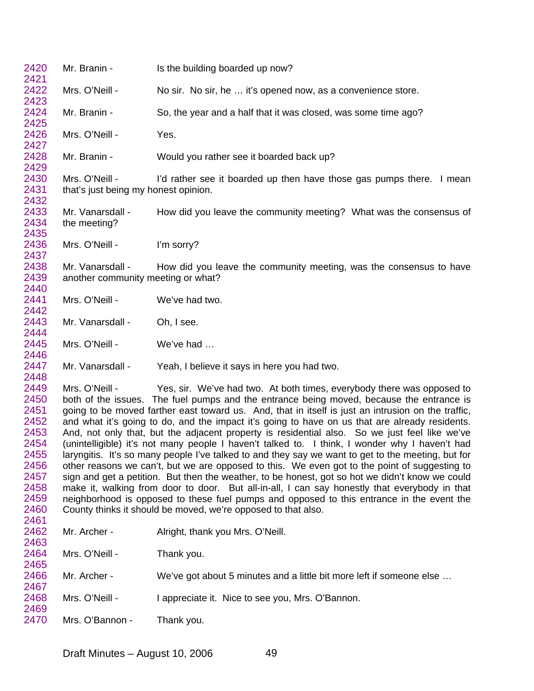| 2420<br>2421                                                                                         | Mr. Branin -                                                                                                                                                                                                                                                                                                                                                                                                                                                                                                                                                                                                                                                                                                                                                                                                                                                                                                                                                                                                                                                                                                                                                             | Is the building boarded up now?                                      |
|------------------------------------------------------------------------------------------------------|--------------------------------------------------------------------------------------------------------------------------------------------------------------------------------------------------------------------------------------------------------------------------------------------------------------------------------------------------------------------------------------------------------------------------------------------------------------------------------------------------------------------------------------------------------------------------------------------------------------------------------------------------------------------------------------------------------------------------------------------------------------------------------------------------------------------------------------------------------------------------------------------------------------------------------------------------------------------------------------------------------------------------------------------------------------------------------------------------------------------------------------------------------------------------|----------------------------------------------------------------------|
| 2422<br>2423                                                                                         | Mrs. O'Neill -                                                                                                                                                                                                                                                                                                                                                                                                                                                                                                                                                                                                                                                                                                                                                                                                                                                                                                                                                                                                                                                                                                                                                           | No sir. No sir, he  it's opened now, as a convenience store.         |
| 2424<br>2425                                                                                         | Mr. Branin -                                                                                                                                                                                                                                                                                                                                                                                                                                                                                                                                                                                                                                                                                                                                                                                                                                                                                                                                                                                                                                                                                                                                                             | So, the year and a half that it was closed, was some time ago?       |
| 2426<br>2427                                                                                         | Mrs. O'Neill -                                                                                                                                                                                                                                                                                                                                                                                                                                                                                                                                                                                                                                                                                                                                                                                                                                                                                                                                                                                                                                                                                                                                                           | Yes.                                                                 |
| 2428<br>2429                                                                                         | Mr. Branin -                                                                                                                                                                                                                                                                                                                                                                                                                                                                                                                                                                                                                                                                                                                                                                                                                                                                                                                                                                                                                                                                                                                                                             | Would you rather see it boarded back up?                             |
| 2430<br>2431<br>2432                                                                                 | Mrs. O'Neill -<br>that's just being my honest opinion.                                                                                                                                                                                                                                                                                                                                                                                                                                                                                                                                                                                                                                                                                                                                                                                                                                                                                                                                                                                                                                                                                                                   | I'd rather see it boarded up then have those gas pumps there. I mean |
| 2433<br>2434<br>2435                                                                                 | Mr. Vanarsdall -<br>the meeting?                                                                                                                                                                                                                                                                                                                                                                                                                                                                                                                                                                                                                                                                                                                                                                                                                                                                                                                                                                                                                                                                                                                                         | How did you leave the community meeting? What was the consensus of   |
| 2436<br>2437                                                                                         | Mrs. O'Neill -                                                                                                                                                                                                                                                                                                                                                                                                                                                                                                                                                                                                                                                                                                                                                                                                                                                                                                                                                                                                                                                                                                                                                           | I'm sorry?                                                           |
| 2438<br>2439<br>2440                                                                                 | Mr. Vanarsdall -<br>another community meeting or what?                                                                                                                                                                                                                                                                                                                                                                                                                                                                                                                                                                                                                                                                                                                                                                                                                                                                                                                                                                                                                                                                                                                   | How did you leave the community meeting, was the consensus to have   |
| 2441<br>2442                                                                                         | Mrs. O'Neill -                                                                                                                                                                                                                                                                                                                                                                                                                                                                                                                                                                                                                                                                                                                                                                                                                                                                                                                                                                                                                                                                                                                                                           | We've had two.                                                       |
| 2443<br>2444                                                                                         | Mr. Vanarsdall -                                                                                                                                                                                                                                                                                                                                                                                                                                                                                                                                                                                                                                                                                                                                                                                                                                                                                                                                                                                                                                                                                                                                                         | Oh, I see.                                                           |
| 2445<br>2446                                                                                         | Mrs. O'Neill -                                                                                                                                                                                                                                                                                                                                                                                                                                                                                                                                                                                                                                                                                                                                                                                                                                                                                                                                                                                                                                                                                                                                                           | We've had                                                            |
| 2447<br>2448                                                                                         | Mr. Vanarsdall -                                                                                                                                                                                                                                                                                                                                                                                                                                                                                                                                                                                                                                                                                                                                                                                                                                                                                                                                                                                                                                                                                                                                                         | Yeah, I believe it says in here you had two.                         |
| 2449<br>2450<br>2451<br>2452<br>2453<br>2454<br>2455<br>2456<br>2457<br>2458<br>2459<br>2460<br>2461 | Mrs. O'Neill -<br>Yes, sir. We've had two. At both times, everybody there was opposed to<br>both of the issues. The fuel pumps and the entrance being moved, because the entrance is<br>going to be moved farther east toward us. And, that in itself is just an intrusion on the traffic,<br>and what it's going to do, and the impact it's going to have on us that are already residents.<br>And, not only that, but the adjacent property is residential also. So we just feel like we've<br>(unintelligible) it's not many people I haven't talked to. I think, I wonder why I haven't had<br>laryngitis. It's so many people I've talked to and they say we want to get to the meeting, but for<br>other reasons we can't, but we are opposed to this. We even got to the point of suggesting to<br>sign and get a petition. But then the weather, to be honest, got so hot we didn't know we could<br>make it, walking from door to door. But all-in-all, I can say honestly that everybody in that<br>neighborhood is opposed to these fuel pumps and opposed to this entrance in the event the<br>County thinks it should be moved, we're opposed to that also. |                                                                      |
| 2462<br>2463                                                                                         | Mr. Archer -                                                                                                                                                                                                                                                                                                                                                                                                                                                                                                                                                                                                                                                                                                                                                                                                                                                                                                                                                                                                                                                                                                                                                             | Alright, thank you Mrs. O'Neill.                                     |
| 2464<br>2465                                                                                         | Mrs. O'Neill -                                                                                                                                                                                                                                                                                                                                                                                                                                                                                                                                                                                                                                                                                                                                                                                                                                                                                                                                                                                                                                                                                                                                                           | Thank you.                                                           |
| 2466<br>2467                                                                                         | Mr. Archer -                                                                                                                                                                                                                                                                                                                                                                                                                                                                                                                                                                                                                                                                                                                                                                                                                                                                                                                                                                                                                                                                                                                                                             | We've got about 5 minutes and a little bit more left if someone else |
| 2468<br>2469                                                                                         | Mrs. O'Neill -                                                                                                                                                                                                                                                                                                                                                                                                                                                                                                                                                                                                                                                                                                                                                                                                                                                                                                                                                                                                                                                                                                                                                           | I appreciate it. Nice to see you, Mrs. O'Bannon.                     |
| 2470                                                                                                 | Mrs. O'Bannon -                                                                                                                                                                                                                                                                                                                                                                                                                                                                                                                                                                                                                                                                                                                                                                                                                                                                                                                                                                                                                                                                                                                                                          | Thank you.                                                           |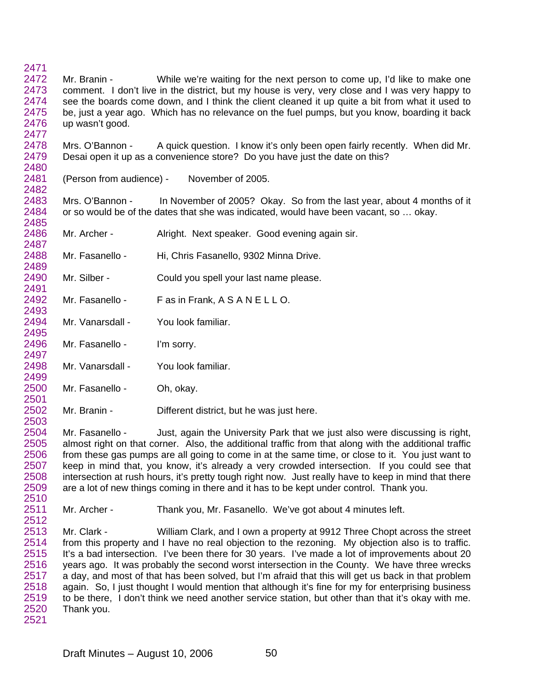2471 2472 2473 2474 2475 2476 2477 Mr. Branin - While we're waiting for the next person to come up, I'd like to make one comment. I don't live in the district, but my house is very, very close and I was very happy to see the boards come down, and I think the client cleaned it up quite a bit from what it used to be, just a year ago. Which has no relevance on the fuel pumps, but you know, boarding it back up wasn't good.

2478 2479 2480 Mrs. O'Bannon - A quick question. I know it's only been open fairly recently. When did Mr. Desai open it up as a convenience store? Do you have just the date on this?

2481 (Person from audience) - November of 2005.

2483 2484 2485 Mrs. O'Bannon - In November of 2005? Okay. So from the last year, about 4 months of it or so would be of the dates that she was indicated, would have been vacant, so … okay.

2486 2487 Mr. Archer - Alright. Next speaker. Good evening again sir.

2488 2489 Mr. Fasanello - Hi, Chris Fasanello, 9302 Minna Drive.

2490 2491 Mr. Silber - Could you spell your last name please.

2492 2493 Mr. Fasanello - Fas in Frank, A S A N E L L O.

2494 2495 Mr. Vanarsdall - You look familiar.

2496 2497 Mr. Fasanello - I'm sorry.

2482

2503

2498 2499 Mr. Vanarsdall - You look familiar.

2500 2501 Mr. Fasanello - Oh, okay.

2502 Mr. Branin - Different district, but he was just here.

2504 2505 2506 2507 2508 2509 2510 Mr. Fasanello - Just, again the University Park that we just also were discussing is right, almost right on that corner. Also, the additional traffic from that along with the additional traffic from these gas pumps are all going to come in at the same time, or close to it. You just want to keep in mind that, you know, it's already a very crowded intersection. If you could see that intersection at rush hours, it's pretty tough right now. Just really have to keep in mind that there are a lot of new things coming in there and it has to be kept under control. Thank you.

2511 2512 Mr. Archer - Thank you, Mr. Fasanello. We've got about 4 minutes left.

2513 2514 2515 2516 2517 2518 2519 2520 2521 Mr. Clark - William Clark, and I own a property at 9912 Three Chopt across the street from this property and I have no real objection to the rezoning. My objection also is to traffic. It's a bad intersection. I've been there for 30 years. I've made a lot of improvements about 20 years ago. It was probably the second worst intersection in the County. We have three wrecks a day, and most of that has been solved, but I'm afraid that this will get us back in that problem again. So, I just thought I would mention that although it's fine for my for enterprising business to be there, I don't think we need another service station, but other than that it's okay with me. Thank you.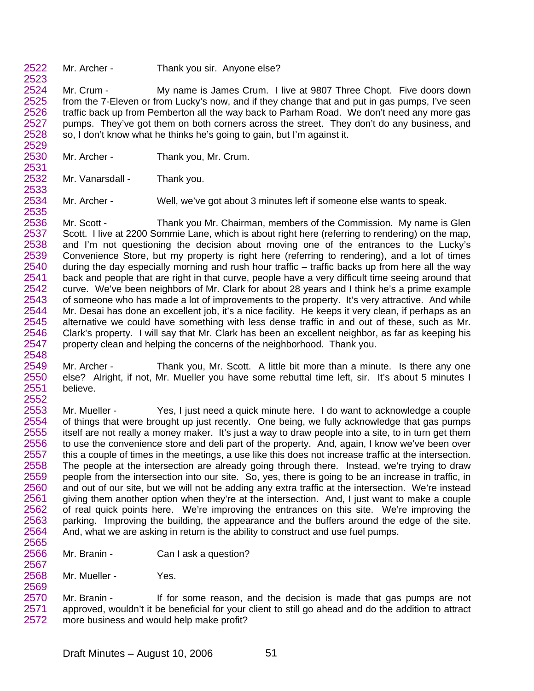2522 2523 Mr. Archer - Thank you sir. Anyone else?

2524 2525 2526 2527 2528 2529 Mr. Crum - My name is James Crum. I live at 9807 Three Chopt. Five doors down from the 7-Eleven or from Lucky's now, and if they change that and put in gas pumps, I've seen traffic back up from Pemberton all the way back to Parham Road. We don't need any more gas pumps. They've got them on both corners across the street. They don't do any business, and so, I don't know what he thinks he's going to gain, but I'm against it.

- 2530 2531 Mr. Archer - Thank you, Mr. Crum.
- 2532 Mr. Vanarsdall - Thank you.

2533

2567

2569

2534 2535 Mr. Archer - Well, we've got about 3 minutes left if someone else wants to speak.

2536 2537 2538 2539 2540 2541 2542 2543 2544 2545 2546 2547 2548 Mr. Scott - Thank you Mr. Chairman, members of the Commission. My name is Glen Scott. I live at 2200 Sommie Lane, which is about right here (referring to rendering) on the map, and I'm not questioning the decision about moving one of the entrances to the Lucky's Convenience Store, but my property is right here (referring to rendering), and a lot of times during the day especially morning and rush hour traffic – traffic backs up from here all the way back and people that are right in that curve, people have a very difficult time seeing around that curve. We've been neighbors of Mr. Clark for about 28 years and I think he's a prime example of someone who has made a lot of improvements to the property. It's very attractive. And while Mr. Desai has done an excellent job, it's a nice facility. He keeps it very clean, if perhaps as an alternative we could have something with less dense traffic in and out of these, such as Mr. Clark's property. I will say that Mr. Clark has been an excellent neighbor, as far as keeping his property clean and helping the concerns of the neighborhood. Thank you.

- 2549 2550 2551 2552 Mr. Archer - Thank you, Mr. Scott. A little bit more than a minute. Is there any one else? Alright, if not, Mr. Mueller you have some rebuttal time left, sir. It's about 5 minutes I believe.
- 2553 2554 2555 2556 2557 2558 2559 2560 2561 2562 2563 2564 2565 Mr. Mueller - Yes, I just need a quick minute here. I do want to acknowledge a couple of things that were brought up just recently. One being, we fully acknowledge that gas pumps itself are not really a money maker. It's just a way to draw people into a site, to in turn get them to use the convenience store and deli part of the property. And, again, I know we've been over this a couple of times in the meetings, a use like this does not increase traffic at the intersection. The people at the intersection are already going through there. Instead, we're trying to draw people from the intersection into our site. So, yes, there is going to be an increase in traffic, in and out of our site, but we will not be adding any extra traffic at the intersection. We're instead giving them another option when they're at the intersection. And, I just want to make a couple of real quick points here. We're improving the entrances on this site. We're improving the parking. Improving the building, the appearance and the buffers around the edge of the site. And, what we are asking in return is the ability to construct and use fuel pumps.
- 2566 Mr. Branin - Can I ask a question?
- 2568 Mr. Mueller - Yes.

2570 2571 2572 Mr. Branin - If for some reason, and the decision is made that gas pumps are not approved, wouldn't it be beneficial for your client to still go ahead and do the addition to attract more business and would help make profit?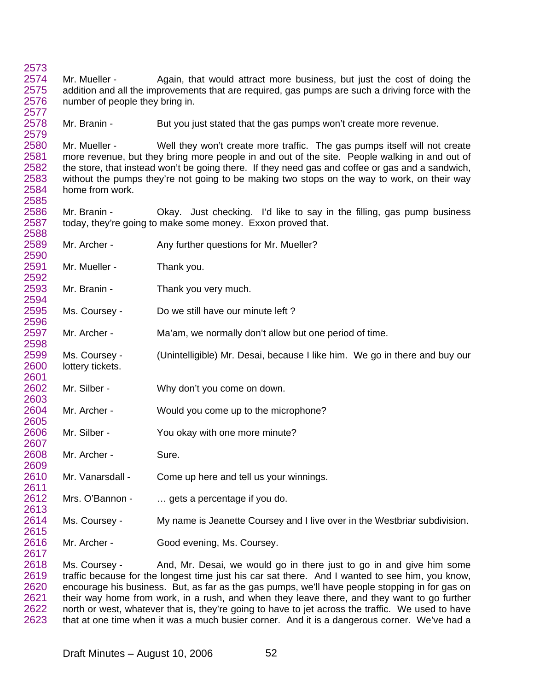Mr. Mueller - Again, that would attract more business, but just the cost of doing the addition and all the improvements that are required, gas pumps are such a driving force with the number of people they bring in.

 Mr. Branin - But you just stated that the gas pumps won't create more revenue.

 Mr. Mueller - Well they won't create more traffic. The gas pumps itself will not create more revenue, but they bring more people in and out of the site. People walking in and out of the store, that instead won't be going there. If they need gas and coffee or gas and a sandwich, without the pumps they're not going to be making two stops on the way to work, on their way home from work.

Mr. Branin - Ckay. Just checking. I'd like to say in the filling, gas pump business today, they're going to make some money. Exxon proved that.

- Mr. Archer - Any further questions for Mr. Mueller?
- Mr. Mueller - Thank you.

- Mr. Branin - Thank you very much.
- Ms. Coursey - Do we still have our minute left?
- Mr. Archer - Ma'am, we normally don't allow but one period of time.
- Ms. Coursey - (Unintelligible) Mr. Desai, because I like him. We go in there and buy our lottery tickets.
- Mr. Silber - Why don't you come on down.
- Mr. Archer - Would you come up to the microphone?
- Mr. Silber - You okay with one more minute?
- Mr. Archer - Sure.
- Mr. Vanarsdall - Come up here and tell us your winnings.
- Mrs. O'Bannon - ... gets a percentage if you do.
- Ms. Coursey - My name is Jeanette Coursey and I live over in the Westbriar subdivision.
- Mr. Archer - Good evening, Ms. Coursey.

 Ms. Coursey - And, Mr. Desai, we would go in there just to go in and give him some traffic because for the longest time just his car sat there. And I wanted to see him, you know, encourage his business. But, as far as the gas pumps, we'll have people stopping in for gas on their way home from work, in a rush, and when they leave there, and they want to go further north or west, whatever that is, they're going to have to jet across the traffic. We used to have that at one time when it was a much busier corner. And it is a dangerous corner. We've had a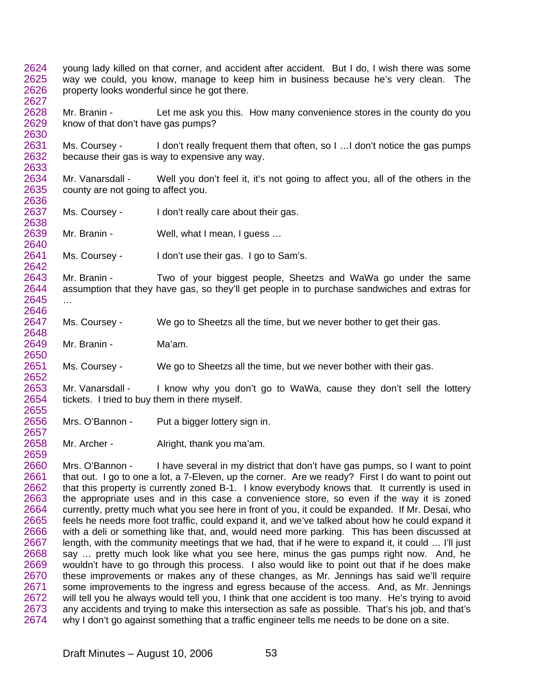- 2624 2625 2626 2627 young lady killed on that corner, and accident after accident. But I do, I wish there was some way we could, you know, manage to keep him in business because he's very clean. The property looks wonderful since he got there.
- 2628 2629 2630 Mr. Branin - Let me ask you this. How many convenience stores in the county do you know of that don't have gas pumps?
- 2631 2632 2633 Ms. Coursey - I don't really frequent them that often, so I ... I don't notice the gas pumps because their gas is way to expensive any way.
- 2634 2635 2636 Mr. Vanarsdall - Well you don't feel it, it's not going to affect you, all of the others in the county are not going to affect you.
- 2637 2638 Ms. Coursey - I don't really care about their gas.
- 2639 2640 Mr. Branin - Well, what I mean, I guess ...
- 2641 Ms. Coursey - I don't use their gas. I go to Sam's.
- 2643 2644 2645 Mr. Branin - Two of your biggest people, Sheetzs and WaWa go under the same assumption that they have gas, so they'll get people in to purchase sandwiches and extras for …
- 2647 2648 Ms. Coursey - We go to Sheetzs all the time, but we never bother to get their gas.
- 2649 Mr. Branin - Ma'am.

2642

2646

2650

2652

2657

- 2651 Ms. Coursey - We go to Sheetzs all the time, but we never bother with their gas.
- 2653 2654 2655 Mr. Vanarsdall - I know why you don't go to WaWa, cause they don't sell the lottery tickets. I tried to buy them in there myself.
- 2656 Mrs. O'Bannon - Put a bigger lottery sign in.
- 2658 Mr. Archer - Alright, thank you ma'am.
- 2660 2661 2662 2663 2664 2665 2666 2667 2668 2669 2670 2671 2672 2673 2674 Mrs. O'Bannon - I have several in my district that don't have gas pumps, so I want to point that out. I go to one a lot, a 7-Eleven, up the corner. Are we ready? First I do want to point out that this property is currently zoned B-1. I know everybody knows that. It currently is used in the appropriate uses and in this case a convenience store, so even if the way it is zoned currently, pretty much what you see here in front of you, it could be expanded. If Mr. Desai, who feels he needs more foot traffic, could expand it, and we've talked about how he could expand it with a deli or something like that, and, would need more parking. This has been discussed at length, with the community meetings that we had, that if he were to expand it, it could … I'll just say … pretty much look like what you see here, minus the gas pumps right now. And, he wouldn't have to go through this process. I also would like to point out that if he does make these improvements or makes any of these changes, as Mr. Jennings has said we'll require some improvements to the ingress and egress because of the access. And, as Mr. Jennings will tell you he always would tell you, I think that one accident is too many. He's trying to avoid any accidents and trying to make this intersection as safe as possible. That's his job, and that's why I don't go against something that a traffic engineer tells me needs to be done on a site.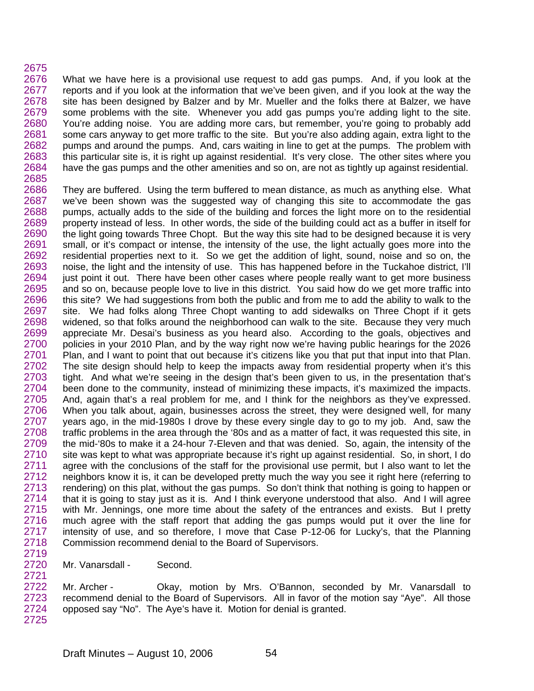## 2675

2676 2677 2678 2679 2680 2681 2682 2683 2684 2685 What we have here is a provisional use request to add gas pumps. And, if you look at the reports and if you look at the information that we've been given, and if you look at the way the site has been designed by Balzer and by Mr. Mueller and the folks there at Balzer, we have some problems with the site. Whenever you add gas pumps you're adding light to the site. You're adding noise. You are adding more cars, but remember, you're going to probably add some cars anyway to get more traffic to the site. But you're also adding again, extra light to the pumps and around the pumps. And, cars waiting in line to get at the pumps. The problem with this particular site is, it is right up against residential. It's very close. The other sites where you have the gas pumps and the other amenities and so on, are not as tightly up against residential.

2686 2687 2688 2689 2690 2691 2692 2693 2694 2695 2696 2697 2698 2699 2700 2701 2702 2703 2704 2705 2706 2707 2708 2709 2710 2711 2712 2713 2714 2715 2716 2717 2718 They are buffered. Using the term buffered to mean distance, as much as anything else. What we've been shown was the suggested way of changing this site to accommodate the gas pumps, actually adds to the side of the building and forces the light more on to the residential property instead of less. In other words, the side of the building could act as a buffer in itself for the light going towards Three Chopt. But the way this site had to be designed because it is very small, or it's compact or intense, the intensity of the use, the light actually goes more into the residential properties next to it. So we get the addition of light, sound, noise and so on, the noise, the light and the intensity of use. This has happened before in the Tuckahoe district, I'll just point it out. There have been other cases where people really want to get more business and so on, because people love to live in this district. You said how do we get more traffic into this site? We had suggestions from both the public and from me to add the ability to walk to the site. We had folks along Three Chopt wanting to add sidewalks on Three Chopt if it gets widened, so that folks around the neighborhood can walk to the site. Because they very much appreciate Mr. Desai's business as you heard also. According to the goals, objectives and policies in your 2010 Plan, and by the way right now we're having public hearings for the 2026 Plan, and I want to point that out because it's citizens like you that put that input into that Plan. The site design should help to keep the impacts away from residential property when it's this tight. And what we're seeing in the design that's been given to us, in the presentation that's been done to the community, instead of minimizing these impacts, it's maximized the impacts. And, again that's a real problem for me, and I think for the neighbors as they've expressed. When you talk about, again, businesses across the street, they were designed well, for many years ago, in the mid-1980s I drove by these every single day to go to my job. And, saw the traffic problems in the area through the '80s and as a matter of fact, it was requested this site, in the mid-'80s to make it a 24-hour 7-Eleven and that was denied. So, again, the intensity of the site was kept to what was appropriate because it's right up against residential. So, in short, I do agree with the conclusions of the staff for the provisional use permit, but I also want to let the neighbors know it is, it can be developed pretty much the way you see it right here (referring to rendering) on this plat, without the gas pumps. So don't think that nothing is going to happen or that it is going to stay just as it is. And I think everyone understood that also. And I will agree with Mr. Jennings, one more time about the safety of the entrances and exists. But I pretty much agree with the staff report that adding the gas pumps would put it over the line for intensity of use, and so therefore, I move that Case P-12-06 for Lucky's, that the Planning Commission recommend denial to the Board of Supervisors.

Mr. Vanarsdall - Second.

2719 2720 2721

2722 2723 2724 2725 Mr. Archer - Okay, motion by Mrs. O'Bannon, seconded by Mr. Vanarsdall to recommend denial to the Board of Supervisors. All in favor of the motion say "Aye". All those opposed say "No". The Aye's have it. Motion for denial is granted.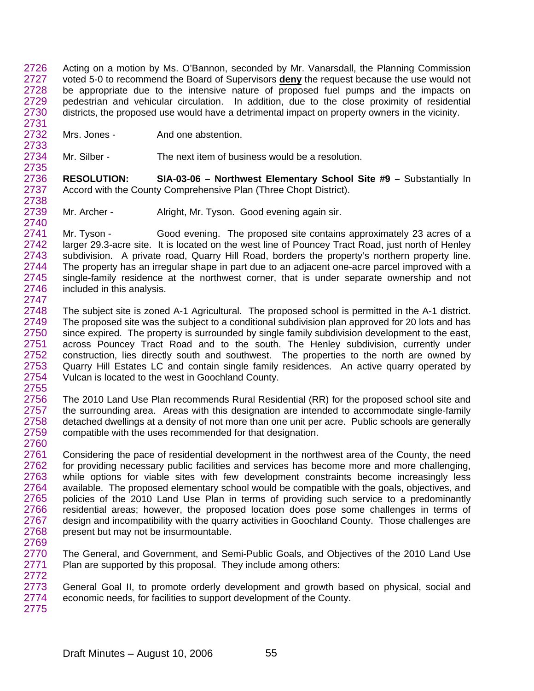Acting on a motion by Ms. O'Bannon, seconded by Mr. Vanarsdall, the Planning Commission voted 5-0 to recommend the Board of Supervisors **deny** the request because the use would not 2726 be appropriate due to the intensive nature of proposed fuel pumps and the impacts on pedestrian and vehicular circulation. In addition, due to the close proximity of residential districts, the proposed use would have a detrimental impact on property owners in the vicinity. 2727 2728 2729 2730 2731

2732 Mrs. Jones - And one abstention.

2733

2738

2755

2734 2735 Mr. Silber - The next item of business would be a resolution.

2736 2737 **RESOLUTION:** SIA-03-06 – Northwest Elementary School Site #9 – Substantially In Accord with the County Comprehensive Plan (Three Chopt District).

2739 2740 Mr. Archer - Alright, Mr. Tyson. Good evening again sir.

2741 2742 2743 2744 2745 2746 2747 Mr. Tyson - Good evening. The proposed site contains approximately 23 acres of a larger 29.3-acre site. It is located on the west line of Pouncey Tract Road, just north of Henley subdivision. A private road, Quarry Hill Road, borders the property's northern property line. The property has an irregular shape in part due to an adjacent one-acre parcel improved with a single-family residence at the northwest corner, that is under separate ownership and not included in this analysis.

2748 2749 2750 2751 2752 2753 2754 The subject site is zoned A-1 Agricultural. The proposed school is permitted in the A-1 district. The proposed site was the subject to a conditional subdivision plan approved for 20 lots and has since expired. The property is surrounded by single family subdivision development to the east, across Pouncey Tract Road and to the south. The Henley subdivision, currently under construction, lies directly south and southwest. The properties to the north are owned by Quarry Hill Estates LC and contain single family residences. An active quarry operated by Vulcan is located to the west in Goochland County.

2756 2757 2758 2759 2760 The 2010 Land Use Plan recommends Rural Residential (RR) for the proposed school site and the surrounding area. Areas with this designation are intended to accommodate single-family detached dwellings at a density of not more than one unit per acre. Public schools are generally compatible with the uses recommended for that designation.

2761 2762 2763 2764 2765 2766 2767 2768 2769 Considering the pace of residential development in the northwest area of the County, the need for providing necessary public facilities and services has become more and more challenging, while options for viable sites with few development constraints become increasingly less available. The proposed elementary school would be compatible with the goals, objectives, and policies of the 2010 Land Use Plan in terms of providing such service to a predominantly residential areas; however, the proposed location does pose some challenges in terms of design and incompatibility with the quarry activities in Goochland County. Those challenges are present but may not be insurmountable.

2770 2771 2772 The General, and Government, and Semi-Public Goals, and Objectives of the 2010 Land Use Plan are supported by this proposal. They include among others:

2773 2774 2775 General Goal II, to promote orderly development and growth based on physical, social and economic needs, for facilities to support development of the County.

Draft Minutes – August 10, 2006 55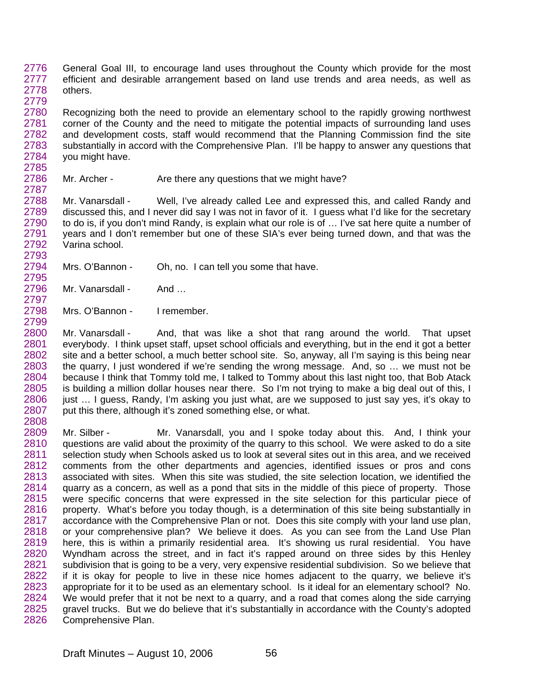2776 2777 2778 2779 General Goal III, to encourage land uses throughout the County which provide for the most efficient and desirable arrangement based on land use trends and area needs, as well as others.

2780 2781 2782 2783 2784 2785 Recognizing both the need to provide an elementary school to the rapidly growing northwest corner of the County and the need to mitigate the potential impacts of surrounding land uses and development costs, staff would recommend that the Planning Commission find the site substantially in accord with the Comprehensive Plan. I'll be happy to answer any questions that you might have.

2786 Mr. Archer - Are there any questions that we might have?

2788 2789 2790 2791 2792 2793 Mr. Vanarsdall - Well, I've already called Lee and expressed this, and called Randy and discussed this, and I never did say I was not in favor of it. I guess what I'd like for the secretary to do is, if you don't mind Randy, is explain what our role is of … I've sat here quite a number of years and I don't remember but one of these SIA's ever being turned down, and that was the Varina school.

2794 2795 Mrs. O'Bannon - Oh, no. I can tell you some that have.

2796 Mr. Vanarsdall - And ...

2787

2797

2798 2799 Mrs. O'Bannon - I remember.

2800 2801 2802 2803 2804 2805 2806 2807 2808 Mr. Vanarsdall - And, that was like a shot that rang around the world. That upset everybody. I think upset staff, upset school officials and everything, but in the end it got a better site and a better school, a much better school site. So, anyway, all I'm saying is this being near the quarry, I just wondered if we're sending the wrong message. And, so … we must not be because I think that Tommy told me, I talked to Tommy about this last night too, that Bob Atack is building a million dollar houses near there. So I'm not trying to make a big deal out of this, I just … I guess, Randy, I'm asking you just what, are we supposed to just say yes, it's okay to put this there, although it's zoned something else, or what.

2809 2810 2811 2812 2813 2814 2815 2816 2817 2818 2819 2820 2821 2822 2823 2824 2825 2826 Mr. Silber - Mr. Vanarsdall, you and I spoke today about this. And, I think your questions are valid about the proximity of the quarry to this school. We were asked to do a site selection study when Schools asked us to look at several sites out in this area, and we received comments from the other departments and agencies, identified issues or pros and cons associated with sites. When this site was studied, the site selection location, we identified the quarry as a concern, as well as a pond that sits in the middle of this piece of property. Those were specific concerns that were expressed in the site selection for this particular piece of property. What's before you today though, is a determination of this site being substantially in accordance with the Comprehensive Plan or not. Does this site comply with your land use plan, or your comprehensive plan? We believe it does. As you can see from the Land Use Plan here, this is within a primarily residential area. It's showing us rural residential. You have Wyndham across the street, and in fact it's rapped around on three sides by this Henley subdivision that is going to be a very, very expensive residential subdivision. So we believe that if it is okay for people to live in these nice homes adjacent to the quarry, we believe it's appropriate for it to be used as an elementary school. Is it ideal for an elementary school? No. We would prefer that it not be next to a quarry, and a road that comes along the side carrying gravel trucks. But we do believe that it's substantially in accordance with the County's adopted Comprehensive Plan.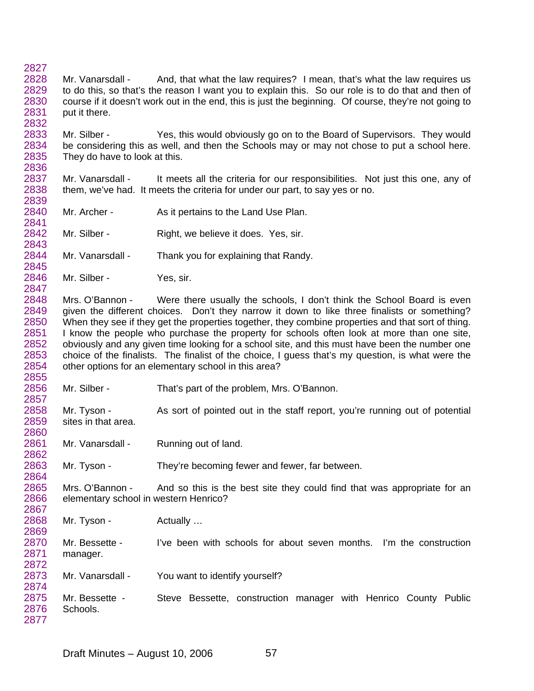- 2827 2828 2829 2830 2831 2832 Mr. Vanarsdall - And, that what the law requires? I mean, that's what the law requires us to do this, so that's the reason I want you to explain this. So our role is to do that and then of course if it doesn't work out in the end, this is just the beginning. Of course, they're not going to put it there.
- 2833 2834 2835 2836 Mr. Silber - Yes, this would obviously go on to the Board of Supervisors. They would be considering this as well, and then the Schools may or may not chose to put a school here. They do have to look at this.
- 2837 2838 2839 Mr. Vanarsdall - It meets all the criteria for our responsibilities. Not just this one, any of them, we've had. It meets the criteria for under our part, to say yes or no.
- 2840 2841 Mr. Archer - As it pertains to the Land Use Plan.
- 2842 2843 Mr. Silber - Right, we believe it does. Yes, sir.
- 2844 Mr. Vanarsdall - Thank you for explaining that Randy.
- 2846 2847 Mr. Silber - Yes, sir.

2845

2857

2860

- 2848 2849 2850 2851 2852 2853 2854 2855 Mrs. O'Bannon - Were there usually the schools, I don't think the School Board is even given the different choices. Don't they narrow it down to like three finalists or something? When they see if they get the properties together, they combine properties and that sort of thing. I know the people who purchase the property for schools often look at more than one site, obviously and any given time looking for a school site, and this must have been the number one choice of the finalists. The finalist of the choice, I guess that's my question, is what were the other options for an elementary school in this area?
- 2856 Mr. Silber - That's part of the problem, Mrs. O'Bannon.
- 2858 2859 Mr. Tyson - As sort of pointed out in the staff report, you're running out of potential sites in that area.
- 2861 Mr. Vanarsdall - Running out of land.
- 2863 2864 Mr. Tyson - They're becoming fewer and fewer, far between.
- 2865 2866 2867 Mrs. O'Bannon - And so this is the best site they could find that was appropriate for an elementary school in western Henrico?
- 2868 2869 Mr. Tyson - Actually ...
- 2870 2871 Mr. Bessette - I've been with schools for about seven months. I'm the construction manager.
- 2872 2873 Mr. Vanarsdall - You want to identify yourself?
- 2874 2875 2876 2877 Mr. Bessette - Steve Bessette, construction manager with Henrico County Public Schools.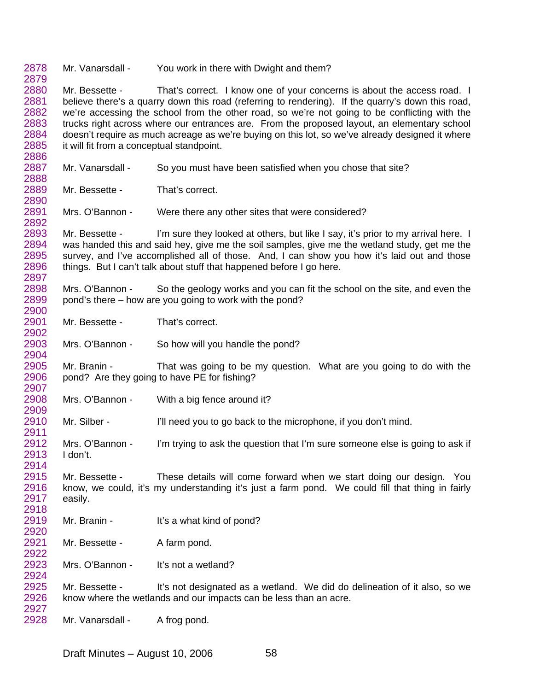2878 2879 Mr. Vanarsdall - You work in there with Dwight and them?

2880 2881 2882 2883 2884 2885 2886 Mr. Bessette - That's correct. I know one of your concerns is about the access road. I believe there's a quarry down this road (referring to rendering). If the quarry's down this road, we're accessing the school from the other road, so we're not going to be conflicting with the trucks right across where our entrances are. From the proposed layout, an elementary school doesn't require as much acreage as we're buying on this lot, so we've already designed it where it will fit from a conceptual standpoint.

2887 2888 Mr. Vanarsdall - So you must have been satisfied when you chose that site?

2889 2890 Mr. Bessette - That's correct.

2892

2901 2902

2904

2909

2927

2891 Mrs. O'Bannon - Were there any other sites that were considered?

2893 2894 2895 2896 2897 Mr. Bessette - I'm sure they looked at others, but like I say, it's prior to my arrival here. I was handed this and said hey, give me the soil samples, give me the wetland study, get me the survey, and I've accomplished all of those. And, I can show you how it's laid out and those things. But I can't talk about stuff that happened before I go here.

2898 2899 2900 Mrs. O'Bannon - So the geology works and you can fit the school on the site, and even the pond's there – how are you going to work with the pond?

Mr. Bessette - That's correct.

2903 Mrs. O'Bannon - So how will you handle the pond?

2905 2906 2907 Mr. Branin - That was going to be my question. What are you going to do with the pond? Are they going to have PE for fishing?

2908 Mrs. O'Bannon - With a big fence around it?

2910 2911 Mr. Silber - I'll need you to go back to the microphone, if you don't mind.

2912 2913 2914 Mrs. O'Bannon - I'm trying to ask the question that I'm sure someone else is going to ask if I don't.

2915 2916 2917 2918 Mr. Bessette - These details will come forward when we start doing our design. You know, we could, it's my understanding it's just a farm pond. We could fill that thing in fairly easily.

2919 2920 Mr. Branin - It's a what kind of pond?

2921 2922 Mr. Bessette - A farm pond.

2923 2924 Mrs. O'Bannon - It's not a wetland?

2925 2926 Mr. Bessette - It's not designated as a wetland. We did do delineation of it also, so we know where the wetlands and our impacts can be less than an acre.

2928 Mr. Vanarsdall - A frog pond.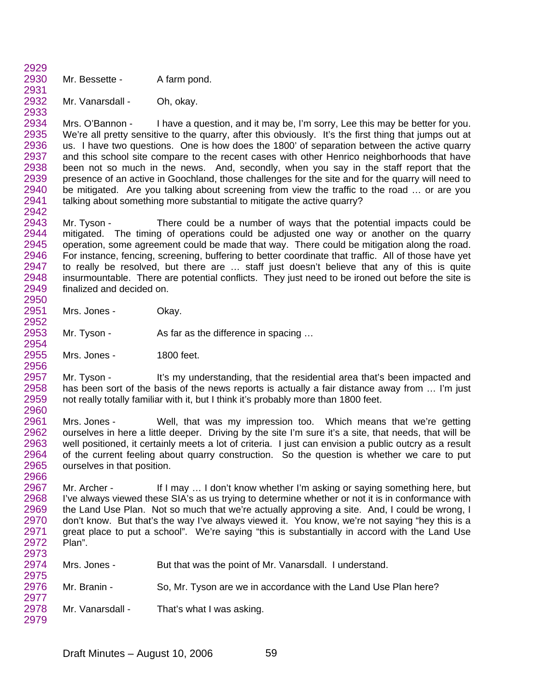2930 2931 Mr. Bessette - A farm pond.

2929

2954 2955 2956

2932 2933 Mr. Vanarsdall - Oh, okay.

2934 2935 2936 2937 2938 2939 2940 2941 2942 Mrs. O'Bannon - I have a question, and it may be, I'm sorry, Lee this may be better for you. We're all pretty sensitive to the quarry, after this obviously. It's the first thing that jumps out at us. I have two questions. One is how does the 1800' of separation between the active quarry and this school site compare to the recent cases with other Henrico neighborhoods that have been not so much in the news. And, secondly, when you say in the staff report that the presence of an active in Goochland, those challenges for the site and for the quarry will need to be mitigated. Are you talking about screening from view the traffic to the road … or are you talking about something more substantial to mitigate the active quarry?

2943 2944 2945 2946 2947 2948 2949 2950 Mr. Tyson - There could be a number of ways that the potential impacts could be mitigated. The timing of operations could be adjusted one way or another on the quarry operation, some agreement could be made that way. There could be mitigation along the road. For instance, fencing, screening, buffering to better coordinate that traffic. All of those have yet to really be resolved, but there are … staff just doesn't believe that any of this is quite insurmountable. There are potential conflicts. They just need to be ironed out before the site is finalized and decided on.

2951 2952 Mrs. Jones - Okay.

2953 Mr. Tyson - As far as the difference in spacing ...

Mrs. Jones - 1800 feet.

2957 2958 2959 2960 Mr. Tyson - It's my understanding, that the residential area that's been impacted and has been sort of the basis of the news reports is actually a fair distance away from ... I'm just not really totally familiar with it, but I think it's probably more than 1800 feet.

2961 2962 2963 2964 2965 2966 Mrs. Jones - Well, that was my impression too. Which means that we're getting ourselves in here a little deeper. Driving by the site I'm sure it's a site, that needs, that will be well positioned, it certainly meets a lot of criteria. I just can envision a public outcry as a result of the current feeling about quarry construction. So the question is whether we care to put ourselves in that position.

2967 2968 2969 2970 2971 2972 2973 Mr. Archer - If I may … I don't know whether I'm asking or saying something here, but I've always viewed these SIA's as us trying to determine whether or not it is in conformance with the Land Use Plan. Not so much that we're actually approving a site. And, I could be wrong, I don't know. But that's the way I've always viewed it. You know, we're not saying "hey this is a great place to put a school". We're saying "this is substantially in accord with the Land Use Plan".

| 2974 | Mrs. Jones - | But that was the point of Mr. Vanarsdall. I understand. |  |
|------|--------------|---------------------------------------------------------|--|
| 2975 |              |                                                         |  |

2976 2977 Mr. Branin - So, Mr. Tyson are we in accordance with the Land Use Plan here?

2978 2979 Mr. Vanarsdall - That's what I was asking.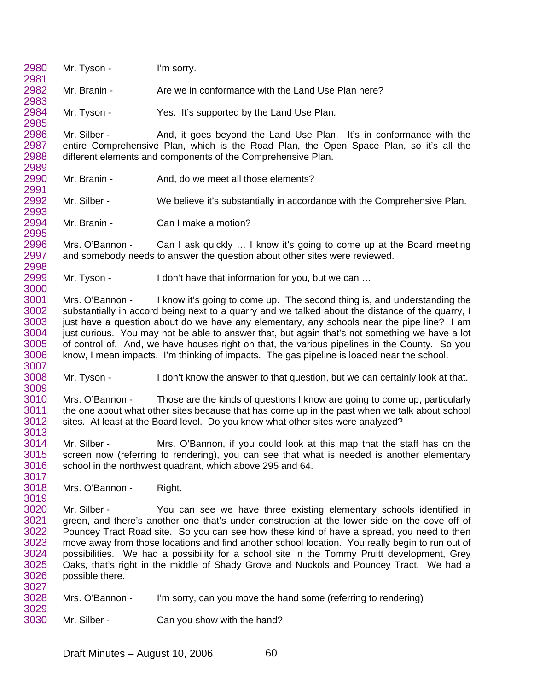2980 2981 2982 2983 2984 2985 2986 2987 2988 2989 2990 2991 2992 2993 2994 2995 2996 2997 2998 2999 3000 3001 3002 3003 3004 3005 3006 3007 3008 3009 3010 3011 3012 3013 3014 3015 3016 3017 3018 3019 3020 3021 3022 3023 3024 3025 3026 3027 3028 3029 3030 Mr. Tyson - I'm sorry. Mr. Branin - Are we in conformance with the Land Use Plan here? Mr. Tyson - Yes. It's supported by the Land Use Plan. Mr. Silber - And, it goes beyond the Land Use Plan. It's in conformance with the entire Comprehensive Plan, which is the Road Plan, the Open Space Plan, so it's all the different elements and components of the Comprehensive Plan. Mr. Branin - And, do we meet all those elements? Mr. Silber - We believe it's substantially in accordance with the Comprehensive Plan. Mr. Branin - Can I make a motion? Mrs. O'Bannon - Can I ask quickly ... I know it's going to come up at the Board meeting and somebody needs to answer the question about other sites were reviewed. Mr. Tyson - I don't have that information for you, but we can ... Mrs. O'Bannon - I know it's going to come up. The second thing is, and understanding the substantially in accord being next to a quarry and we talked about the distance of the quarry, I just have a question about do we have any elementary, any schools near the pipe line? I am just curious. You may not be able to answer that, but again that's not something we have a lot of control of. And, we have houses right on that, the various pipelines in the County. So you know, I mean impacts. I'm thinking of impacts. The gas pipeline is loaded near the school. Mr. Tyson - I don't know the answer to that question, but we can certainly look at that. Mrs. O'Bannon - Those are the kinds of questions I know are going to come up, particularly the one about what other sites because that has come up in the past when we talk about school sites. At least at the Board level. Do you know what other sites were analyzed? Mr. Silber - Mrs. O'Bannon, if you could look at this map that the staff has on the screen now (referring to rendering), you can see that what is needed is another elementary school in the northwest quadrant, which above 295 and 64. Mrs. O'Bannon - Right. Mr. Silber - You can see we have three existing elementary schools identified in green, and there's another one that's under construction at the lower side on the cove off of Pouncey Tract Road site. So you can see how these kind of have a spread, you need to then move away from those locations and find another school location. You really begin to run out of possibilities. We had a possibility for a school site in the Tommy Pruitt development, Grey Oaks, that's right in the middle of Shady Grove and Nuckols and Pouncey Tract. We had a possible there. Mrs. O'Bannon - I'm sorry, can you move the hand some (referring to rendering) Mr. Silber - Can you show with the hand?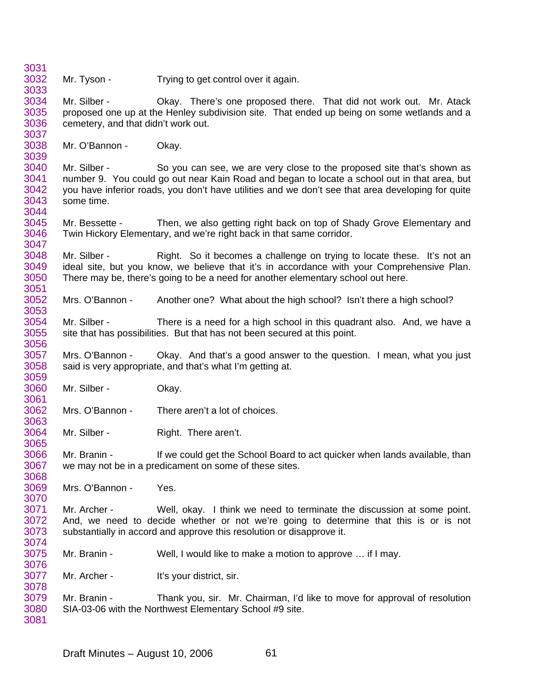Mr. Tyson - Trying to get control over it again. Mr. Silber - Ckay. There's one proposed there. That did not work out. Mr. Atack proposed one up at the Henley subdivision site. That ended up being on some wetlands and a cemetery, and that didn't work out. Mr. O'Bannon - Okay. Mr. Silber - So you can see, we are very close to the proposed site that's shown as number 9. You could go out near Kain Road and began to locate a school out in that area, but you have inferior roads, you don't have utilities and we don't see that area developing for quite some time. Mr. Bessette - Then, we also getting right back on top of Shady Grove Elementary and Twin Hickory Elementary, and we're right back in that same corridor. Mr. Silber - Right. So it becomes a challenge on trying to locate these. It's not an ideal site, but you know, we believe that it's in accordance with your Comprehensive Plan. There may be, there's going to be a need for another elementary school out here. Mrs. O'Bannon - Another one? What about the high school? Isn't there a high school? Mr. Silber - There is a need for a high school in this quadrant also. And, we have a site that has possibilities. But that has not been secured at this point. Mrs. O'Bannon - Ckay. And that's a good answer to the question. I mean, what you just said is very appropriate, and that's what I'm getting at. Mr. Silber - Okay. Mrs. O'Bannon - There aren't a lot of choices. Mr. Silber - Right. There aren't. Mr. Branin - If we could get the School Board to act quicker when lands available, than we may not be in a predicament on some of these sites. Mrs. O'Bannon - Yes. Mr. Archer - Well, okay. I think we need to terminate the discussion at some point. And, we need to decide whether or not we're going to determine that this is or is not substantially in accord and approve this resolution or disapprove it. Mr. Branin - Well, I would like to make a motion to approve ... if I may. Mr. Archer - It's your district, sir. Mr. Branin - Thank you, sir. Mr. Chairman, I'd like to move for approval of resolution SIA-03-06 with the Northwest Elementary School #9 site.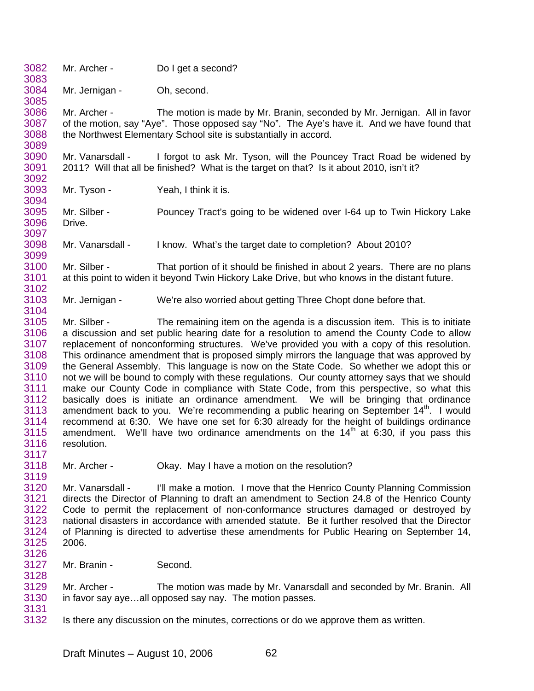- 3082 3083 Mr. Archer - Do I get a second?
- 3084 3085 Mr. Jernigan - Oh, second.

3086 3087 3088 3089 Mr. Archer - The motion is made by Mr. Branin, seconded by Mr. Jernigan. All in favor of the motion, say "Aye". Those opposed say "No". The Aye's have it. And we have found that the Northwest Elementary School site is substantially in accord.

3090 3091 3092 Mr. Vanarsdall - I forgot to ask Mr. Tyson, will the Pouncey Tract Road be widened by 2011? Will that all be finished? What is the target on that? Is it about 2010, isn't it?

3093 3094 Mr. Tyson - Yeah, I think it is.

3104

3095 3096 3097 Mr. Silber - Pouncey Tract's going to be widened over I-64 up to Twin Hickory Lake Drive.

3098 3099 Mr. Vanarsdall - I know. What's the target date to completion? About 2010?

3100 3101 3102 Mr. Silber - That portion of it should be finished in about 2 years. There are no plans at this point to widen it beyond Twin Hickory Lake Drive, but who knows in the distant future.

3103 Mr. Jernigan - We're also worried about getting Three Chopt done before that.

3105 3106 3107 3108 3109 3110 3111 3112 3113 3114 3115 3116 3117 Mr. Silber - The remaining item on the agenda is a discussion item. This is to initiate a discussion and set public hearing date for a resolution to amend the County Code to allow replacement of nonconforming structures. We've provided you with a copy of this resolution. This ordinance amendment that is proposed simply mirrors the language that was approved by the General Assembly. This language is now on the State Code. So whether we adopt this or not we will be bound to comply with these regulations. Our county attorney says that we should make our County Code in compliance with State Code, from this perspective, so what this basically does is initiate an ordinance amendment. We will be bringing that ordinance amendment back to you. We're recommending a public hearing on September 14<sup>th</sup>. I would recommend at 6:30. We have one set for 6:30 already for the height of buildings ordinance amendment. We'll have two ordinance amendments on the  $14<sup>th</sup>$  at 6:30, if you pass this resolution.

3118 3119 Mr. Archer - Ckay. May I have a motion on the resolution?

3120 3121 3122 3123 3124 3125 3126 Mr. Vanarsdall - I'll make a motion. I move that the Henrico County Planning Commission directs the Director of Planning to draft an amendment to Section 24.8 of the Henrico County Code to permit the replacement of non-conformance structures damaged or destroyed by national disasters in accordance with amended statute. Be it further resolved that the Director of Planning is directed to advertise these amendments for Public Hearing on September 14, 2006.

3127 3128 Mr. Branin - Second.

3129 3130 3131 Mr. Archer - The motion was made by Mr. Vanarsdall and seconded by Mr. Branin. All in favor say aye…all opposed say nay. The motion passes.

3132 Is there any discussion on the minutes, corrections or do we approve them as written.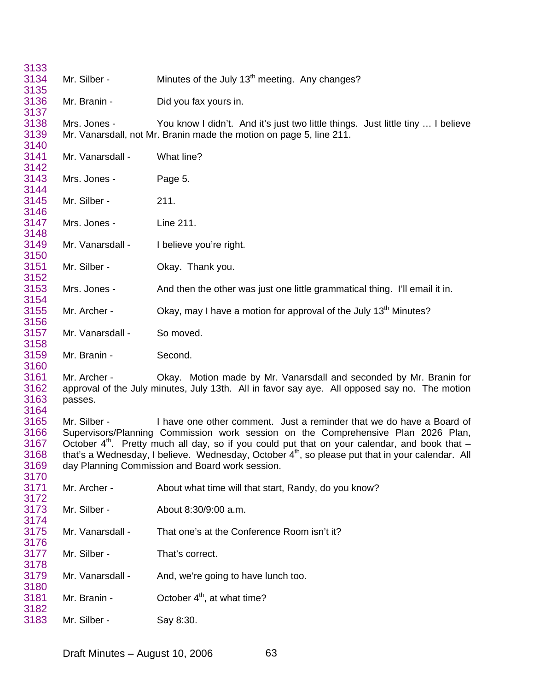| 3133                                 |                         |                                                                                                                                                                                                                                                                                                                                                                                                                                   |
|--------------------------------------|-------------------------|-----------------------------------------------------------------------------------------------------------------------------------------------------------------------------------------------------------------------------------------------------------------------------------------------------------------------------------------------------------------------------------------------------------------------------------|
| 3134<br>3135                         | Mr. Silber -            | Minutes of the July 13 <sup>th</sup> meeting. Any changes?                                                                                                                                                                                                                                                                                                                                                                        |
| 3136<br>3137                         | Mr. Branin -            | Did you fax yours in.                                                                                                                                                                                                                                                                                                                                                                                                             |
| 3138<br>3139<br>3140                 | Mrs. Jones -            | You know I didn't. And it's just two little things. Just little tiny  I believe<br>Mr. Vanarsdall, not Mr. Branin made the motion on page 5, line 211.                                                                                                                                                                                                                                                                            |
| 3141<br>3142                         | Mr. Vanarsdall -        | What line?                                                                                                                                                                                                                                                                                                                                                                                                                        |
| 3143<br>3144                         | Mrs. Jones -            | Page 5.                                                                                                                                                                                                                                                                                                                                                                                                                           |
| 3145<br>3146                         | Mr. Silber -            | 211.                                                                                                                                                                                                                                                                                                                                                                                                                              |
| 3147<br>3148                         | Mrs. Jones -            | Line 211.                                                                                                                                                                                                                                                                                                                                                                                                                         |
| 3149<br>3150                         | Mr. Vanarsdall -        | I believe you're right.                                                                                                                                                                                                                                                                                                                                                                                                           |
| 3151<br>3152                         | Mr. Silber -            | Okay. Thank you.                                                                                                                                                                                                                                                                                                                                                                                                                  |
| 3153<br>3154                         | Mrs. Jones -            | And then the other was just one little grammatical thing. I'll email it in.                                                                                                                                                                                                                                                                                                                                                       |
| 3155<br>3156                         | Mr. Archer -            | Okay, may I have a motion for approval of the July 13 <sup>th</sup> Minutes?                                                                                                                                                                                                                                                                                                                                                      |
| 3157<br>3158                         | Mr. Vanarsdall -        | So moved.                                                                                                                                                                                                                                                                                                                                                                                                                         |
| 3159<br>3160                         | Mr. Branin -            | Second.                                                                                                                                                                                                                                                                                                                                                                                                                           |
| 3161<br>3162<br>3163<br>3164         | Mr. Archer -<br>passes. | Okay. Motion made by Mr. Vanarsdall and seconded by Mr. Branin for<br>approval of the July minutes, July 13th. All in favor say aye. All opposed say no. The motion                                                                                                                                                                                                                                                               |
| 3165<br>3166<br>3167<br>3168<br>3169 | Mr. Silber -            | I have one other comment. Just a reminder that we do have a Board of<br>Supervisors/Planning Commission work session on the Comprehensive Plan 2026 Plan,<br>October $4th$ . Pretty much all day, so if you could put that on your calendar, and book that $-$<br>that's a Wednesday, I believe. Wednesday, October 4 <sup>th</sup> , so please put that in your calendar. All<br>day Planning Commission and Board work session. |
| 3170<br>3171                         | Mr. Archer -            | About what time will that start, Randy, do you know?                                                                                                                                                                                                                                                                                                                                                                              |
| 3172<br>3173<br>3174                 | Mr. Silber -            | About 8:30/9:00 a.m.                                                                                                                                                                                                                                                                                                                                                                                                              |
| 3175<br>3176                         | Mr. Vanarsdall -        | That one's at the Conference Room isn't it?                                                                                                                                                                                                                                                                                                                                                                                       |
| 3177<br>3178                         | Mr. Silber -            | That's correct.                                                                                                                                                                                                                                                                                                                                                                                                                   |
| 3179<br>3180                         | Mr. Vanarsdall -        | And, we're going to have lunch too.                                                                                                                                                                                                                                                                                                                                                                                               |
| 3181<br>3182                         | Mr. Branin -            | October 4 <sup>th</sup> , at what time?                                                                                                                                                                                                                                                                                                                                                                                           |
| 3183                                 | Mr. Silber -            | Say 8:30.                                                                                                                                                                                                                                                                                                                                                                                                                         |